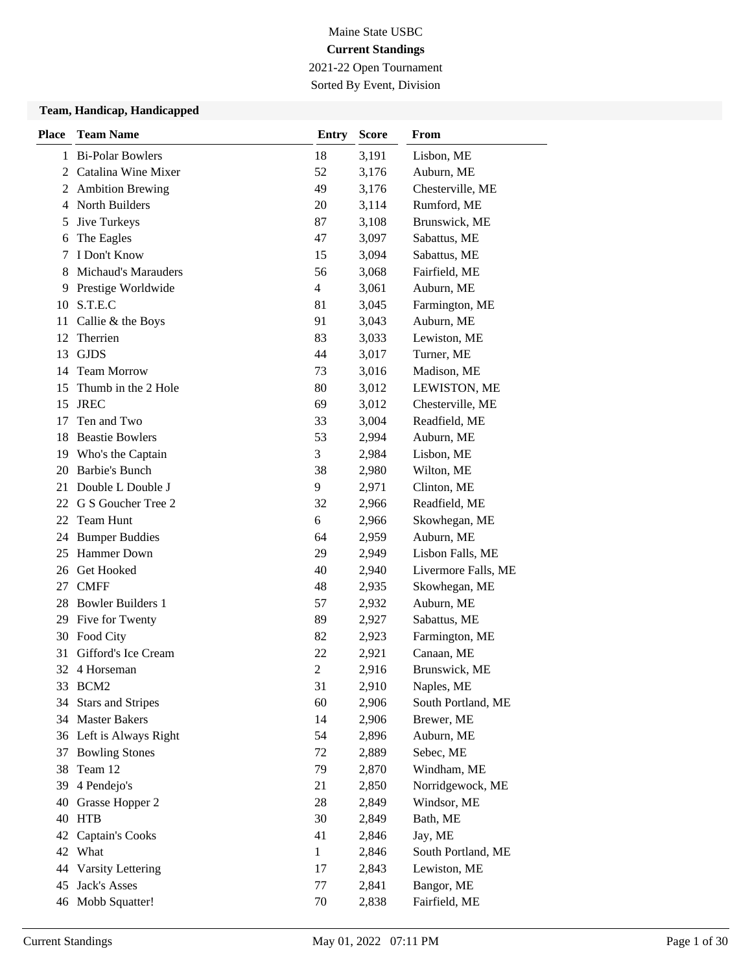## Maine State USBC **Current Standings** 2021-22 Open Tournament

Sorted By Event, Division

#### **Team, Handicap, Handicapped**

| <b>Place</b> | <b>Team Name</b>           | <b>Entry</b>   | <b>Score</b> | <b>From</b>         |
|--------------|----------------------------|----------------|--------------|---------------------|
| 1            | <b>Bi-Polar Bowlers</b>    | 18             | 3,191        | Lisbon, ME          |
| 2            | Catalina Wine Mixer        | 52             | 3,176        | Auburn, ME          |
| 2            | <b>Ambition Brewing</b>    | 49             | 3,176        | Chesterville, ME    |
| 4            | North Builders             | 20             | 3,114        | Rumford, ME         |
| 5            | Jive Turkeys               | 87             | 3,108        | Brunswick, ME       |
| 6            | The Eagles                 | 47             | 3,097        | Sabattus, ME        |
| 7            | I Don't Know               | 15             | 3,094        | Sabattus, ME        |
| 8            | <b>Michaud's Marauders</b> | 56             | 3,068        | Fairfield, ME       |
| 9            | Prestige Worldwide         | 4              | 3,061        | Auburn, ME          |
| 10           | S.T.E.C                    | 81             | 3,045        | Farmington, ME      |
| 11           | Callie & the Boys          | 91             | 3,043        | Auburn, ME          |
| 12           | Therrien                   | 83             | 3,033        | Lewiston, ME        |
| 13           | <b>GJDS</b>                | 44             | 3,017        | Turner, ME          |
| 14           | <b>Team Morrow</b>         | 73             | 3,016        | Madison, ME         |
| 15           | Thumb in the 2 Hole        | 80             | 3,012        | LEWISTON, ME        |
| 15           | <b>JREC</b>                | 69             | 3,012        | Chesterville, ME    |
| 17           | Ten and Two                | 33             | 3,004        | Readfield, ME       |
| 18           | <b>Beastie Bowlers</b>     | 53             | 2,994        | Auburn, ME          |
| 19           | Who's the Captain          | 3              | 2,984        | Lisbon, ME          |
| 20           | <b>Barbie's Bunch</b>      | 38             | 2,980        | Wilton, ME          |
| 21           | Double L Double J          | 9              | 2,971        | Clinton, ME         |
| 22           | G S Goucher Tree 2         | 32             | 2,966        | Readfield, ME       |
| 22           | Team Hunt                  | 6              | 2,966        | Skowhegan, ME       |
| 24           | <b>Bumper Buddies</b>      | 64             | 2,959        | Auburn, ME          |
| 25           | <b>Hammer Down</b>         | 29             | 2,949        | Lisbon Falls, ME    |
| 26           | Get Hooked                 | 40             | 2,940        | Livermore Falls, ME |
| 27           | <b>CMFF</b>                | 48             | 2,935        | Skowhegan, ME       |
| 28           | <b>Bowler Builders 1</b>   | 57             | 2,932        | Auburn, ME          |
| 29           | Five for Twenty            | 89             | 2,927        | Sabattus, ME        |
|              | 30 Food City               | 82             | 2,923        | Farmington, ME      |
| 31           | Gifford's Ice Cream        | 22             | 2,921        | Canaan, ME          |
|              | 32 4 Horseman              | $\overline{2}$ | 2,916        | Brunswick, ME       |
|              | 33 BCM2                    | 31             | 2,910        | Naples, ME          |
| 34           | <b>Stars and Stripes</b>   | 60             | 2,906        | South Portland, ME  |
|              | 34 Master Bakers           | 14             | 2,906        | Brewer, ME          |
|              | 36 Left is Always Right    | 54             | 2,896        | Auburn, ME          |
| 37           | <b>Bowling Stones</b>      | 72             | 2,889        | Sebec, ME           |
| 38           | Team 12                    | 79             | 2,870        | Windham, ME         |
| 39           | 4 Pendejo's                | 21             | 2,850        | Norridgewock, ME    |
| 40           | Grasse Hopper 2            | 28             | 2,849        | Windsor, ME         |
| 40           | <b>HTB</b>                 | 30             | 2,849        | Bath, ME            |
| 42           | <b>Captain's Cooks</b>     | 41             | 2,846        | Jay, ME             |
| 42           | What                       | $\mathbf{1}$   | 2,846        | South Portland, ME  |
| 44           | Varsity Lettering          | 17             | 2,843        | Lewiston, ME        |
| 45           | Jack's Asses               | 77             | 2,841        | Bangor, ME          |
|              | 46 Mobb Squatter!          | 70             | 2,838        | Fairfield, ME       |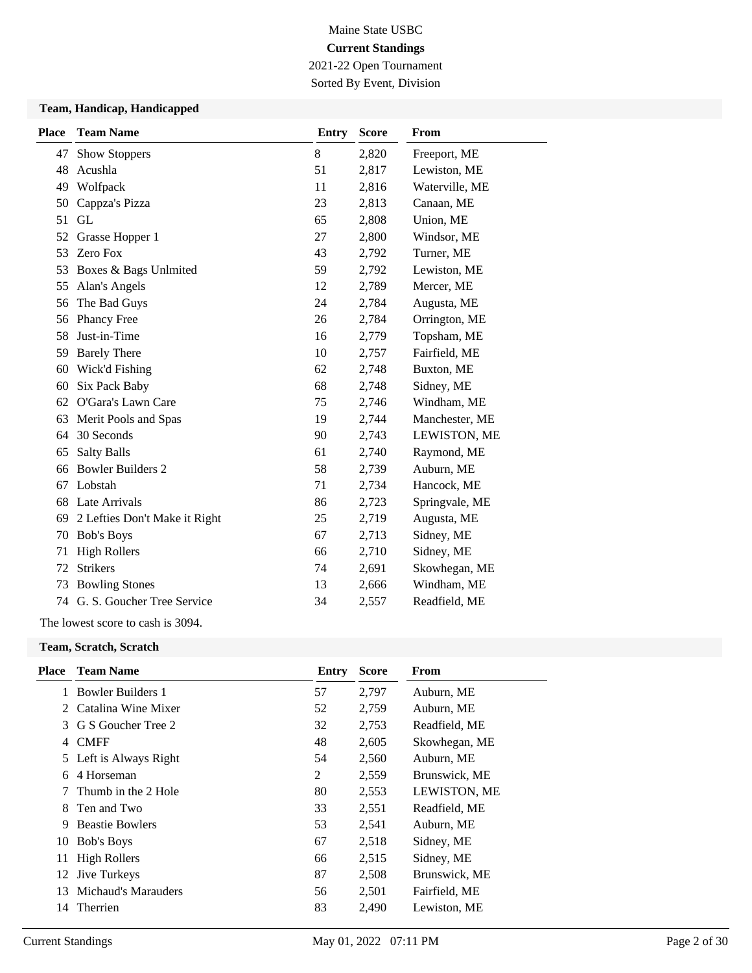2021-22 Open Tournament Sorted By Event, Division

### **Team, Handicap, Handicapped**

| <b>Place</b> | <b>Team Name</b>              | <b>Entry</b> | <b>Score</b> | From           |
|--------------|-------------------------------|--------------|--------------|----------------|
| 47           | <b>Show Stoppers</b>          | 8            | 2,820        | Freeport, ME   |
| 48           | Acushla                       | 51           | 2,817        | Lewiston, ME   |
| 49           | Wolfpack                      | 11           | 2,816        | Waterville, ME |
| 50           | Cappza's Pizza                | 23           | 2,813        | Canaan, ME     |
| 51           | GL                            | 65           | 2,808        | Union, ME      |
| 52           | Grasse Hopper 1               | 27           | 2,800        | Windsor, ME    |
| 53           | Zero Fox                      | 43           | 2,792        | Turner, ME     |
| 53           | Boxes & Bags Unlmited         | 59           | 2,792        | Lewiston, ME   |
| 55           | Alan's Angels                 | 12           | 2,789        | Mercer, ME     |
| 56           | The Bad Guys                  | 24           | 2,784        | Augusta, ME    |
| 56           | <b>Phancy Free</b>            | 26           | 2,784        | Orrington, ME  |
| 58           | Just-in-Time                  | 16           | 2,779        | Topsham, ME    |
| 59           | <b>Barely There</b>           | 10           | 2,757        | Fairfield, ME  |
| 60           | Wick'd Fishing                | 62           | 2,748        | Buxton, ME     |
| 60           | Six Pack Baby                 | 68           | 2,748        | Sidney, ME     |
| 62           | O'Gara's Lawn Care            | 75           | 2,746        | Windham, ME    |
| 63           | Merit Pools and Spas          | 19           | 2,744        | Manchester, ME |
| 64           | 30 Seconds                    | 90           | 2,743        | LEWISTON, ME   |
| 65           | <b>Salty Balls</b>            | 61           | 2,740        | Raymond, ME    |
| 66           | <b>Bowler Builders 2</b>      | 58           | 2,739        | Auburn, ME     |
| 67           | Lobstah                       | 71           | 2,734        | Hancock, ME    |
| 68           | Late Arrivals                 | 86           | 2,723        | Springvale, ME |
| 69           | 2 Lefties Don't Make it Right | 25           | 2,719        | Augusta, ME    |
| 70           | <b>Bob's Boys</b>             | 67           | 2,713        | Sidney, ME     |
| 71           | <b>High Rollers</b>           | 66           | 2,710        | Sidney, ME     |
| 72           | <b>Strikers</b>               | 74           | 2,691        | Skowhegan, ME  |
| 73           | <b>Bowling Stones</b>         | 13           | 2,666        | Windham, ME    |
| 74           | G. S. Goucher Tree Service    | 34           | 2,557        | Readfield, ME  |

The lowest score to cash is 3094.

#### **Team, Scratch, Scratch**

| <b>Team Name</b>       | Entry                                                                                                       | <b>Score</b> | From          |
|------------------------|-------------------------------------------------------------------------------------------------------------|--------------|---------------|
|                        | 57                                                                                                          | 2,797        | Auburn, ME    |
|                        | 52                                                                                                          | 2,759        | Auburn, ME    |
| G S Goucher Tree 2     | 32                                                                                                          | 2,753        | Readfield, ME |
| <b>CMFF</b>            | 48                                                                                                          | 2,605        | Skowhegan, ME |
|                        | 54                                                                                                          | 2,560        | Auburn, ME    |
| 4 Horseman             | 2                                                                                                           | 2,559        | Brunswick, ME |
| Thumb in the 2 Hole    | 80                                                                                                          | 2,553        | LEWISTON, ME  |
| Ten and Two            | 33                                                                                                          | 2,551        | Readfield, ME |
| <b>Beastie Bowlers</b> | 53                                                                                                          | 2,541        | Auburn, ME    |
|                        | 67                                                                                                          | 2,518        | Sidney, ME    |
| <b>High Rollers</b>    | 66                                                                                                          | 2,515        | Sidney, ME    |
|                        | 87                                                                                                          | 2,508        | Brunswick, ME |
| Michaud's Marauders    | 56                                                                                                          | 2,501        | Fairfield, ME |
| Therrien               | 83                                                                                                          | 2,490        | Lewiston, ME  |
|                        | 1 Bowler Builders 1<br>2 Catalina Wine Mixer<br>5 Left is Always Right<br>Bob's Boys<br><b>Jive Turkeys</b> |              |               |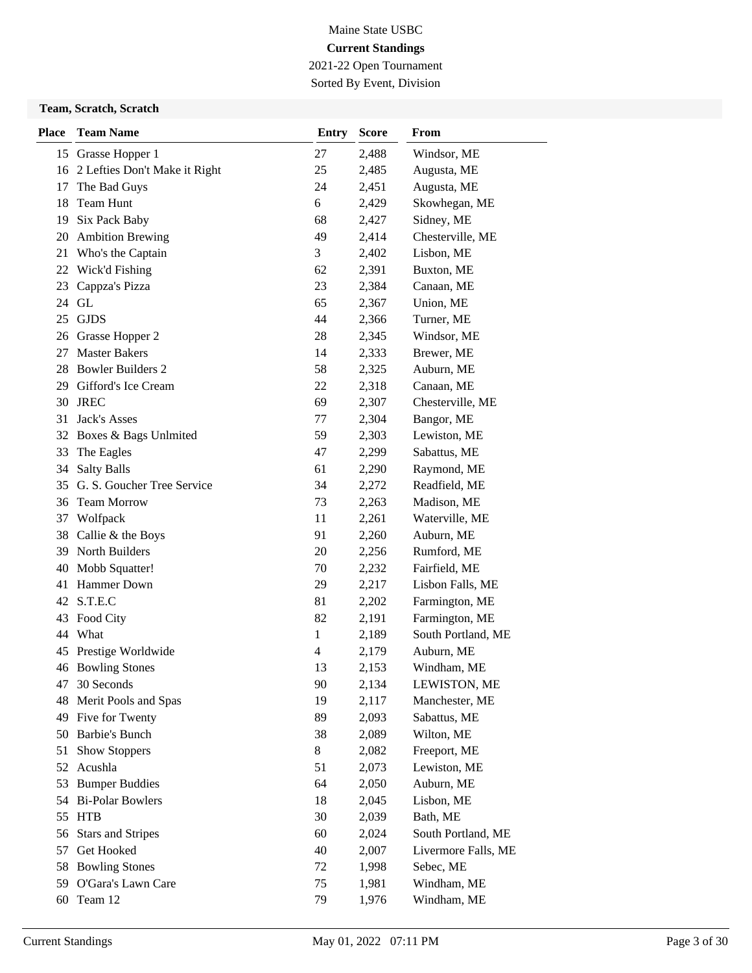2021-22 Open Tournament Sorted By Event, Division

#### **Team, Scratch, Scratch**

| <b>Place</b> | <b>Team Name</b>              | <b>Entry</b>   | <b>Score</b> | From                |
|--------------|-------------------------------|----------------|--------------|---------------------|
| 15           | Grasse Hopper 1               | 27             | 2,488        | Windsor, ME         |
| 16           | 2 Lefties Don't Make it Right | 25             | 2,485        | Augusta, ME         |
| 17           | The Bad Guys                  | 24             | 2,451        | Augusta, ME         |
| 18           | Team Hunt                     | 6              | 2,429        | Skowhegan, ME       |
| 19           | Six Pack Baby                 | 68             | 2,427        | Sidney, ME          |
| 20           | <b>Ambition Brewing</b>       | 49             | 2,414        | Chesterville, ME    |
| 21           | Who's the Captain             | 3              | 2,402        | Lisbon, ME          |
| 22           | Wick'd Fishing                | 62             | 2,391        | Buxton, ME          |
| 23           | Cappza's Pizza                | 23             | 2,384        | Canaan, ME          |
| 24           | GL                            | 65             | 2,367        | Union, ME           |
| 25           | <b>GJDS</b>                   | 44             | 2,366        | Turner, ME          |
| 26           | Grasse Hopper 2               | 28             | 2,345        | Windsor, ME         |
| 27           | <b>Master Bakers</b>          | 14             | 2,333        | Brewer, ME          |
| 28           | <b>Bowler Builders 2</b>      | 58             | 2,325        | Auburn, ME          |
| 29           | Gifford's Ice Cream           | 22             | 2,318        | Canaan, ME          |
| 30           | <b>JREC</b>                   | 69             | 2,307        | Chesterville, ME    |
| 31           | Jack's Asses                  | 77             | 2,304        | Bangor, ME          |
| 32           | Boxes & Bags Unlmited         | 59             | 2,303        | Lewiston, ME        |
| 33           | The Eagles                    | 47             | 2,299        | Sabattus, ME        |
| 34           | <b>Salty Balls</b>            | 61             | 2,290        | Raymond, ME         |
| 35           | G. S. Goucher Tree Service    | 34             | 2,272        | Readfield, ME       |
| 36           | Team Morrow                   | 73             | 2,263        | Madison, ME         |
| 37           | Wolfpack                      | 11             | 2,261        | Waterville, ME      |
| 38           | Callie & the Boys             | 91             | 2,260        | Auburn, ME          |
| 39           | North Builders                | 20             | 2,256        | Rumford, ME         |
| 40           | Mobb Squatter!                | 70             | 2,232        | Fairfield, ME       |
| 41           | Hammer Down                   | 29             | 2,217        | Lisbon Falls, ME    |
| 42           | S.T.E.C                       | 81             | 2,202        | Farmington, ME      |
| 43           | Food City                     | 82             | 2,191        | Farmington, ME      |
| 44           | What                          | 1              | 2,189        | South Portland, ME  |
| 45           | Prestige Worldwide            | $\overline{4}$ | 2,179        | Auburn, ME          |
|              | 46 Bowling Stones             | 13             | 2,153        | Windham, ME         |
| 47           | 30 Seconds                    | 90             | 2,134        | LEWISTON, ME        |
| 48           | Merit Pools and Spas          | 19             | 2,117        | Manchester, ME      |
| 49           | Five for Twenty               | 89             | 2,093        | Sabattus, ME        |
| 50           | <b>Barbie's Bunch</b>         | 38             | 2,089        | Wilton, ME          |
| 51           | <b>Show Stoppers</b>          | $8\,$          | 2,082        | Freeport, ME        |
| 52           | Acushla                       | 51             | 2,073        | Lewiston, ME        |
| 53           | <b>Bumper Buddies</b>         | 64             | 2,050        | Auburn, ME          |
| 54           | <b>Bi-Polar Bowlers</b>       | 18             | 2,045        | Lisbon, ME          |
| 55           | <b>HTB</b>                    | 30             | 2,039        | Bath, ME            |
| 56           | <b>Stars and Stripes</b>      | 60             | 2,024        | South Portland, ME  |
| 57           | Get Hooked                    | 40             | 2,007        | Livermore Falls, ME |
| 58           | <b>Bowling Stones</b>         | 72             | 1,998        | Sebec, ME           |
| 59           | O'Gara's Lawn Care            | 75             | 1,981        | Windham, ME         |
| 60           | Team 12                       | 79             | 1,976        | Windham, ME         |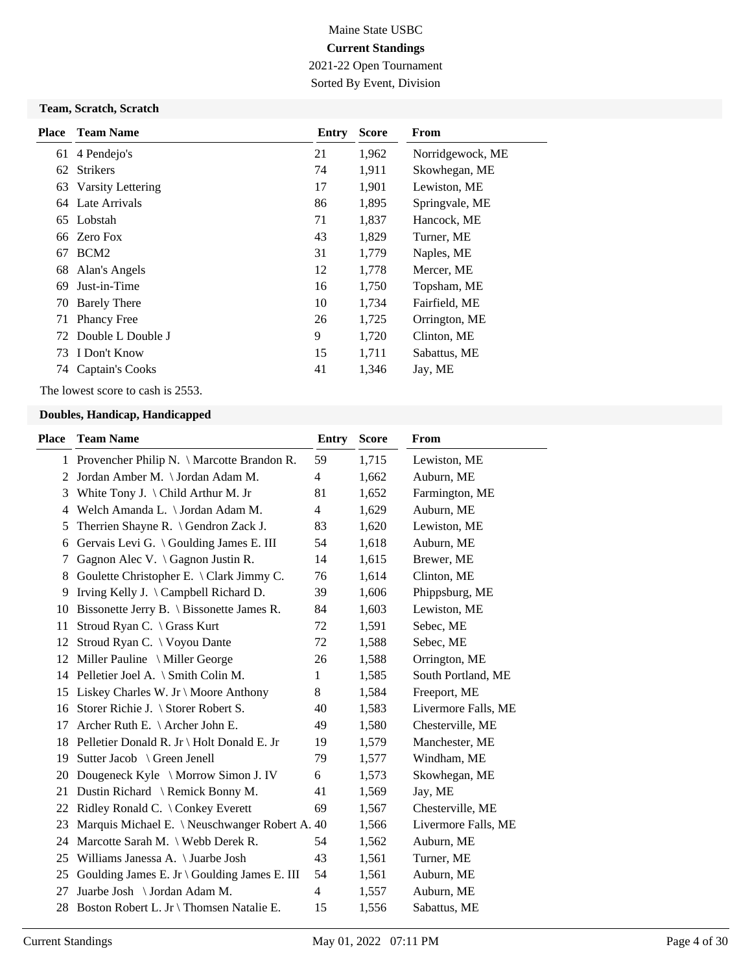2021-22 Open Tournament Sorted By Event, Division

### **Team, Scratch, Scratch**

| <b>Place</b> | <b>Team Name</b>     | Entry | <b>Score</b> | From             |
|--------------|----------------------|-------|--------------|------------------|
|              | 61 4 Pendejo's       | 21    | 1,962        | Norridgewock, ME |
| 62           | <b>Strikers</b>      | 74    | 1,911        | Skowhegan, ME    |
| 63           | Varsity Lettering    | 17    | 1,901        | Lewiston, ME     |
|              | 64 Late Arrivals     | 86    | 1,895        | Springvale, ME   |
|              | 65 Lobstah           | 71    | 1,837        | Hancock, ME      |
|              | 66 Zero Fox          | 43    | 1,829        | Turner, ME       |
| 67           | BCM <sub>2</sub>     | 31    | 1,779        | Naples, ME       |
| 68           | Alan's Angels        | 12    | 1,778        | Mercer, ME       |
| 69           | Just-in-Time         | 16    | 1,750        | Topsham, ME      |
| 70           | <b>Barely There</b>  | 10    | 1,734        | Fairfield, ME    |
| 71           | <b>Phancy Free</b>   | 26    | 1,725        | Orrington, ME    |
|              | 72 Double L Double J | 9     | 1,720        | Clinton, ME      |
| 73           | I Don't Know         | 15    | 1,711        | Sabattus, ME     |
| 74           | Captain's Cooks      | 41    | 1,346        | Jay, ME          |

The lowest score to cash is 2553.

| Place | <b>Team Name</b>                                   | <b>Entry</b>   | <b>Score</b> | <b>From</b>         |
|-------|----------------------------------------------------|----------------|--------------|---------------------|
|       | 1 Provencher Philip N. \ Marcotte Brandon R.       | 59             | 1,715        | Lewiston, ME        |
| 2     | Jordan Amber M. \ Jordan Adam M.                   | $\overline{4}$ | 1,662        | Auburn, ME          |
| 3     | White Tony J. \ Child Arthur M. Jr                 | 81             | 1,652        | Farmington, ME      |
| 4     | Welch Amanda L. \ Jordan Adam M.                   | 4              | 1,629        | Auburn, ME          |
| 5     | Therrien Shayne R. \ Gendron Zack J.               | 83             | 1,620        | Lewiston, ME        |
| 6     | Gervais Levi G. \ Goulding James E. III            | 54             | 1,618        | Auburn, ME          |
| 7     | Gagnon Alec V. $\{Gagnon Justin R.\}$              | 14             | 1,615        | Brewer, ME          |
| 8     | Goulette Christopher E. $\setminus$ Clark Jimmy C. | 76             | 1,614        | Clinton, ME         |
| 9     | Irving Kelly J. \ Campbell Richard D.              | 39             | 1,606        | Phippsburg, ME      |
| 10    | Bissonette Jerry B. \ Bissonette James R.          | 84             | 1,603        | Lewiston, ME        |
| 11    | Stroud Ryan C. \ Grass Kurt                        | 72             | 1,591        | Sebec, ME           |
| 12    | Stroud Ryan C. \ Voyou Dante                       | 72             | 1,588        | Sebec, ME           |
| 12    | Miller Pauline $\setminus$ Miller George           | 26             | 1,588        | Orrington, ME       |
|       | 14 Pelletier Joel A. \ Smith Colin M.              | 1              | 1,585        | South Portland, ME  |
| 15    | Liskey Charles W. Jr \ Moore Anthony               | 8              | 1,584        | Freeport, ME        |
| 16    | Storer Richie J. \ Storer Robert S.                | 40             | 1,583        | Livermore Falls, ME |
| 17    | Archer Ruth E. $\setminus$ Archer John E.          | 49             | 1,580        | Chesterville, ME    |
| 18    | Pelletier Donald R. Jr \ Holt Donald E. Jr         | 19             | 1,579        | Manchester, ME      |
| 19    | Sutter Jacob \ Green Jenell                        | 79             | 1,577        | Windham, ME         |
| 20    | Dougeneck Kyle \ Morrow Simon J. IV                | 6              | 1,573        | Skowhegan, ME       |
| 21    | Dustin Richard \ Remick Bonny M.                   | 41             | 1,569        | Jay, ME             |
| 22    | Ridley Ronald C. \ Conkey Everett                  | 69             | 1,567        | Chesterville, ME    |
| 23    | Marquis Michael E. \ Neuschwanger Robert A. 40     |                | 1,566        | Livermore Falls, ME |
|       | 24 Marcotte Sarah M. \ Webb Derek R.               | 54             | 1,562        | Auburn, ME          |
| 25    | Williams Janessa A. \ Juarbe Josh                  | 43             | 1,561        | Turner, ME          |
| 25    | Goulding James E. Jr \ Goulding James E. III       | 54             | 1,561        | Auburn, ME          |
| 27    | Juarbe Josh \ Jordan Adam M.                       | 4              | 1,557        | Auburn, ME          |
| 28    | Boston Robert L. Jr \ Thomsen Natalie E.           | 15             | 1,556        | Sabattus, ME        |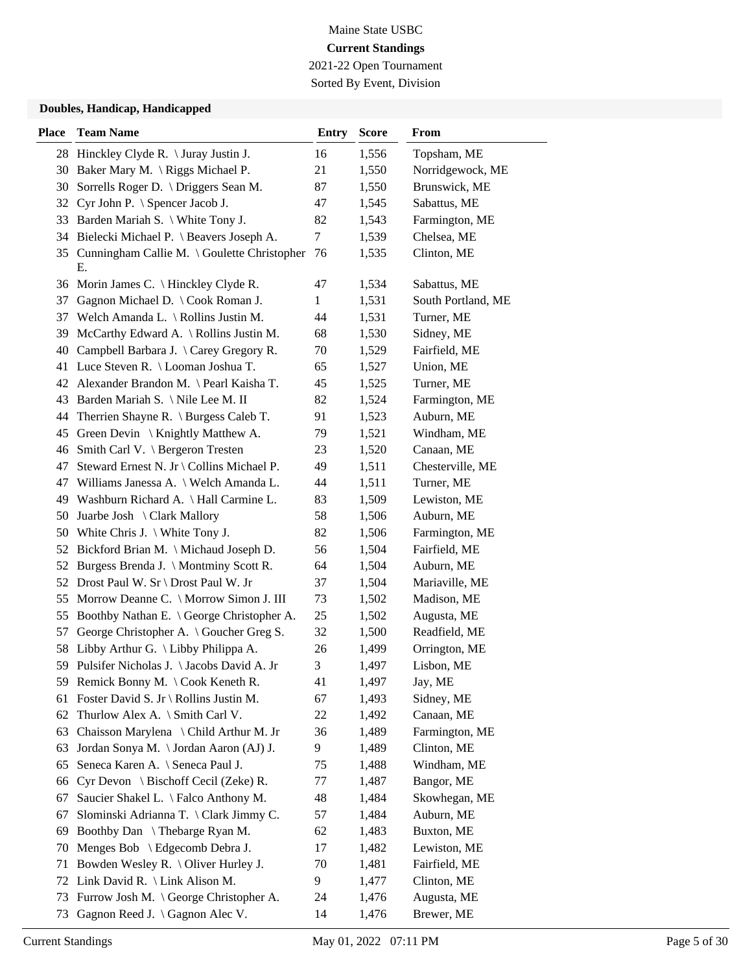2021-22 Open Tournament Sorted By Event, Division

| 28 Hinckley Clyde R. \ Juray Justin J.<br>16<br>1,556<br>Topsham, ME<br>21<br>Norridgewock, ME<br>30 Baker Mary M. \ Riggs Michael P.<br>1,550<br>Sorrells Roger D. \ Driggers Sean M.<br>Brunswick, ME<br>30<br>87<br>1,550<br>Cyr John P. \ Spencer Jacob J.<br>47<br>1,545<br>Sabattus, ME<br>32<br>33 Barden Mariah S. \ White Tony J.<br>82<br>1,543<br>Farmington, ME<br>34 Bielecki Michael P. \ Beavers Joseph A.<br>Chelsea, ME<br>7<br>1,539<br>35 Cunningham Callie M. \ Goulette Christopher<br>76<br>1,535<br>Clinton, ME<br>Е.<br>36 Morin James C. \ Hinckley Clyde R.<br>47<br>1,534<br>Sabattus, ME<br>Gagnon Michael D. \ Cook Roman J.<br>$\mathbf{1}$<br>1,531<br>South Portland, ME<br>37<br>Turner, ME<br>Welch Amanda L. \ Rollins Justin M.<br>44<br>1,531<br>37<br>McCarthy Edward A. \ Rollins Justin M.<br>68<br>1,530<br>Sidney, ME<br>39<br>Campbell Barbara J. \ Carey Gregory R.<br>70<br>40<br>1,529<br>Fairfield, ME<br>41 Luce Steven R. \ Looman Joshua T.<br>65<br>1,527<br>Union, ME<br>Alexander Brandon M. \ Pearl Kaisha T.<br>45<br>1,525<br>Turner, ME<br>42<br>Barden Mariah S. \ Nile Lee M. II<br>82<br>1,524<br>Farmington, ME<br>43<br>Auburn, ME<br>Therrien Shayne R. \ Burgess Caleb T.<br>91<br>1,523<br>44<br>79<br>Green Devin $\setminus$ Knightly Matthew A.<br>1,521<br>Windham, ME<br>45<br>Smith Carl V. \ Bergeron Tresten<br>23<br>Canaan, ME<br>1,520<br>46<br>Steward Ernest N. Jr \ Collins Michael P.<br>49<br>1,511<br>Chesterville, ME<br>47<br>Turner, ME<br>Williams Janessa A. \ Welch Amanda L.<br>44<br>1,511<br>47<br>Lewiston, ME<br>Washburn Richard A. \ Hall Carmine L.<br>83<br>1,509<br>49<br>58<br>Auburn, ME<br>Juarbe Josh \ Clark Mallory<br>1,506<br>50<br>White Chris J. $\setminus$ White Tony J.<br>82<br>1,506<br>Farmington, ME<br>50<br>Bickford Brian M. \ Michaud Joseph D.<br>56<br>1,504<br>Fairfield, ME<br>52<br>Burgess Brenda J. \ Montminy Scott R.<br>64<br>1,504<br>Auburn, ME<br>52<br>37<br>Drost Paul W. Sr \ Drost Paul W. Jr<br>1,504<br>Mariaville, ME<br>52<br>Morrow Deanne C. \ Morrow Simon J. III<br>73<br>1,502<br>Madison, ME<br>55<br>Boothby Nathan E. \ George Christopher A.<br>25<br>1,502<br>Augusta, ME<br>55<br>57<br>George Christopher A. \ Goucher Greg S.<br>32<br>Readfield, ME<br>1,500<br>Libby Arthur G. \ Libby Philippa A.<br>Orrington, ME<br>26<br>58<br>1,499<br>3<br>Pulsifer Nicholas J. \ Jacobs David A. Jr<br>Lisbon, ME<br>59<br>1,497<br>59 Remick Bonny M. \ Cook Keneth R.<br>1,497<br>41<br>Jay, ME<br>Foster David S. Jr \ Rollins Justin M.<br>67<br>1,493<br>Sidney, ME<br>61<br>Thurlow Alex A. \ Smith Carl V.<br>$22\,$<br>1,492<br>Canaan, ME<br>62<br>Chaisson Marylena \ Child Arthur M. Jr<br>Farmington, ME<br>36<br>1,489<br>63<br>Jordan Sonya M. \Jordan Aaron (AJ) J.<br>1,489<br>Clinton, ME<br>63<br>9<br>Seneca Karen A. \ Seneca Paul J.<br>75<br>1,488<br>Windham, ME<br>65<br>Cyr Devon \ Bischoff Cecil (Zeke) R.<br>$77 \,$<br>1,487<br>Bangor, ME<br>66<br>Saucier Shakel L. \ Falco Anthony M.<br>Skowhegan, ME<br>48<br>1,484<br>67<br>Slominski Adrianna T. \ Clark Jimmy C.<br>57<br>Auburn, ME<br>67<br>1,484<br>Boothby Dan \ Thebarge Ryan M.<br>62<br>1,483<br>Buxton, ME<br>69<br>Menges Bob \ Edgecomb Debra J.<br>17<br>1,482<br>Lewiston, ME<br>70<br>Bowden Wesley R. \ Oliver Hurley J.<br>70<br>1,481<br>Fairfield, ME<br>71 | <b>Place</b> | <b>Team Name</b>               | <b>Entry</b> | <b>Score</b> | From        |
|---------------------------------------------------------------------------------------------------------------------------------------------------------------------------------------------------------------------------------------------------------------------------------------------------------------------------------------------------------------------------------------------------------------------------------------------------------------------------------------------------------------------------------------------------------------------------------------------------------------------------------------------------------------------------------------------------------------------------------------------------------------------------------------------------------------------------------------------------------------------------------------------------------------------------------------------------------------------------------------------------------------------------------------------------------------------------------------------------------------------------------------------------------------------------------------------------------------------------------------------------------------------------------------------------------------------------------------------------------------------------------------------------------------------------------------------------------------------------------------------------------------------------------------------------------------------------------------------------------------------------------------------------------------------------------------------------------------------------------------------------------------------------------------------------------------------------------------------------------------------------------------------------------------------------------------------------------------------------------------------------------------------------------------------------------------------------------------------------------------------------------------------------------------------------------------------------------------------------------------------------------------------------------------------------------------------------------------------------------------------------------------------------------------------------------------------------------------------------------------------------------------------------------------------------------------------------------------------------------------------------------------------------------------------------------------------------------------------------------------------------------------------------------------------------------------------------------------------------------------------------------------------------------------------------------------------------------------------------------------------------------------------------------------------------------------------------------------------------------------------------------------------------------------------------------------------------------------------------------------------------------------------------------------------------------------------------------------------------------------------------------------------------------------------|--------------|--------------------------------|--------------|--------------|-------------|
|                                                                                                                                                                                                                                                                                                                                                                                                                                                                                                                                                                                                                                                                                                                                                                                                                                                                                                                                                                                                                                                                                                                                                                                                                                                                                                                                                                                                                                                                                                                                                                                                                                                                                                                                                                                                                                                                                                                                                                                                                                                                                                                                                                                                                                                                                                                                                                                                                                                                                                                                                                                                                                                                                                                                                                                                                                                                                                                                                                                                                                                                                                                                                                                                                                                                                                                                                                                                                     |              |                                |              |              |             |
|                                                                                                                                                                                                                                                                                                                                                                                                                                                                                                                                                                                                                                                                                                                                                                                                                                                                                                                                                                                                                                                                                                                                                                                                                                                                                                                                                                                                                                                                                                                                                                                                                                                                                                                                                                                                                                                                                                                                                                                                                                                                                                                                                                                                                                                                                                                                                                                                                                                                                                                                                                                                                                                                                                                                                                                                                                                                                                                                                                                                                                                                                                                                                                                                                                                                                                                                                                                                                     |              |                                |              |              |             |
|                                                                                                                                                                                                                                                                                                                                                                                                                                                                                                                                                                                                                                                                                                                                                                                                                                                                                                                                                                                                                                                                                                                                                                                                                                                                                                                                                                                                                                                                                                                                                                                                                                                                                                                                                                                                                                                                                                                                                                                                                                                                                                                                                                                                                                                                                                                                                                                                                                                                                                                                                                                                                                                                                                                                                                                                                                                                                                                                                                                                                                                                                                                                                                                                                                                                                                                                                                                                                     |              |                                |              |              |             |
|                                                                                                                                                                                                                                                                                                                                                                                                                                                                                                                                                                                                                                                                                                                                                                                                                                                                                                                                                                                                                                                                                                                                                                                                                                                                                                                                                                                                                                                                                                                                                                                                                                                                                                                                                                                                                                                                                                                                                                                                                                                                                                                                                                                                                                                                                                                                                                                                                                                                                                                                                                                                                                                                                                                                                                                                                                                                                                                                                                                                                                                                                                                                                                                                                                                                                                                                                                                                                     |              |                                |              |              |             |
|                                                                                                                                                                                                                                                                                                                                                                                                                                                                                                                                                                                                                                                                                                                                                                                                                                                                                                                                                                                                                                                                                                                                                                                                                                                                                                                                                                                                                                                                                                                                                                                                                                                                                                                                                                                                                                                                                                                                                                                                                                                                                                                                                                                                                                                                                                                                                                                                                                                                                                                                                                                                                                                                                                                                                                                                                                                                                                                                                                                                                                                                                                                                                                                                                                                                                                                                                                                                                     |              |                                |              |              |             |
|                                                                                                                                                                                                                                                                                                                                                                                                                                                                                                                                                                                                                                                                                                                                                                                                                                                                                                                                                                                                                                                                                                                                                                                                                                                                                                                                                                                                                                                                                                                                                                                                                                                                                                                                                                                                                                                                                                                                                                                                                                                                                                                                                                                                                                                                                                                                                                                                                                                                                                                                                                                                                                                                                                                                                                                                                                                                                                                                                                                                                                                                                                                                                                                                                                                                                                                                                                                                                     |              |                                |              |              |             |
|                                                                                                                                                                                                                                                                                                                                                                                                                                                                                                                                                                                                                                                                                                                                                                                                                                                                                                                                                                                                                                                                                                                                                                                                                                                                                                                                                                                                                                                                                                                                                                                                                                                                                                                                                                                                                                                                                                                                                                                                                                                                                                                                                                                                                                                                                                                                                                                                                                                                                                                                                                                                                                                                                                                                                                                                                                                                                                                                                                                                                                                                                                                                                                                                                                                                                                                                                                                                                     |              |                                |              |              |             |
|                                                                                                                                                                                                                                                                                                                                                                                                                                                                                                                                                                                                                                                                                                                                                                                                                                                                                                                                                                                                                                                                                                                                                                                                                                                                                                                                                                                                                                                                                                                                                                                                                                                                                                                                                                                                                                                                                                                                                                                                                                                                                                                                                                                                                                                                                                                                                                                                                                                                                                                                                                                                                                                                                                                                                                                                                                                                                                                                                                                                                                                                                                                                                                                                                                                                                                                                                                                                                     |              |                                |              |              |             |
|                                                                                                                                                                                                                                                                                                                                                                                                                                                                                                                                                                                                                                                                                                                                                                                                                                                                                                                                                                                                                                                                                                                                                                                                                                                                                                                                                                                                                                                                                                                                                                                                                                                                                                                                                                                                                                                                                                                                                                                                                                                                                                                                                                                                                                                                                                                                                                                                                                                                                                                                                                                                                                                                                                                                                                                                                                                                                                                                                                                                                                                                                                                                                                                                                                                                                                                                                                                                                     |              |                                |              |              |             |
|                                                                                                                                                                                                                                                                                                                                                                                                                                                                                                                                                                                                                                                                                                                                                                                                                                                                                                                                                                                                                                                                                                                                                                                                                                                                                                                                                                                                                                                                                                                                                                                                                                                                                                                                                                                                                                                                                                                                                                                                                                                                                                                                                                                                                                                                                                                                                                                                                                                                                                                                                                                                                                                                                                                                                                                                                                                                                                                                                                                                                                                                                                                                                                                                                                                                                                                                                                                                                     |              |                                |              |              |             |
|                                                                                                                                                                                                                                                                                                                                                                                                                                                                                                                                                                                                                                                                                                                                                                                                                                                                                                                                                                                                                                                                                                                                                                                                                                                                                                                                                                                                                                                                                                                                                                                                                                                                                                                                                                                                                                                                                                                                                                                                                                                                                                                                                                                                                                                                                                                                                                                                                                                                                                                                                                                                                                                                                                                                                                                                                                                                                                                                                                                                                                                                                                                                                                                                                                                                                                                                                                                                                     |              |                                |              |              |             |
|                                                                                                                                                                                                                                                                                                                                                                                                                                                                                                                                                                                                                                                                                                                                                                                                                                                                                                                                                                                                                                                                                                                                                                                                                                                                                                                                                                                                                                                                                                                                                                                                                                                                                                                                                                                                                                                                                                                                                                                                                                                                                                                                                                                                                                                                                                                                                                                                                                                                                                                                                                                                                                                                                                                                                                                                                                                                                                                                                                                                                                                                                                                                                                                                                                                                                                                                                                                                                     |              |                                |              |              |             |
|                                                                                                                                                                                                                                                                                                                                                                                                                                                                                                                                                                                                                                                                                                                                                                                                                                                                                                                                                                                                                                                                                                                                                                                                                                                                                                                                                                                                                                                                                                                                                                                                                                                                                                                                                                                                                                                                                                                                                                                                                                                                                                                                                                                                                                                                                                                                                                                                                                                                                                                                                                                                                                                                                                                                                                                                                                                                                                                                                                                                                                                                                                                                                                                                                                                                                                                                                                                                                     |              |                                |              |              |             |
|                                                                                                                                                                                                                                                                                                                                                                                                                                                                                                                                                                                                                                                                                                                                                                                                                                                                                                                                                                                                                                                                                                                                                                                                                                                                                                                                                                                                                                                                                                                                                                                                                                                                                                                                                                                                                                                                                                                                                                                                                                                                                                                                                                                                                                                                                                                                                                                                                                                                                                                                                                                                                                                                                                                                                                                                                                                                                                                                                                                                                                                                                                                                                                                                                                                                                                                                                                                                                     |              |                                |              |              |             |
|                                                                                                                                                                                                                                                                                                                                                                                                                                                                                                                                                                                                                                                                                                                                                                                                                                                                                                                                                                                                                                                                                                                                                                                                                                                                                                                                                                                                                                                                                                                                                                                                                                                                                                                                                                                                                                                                                                                                                                                                                                                                                                                                                                                                                                                                                                                                                                                                                                                                                                                                                                                                                                                                                                                                                                                                                                                                                                                                                                                                                                                                                                                                                                                                                                                                                                                                                                                                                     |              |                                |              |              |             |
|                                                                                                                                                                                                                                                                                                                                                                                                                                                                                                                                                                                                                                                                                                                                                                                                                                                                                                                                                                                                                                                                                                                                                                                                                                                                                                                                                                                                                                                                                                                                                                                                                                                                                                                                                                                                                                                                                                                                                                                                                                                                                                                                                                                                                                                                                                                                                                                                                                                                                                                                                                                                                                                                                                                                                                                                                                                                                                                                                                                                                                                                                                                                                                                                                                                                                                                                                                                                                     |              |                                |              |              |             |
|                                                                                                                                                                                                                                                                                                                                                                                                                                                                                                                                                                                                                                                                                                                                                                                                                                                                                                                                                                                                                                                                                                                                                                                                                                                                                                                                                                                                                                                                                                                                                                                                                                                                                                                                                                                                                                                                                                                                                                                                                                                                                                                                                                                                                                                                                                                                                                                                                                                                                                                                                                                                                                                                                                                                                                                                                                                                                                                                                                                                                                                                                                                                                                                                                                                                                                                                                                                                                     |              |                                |              |              |             |
|                                                                                                                                                                                                                                                                                                                                                                                                                                                                                                                                                                                                                                                                                                                                                                                                                                                                                                                                                                                                                                                                                                                                                                                                                                                                                                                                                                                                                                                                                                                                                                                                                                                                                                                                                                                                                                                                                                                                                                                                                                                                                                                                                                                                                                                                                                                                                                                                                                                                                                                                                                                                                                                                                                                                                                                                                                                                                                                                                                                                                                                                                                                                                                                                                                                                                                                                                                                                                     |              |                                |              |              |             |
|                                                                                                                                                                                                                                                                                                                                                                                                                                                                                                                                                                                                                                                                                                                                                                                                                                                                                                                                                                                                                                                                                                                                                                                                                                                                                                                                                                                                                                                                                                                                                                                                                                                                                                                                                                                                                                                                                                                                                                                                                                                                                                                                                                                                                                                                                                                                                                                                                                                                                                                                                                                                                                                                                                                                                                                                                                                                                                                                                                                                                                                                                                                                                                                                                                                                                                                                                                                                                     |              |                                |              |              |             |
|                                                                                                                                                                                                                                                                                                                                                                                                                                                                                                                                                                                                                                                                                                                                                                                                                                                                                                                                                                                                                                                                                                                                                                                                                                                                                                                                                                                                                                                                                                                                                                                                                                                                                                                                                                                                                                                                                                                                                                                                                                                                                                                                                                                                                                                                                                                                                                                                                                                                                                                                                                                                                                                                                                                                                                                                                                                                                                                                                                                                                                                                                                                                                                                                                                                                                                                                                                                                                     |              |                                |              |              |             |
|                                                                                                                                                                                                                                                                                                                                                                                                                                                                                                                                                                                                                                                                                                                                                                                                                                                                                                                                                                                                                                                                                                                                                                                                                                                                                                                                                                                                                                                                                                                                                                                                                                                                                                                                                                                                                                                                                                                                                                                                                                                                                                                                                                                                                                                                                                                                                                                                                                                                                                                                                                                                                                                                                                                                                                                                                                                                                                                                                                                                                                                                                                                                                                                                                                                                                                                                                                                                                     |              |                                |              |              |             |
|                                                                                                                                                                                                                                                                                                                                                                                                                                                                                                                                                                                                                                                                                                                                                                                                                                                                                                                                                                                                                                                                                                                                                                                                                                                                                                                                                                                                                                                                                                                                                                                                                                                                                                                                                                                                                                                                                                                                                                                                                                                                                                                                                                                                                                                                                                                                                                                                                                                                                                                                                                                                                                                                                                                                                                                                                                                                                                                                                                                                                                                                                                                                                                                                                                                                                                                                                                                                                     |              |                                |              |              |             |
|                                                                                                                                                                                                                                                                                                                                                                                                                                                                                                                                                                                                                                                                                                                                                                                                                                                                                                                                                                                                                                                                                                                                                                                                                                                                                                                                                                                                                                                                                                                                                                                                                                                                                                                                                                                                                                                                                                                                                                                                                                                                                                                                                                                                                                                                                                                                                                                                                                                                                                                                                                                                                                                                                                                                                                                                                                                                                                                                                                                                                                                                                                                                                                                                                                                                                                                                                                                                                     |              |                                |              |              |             |
|                                                                                                                                                                                                                                                                                                                                                                                                                                                                                                                                                                                                                                                                                                                                                                                                                                                                                                                                                                                                                                                                                                                                                                                                                                                                                                                                                                                                                                                                                                                                                                                                                                                                                                                                                                                                                                                                                                                                                                                                                                                                                                                                                                                                                                                                                                                                                                                                                                                                                                                                                                                                                                                                                                                                                                                                                                                                                                                                                                                                                                                                                                                                                                                                                                                                                                                                                                                                                     |              |                                |              |              |             |
|                                                                                                                                                                                                                                                                                                                                                                                                                                                                                                                                                                                                                                                                                                                                                                                                                                                                                                                                                                                                                                                                                                                                                                                                                                                                                                                                                                                                                                                                                                                                                                                                                                                                                                                                                                                                                                                                                                                                                                                                                                                                                                                                                                                                                                                                                                                                                                                                                                                                                                                                                                                                                                                                                                                                                                                                                                                                                                                                                                                                                                                                                                                                                                                                                                                                                                                                                                                                                     |              |                                |              |              |             |
|                                                                                                                                                                                                                                                                                                                                                                                                                                                                                                                                                                                                                                                                                                                                                                                                                                                                                                                                                                                                                                                                                                                                                                                                                                                                                                                                                                                                                                                                                                                                                                                                                                                                                                                                                                                                                                                                                                                                                                                                                                                                                                                                                                                                                                                                                                                                                                                                                                                                                                                                                                                                                                                                                                                                                                                                                                                                                                                                                                                                                                                                                                                                                                                                                                                                                                                                                                                                                     |              |                                |              |              |             |
|                                                                                                                                                                                                                                                                                                                                                                                                                                                                                                                                                                                                                                                                                                                                                                                                                                                                                                                                                                                                                                                                                                                                                                                                                                                                                                                                                                                                                                                                                                                                                                                                                                                                                                                                                                                                                                                                                                                                                                                                                                                                                                                                                                                                                                                                                                                                                                                                                                                                                                                                                                                                                                                                                                                                                                                                                                                                                                                                                                                                                                                                                                                                                                                                                                                                                                                                                                                                                     |              |                                |              |              |             |
|                                                                                                                                                                                                                                                                                                                                                                                                                                                                                                                                                                                                                                                                                                                                                                                                                                                                                                                                                                                                                                                                                                                                                                                                                                                                                                                                                                                                                                                                                                                                                                                                                                                                                                                                                                                                                                                                                                                                                                                                                                                                                                                                                                                                                                                                                                                                                                                                                                                                                                                                                                                                                                                                                                                                                                                                                                                                                                                                                                                                                                                                                                                                                                                                                                                                                                                                                                                                                     |              |                                |              |              |             |
|                                                                                                                                                                                                                                                                                                                                                                                                                                                                                                                                                                                                                                                                                                                                                                                                                                                                                                                                                                                                                                                                                                                                                                                                                                                                                                                                                                                                                                                                                                                                                                                                                                                                                                                                                                                                                                                                                                                                                                                                                                                                                                                                                                                                                                                                                                                                                                                                                                                                                                                                                                                                                                                                                                                                                                                                                                                                                                                                                                                                                                                                                                                                                                                                                                                                                                                                                                                                                     |              |                                |              |              |             |
|                                                                                                                                                                                                                                                                                                                                                                                                                                                                                                                                                                                                                                                                                                                                                                                                                                                                                                                                                                                                                                                                                                                                                                                                                                                                                                                                                                                                                                                                                                                                                                                                                                                                                                                                                                                                                                                                                                                                                                                                                                                                                                                                                                                                                                                                                                                                                                                                                                                                                                                                                                                                                                                                                                                                                                                                                                                                                                                                                                                                                                                                                                                                                                                                                                                                                                                                                                                                                     |              |                                |              |              |             |
|                                                                                                                                                                                                                                                                                                                                                                                                                                                                                                                                                                                                                                                                                                                                                                                                                                                                                                                                                                                                                                                                                                                                                                                                                                                                                                                                                                                                                                                                                                                                                                                                                                                                                                                                                                                                                                                                                                                                                                                                                                                                                                                                                                                                                                                                                                                                                                                                                                                                                                                                                                                                                                                                                                                                                                                                                                                                                                                                                                                                                                                                                                                                                                                                                                                                                                                                                                                                                     |              |                                |              |              |             |
|                                                                                                                                                                                                                                                                                                                                                                                                                                                                                                                                                                                                                                                                                                                                                                                                                                                                                                                                                                                                                                                                                                                                                                                                                                                                                                                                                                                                                                                                                                                                                                                                                                                                                                                                                                                                                                                                                                                                                                                                                                                                                                                                                                                                                                                                                                                                                                                                                                                                                                                                                                                                                                                                                                                                                                                                                                                                                                                                                                                                                                                                                                                                                                                                                                                                                                                                                                                                                     |              |                                |              |              |             |
|                                                                                                                                                                                                                                                                                                                                                                                                                                                                                                                                                                                                                                                                                                                                                                                                                                                                                                                                                                                                                                                                                                                                                                                                                                                                                                                                                                                                                                                                                                                                                                                                                                                                                                                                                                                                                                                                                                                                                                                                                                                                                                                                                                                                                                                                                                                                                                                                                                                                                                                                                                                                                                                                                                                                                                                                                                                                                                                                                                                                                                                                                                                                                                                                                                                                                                                                                                                                                     |              |                                |              |              |             |
|                                                                                                                                                                                                                                                                                                                                                                                                                                                                                                                                                                                                                                                                                                                                                                                                                                                                                                                                                                                                                                                                                                                                                                                                                                                                                                                                                                                                                                                                                                                                                                                                                                                                                                                                                                                                                                                                                                                                                                                                                                                                                                                                                                                                                                                                                                                                                                                                                                                                                                                                                                                                                                                                                                                                                                                                                                                                                                                                                                                                                                                                                                                                                                                                                                                                                                                                                                                                                     |              |                                |              |              |             |
|                                                                                                                                                                                                                                                                                                                                                                                                                                                                                                                                                                                                                                                                                                                                                                                                                                                                                                                                                                                                                                                                                                                                                                                                                                                                                                                                                                                                                                                                                                                                                                                                                                                                                                                                                                                                                                                                                                                                                                                                                                                                                                                                                                                                                                                                                                                                                                                                                                                                                                                                                                                                                                                                                                                                                                                                                                                                                                                                                                                                                                                                                                                                                                                                                                                                                                                                                                                                                     |              |                                |              |              |             |
|                                                                                                                                                                                                                                                                                                                                                                                                                                                                                                                                                                                                                                                                                                                                                                                                                                                                                                                                                                                                                                                                                                                                                                                                                                                                                                                                                                                                                                                                                                                                                                                                                                                                                                                                                                                                                                                                                                                                                                                                                                                                                                                                                                                                                                                                                                                                                                                                                                                                                                                                                                                                                                                                                                                                                                                                                                                                                                                                                                                                                                                                                                                                                                                                                                                                                                                                                                                                                     |              |                                |              |              |             |
|                                                                                                                                                                                                                                                                                                                                                                                                                                                                                                                                                                                                                                                                                                                                                                                                                                                                                                                                                                                                                                                                                                                                                                                                                                                                                                                                                                                                                                                                                                                                                                                                                                                                                                                                                                                                                                                                                                                                                                                                                                                                                                                                                                                                                                                                                                                                                                                                                                                                                                                                                                                                                                                                                                                                                                                                                                                                                                                                                                                                                                                                                                                                                                                                                                                                                                                                                                                                                     |              |                                |              |              |             |
|                                                                                                                                                                                                                                                                                                                                                                                                                                                                                                                                                                                                                                                                                                                                                                                                                                                                                                                                                                                                                                                                                                                                                                                                                                                                                                                                                                                                                                                                                                                                                                                                                                                                                                                                                                                                                                                                                                                                                                                                                                                                                                                                                                                                                                                                                                                                                                                                                                                                                                                                                                                                                                                                                                                                                                                                                                                                                                                                                                                                                                                                                                                                                                                                                                                                                                                                                                                                                     |              |                                |              |              |             |
|                                                                                                                                                                                                                                                                                                                                                                                                                                                                                                                                                                                                                                                                                                                                                                                                                                                                                                                                                                                                                                                                                                                                                                                                                                                                                                                                                                                                                                                                                                                                                                                                                                                                                                                                                                                                                                                                                                                                                                                                                                                                                                                                                                                                                                                                                                                                                                                                                                                                                                                                                                                                                                                                                                                                                                                                                                                                                                                                                                                                                                                                                                                                                                                                                                                                                                                                                                                                                     |              |                                |              |              |             |
|                                                                                                                                                                                                                                                                                                                                                                                                                                                                                                                                                                                                                                                                                                                                                                                                                                                                                                                                                                                                                                                                                                                                                                                                                                                                                                                                                                                                                                                                                                                                                                                                                                                                                                                                                                                                                                                                                                                                                                                                                                                                                                                                                                                                                                                                                                                                                                                                                                                                                                                                                                                                                                                                                                                                                                                                                                                                                                                                                                                                                                                                                                                                                                                                                                                                                                                                                                                                                     |              |                                |              |              |             |
|                                                                                                                                                                                                                                                                                                                                                                                                                                                                                                                                                                                                                                                                                                                                                                                                                                                                                                                                                                                                                                                                                                                                                                                                                                                                                                                                                                                                                                                                                                                                                                                                                                                                                                                                                                                                                                                                                                                                                                                                                                                                                                                                                                                                                                                                                                                                                                                                                                                                                                                                                                                                                                                                                                                                                                                                                                                                                                                                                                                                                                                                                                                                                                                                                                                                                                                                                                                                                     |              |                                |              |              |             |
|                                                                                                                                                                                                                                                                                                                                                                                                                                                                                                                                                                                                                                                                                                                                                                                                                                                                                                                                                                                                                                                                                                                                                                                                                                                                                                                                                                                                                                                                                                                                                                                                                                                                                                                                                                                                                                                                                                                                                                                                                                                                                                                                                                                                                                                                                                                                                                                                                                                                                                                                                                                                                                                                                                                                                                                                                                                                                                                                                                                                                                                                                                                                                                                                                                                                                                                                                                                                                     |              |                                |              |              |             |
|                                                                                                                                                                                                                                                                                                                                                                                                                                                                                                                                                                                                                                                                                                                                                                                                                                                                                                                                                                                                                                                                                                                                                                                                                                                                                                                                                                                                                                                                                                                                                                                                                                                                                                                                                                                                                                                                                                                                                                                                                                                                                                                                                                                                                                                                                                                                                                                                                                                                                                                                                                                                                                                                                                                                                                                                                                                                                                                                                                                                                                                                                                                                                                                                                                                                                                                                                                                                                     |              |                                |              |              |             |
|                                                                                                                                                                                                                                                                                                                                                                                                                                                                                                                                                                                                                                                                                                                                                                                                                                                                                                                                                                                                                                                                                                                                                                                                                                                                                                                                                                                                                                                                                                                                                                                                                                                                                                                                                                                                                                                                                                                                                                                                                                                                                                                                                                                                                                                                                                                                                                                                                                                                                                                                                                                                                                                                                                                                                                                                                                                                                                                                                                                                                                                                                                                                                                                                                                                                                                                                                                                                                     | 72           | Link David R. \ Link Alison M. | 9            | 1,477        | Clinton, ME |
| Furrow Josh M. \ George Christopher A.<br>24<br>1,476<br>Augusta, ME<br>73                                                                                                                                                                                                                                                                                                                                                                                                                                                                                                                                                                                                                                                                                                                                                                                                                                                                                                                                                                                                                                                                                                                                                                                                                                                                                                                                                                                                                                                                                                                                                                                                                                                                                                                                                                                                                                                                                                                                                                                                                                                                                                                                                                                                                                                                                                                                                                                                                                                                                                                                                                                                                                                                                                                                                                                                                                                                                                                                                                                                                                                                                                                                                                                                                                                                                                                                          |              |                                |              |              |             |
| Gagnon Reed J. \ Gagnon Alec V.<br>14<br>1,476<br>Brewer, ME<br>73                                                                                                                                                                                                                                                                                                                                                                                                                                                                                                                                                                                                                                                                                                                                                                                                                                                                                                                                                                                                                                                                                                                                                                                                                                                                                                                                                                                                                                                                                                                                                                                                                                                                                                                                                                                                                                                                                                                                                                                                                                                                                                                                                                                                                                                                                                                                                                                                                                                                                                                                                                                                                                                                                                                                                                                                                                                                                                                                                                                                                                                                                                                                                                                                                                                                                                                                                  |              |                                |              |              |             |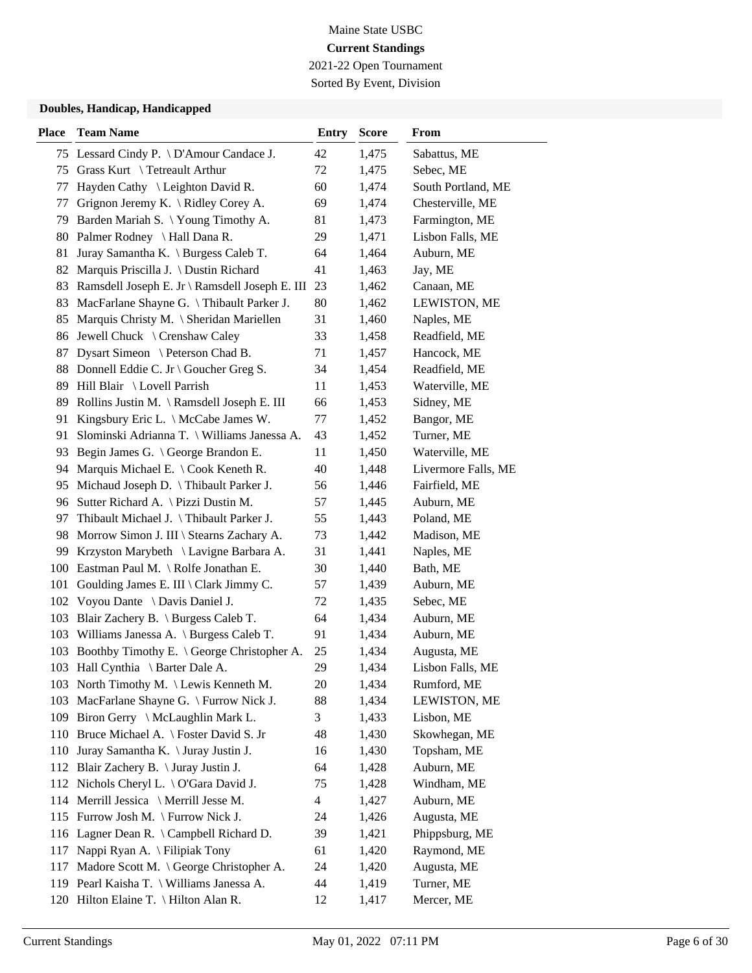2021-22 Open Tournament

Sorted By Event, Division

| <b>Place</b> | <b>Team Name</b>                                     | <b>Entry</b> | <b>Score</b> | From                |
|--------------|------------------------------------------------------|--------------|--------------|---------------------|
|              | 75 Lessard Cindy P. \ D'Amour Candace J.             | 42           | 1,475        | Sabattus, ME        |
| 75           | Grass Kurt \ Tetreault Arthur                        | 72           | 1,475        | Sebec, ME           |
| 77           | Hayden Cathy \ Leighton David R.                     | 60           | 1,474        | South Portland, ME  |
| 77           | Grignon Jeremy K. \ Ridley Corey A.                  | 69           | 1,474        | Chesterville, ME    |
| 79           | Barden Mariah S. \ Young Timothy A.                  | 81           | 1,473        | Farmington, ME      |
|              | 80 Palmer Rodney \ Hall Dana R.                      | 29           | 1,471        | Lisbon Falls, ME    |
| 81           | Juray Samantha K. \ Burgess Caleb T.                 | 64           | 1,464        | Auburn, ME          |
| 82           | Marquis Priscilla J. \ Dustin Richard                | 41           | 1,463        | Jay, ME             |
| 83           | Ramsdell Joseph E. Jr \ Ramsdell Joseph E. III       | 23           | 1,462        | Canaan, ME          |
| 83           | MacFarlane Shayne G. \Thibault Parker J.             | 80           | 1,462        | LEWISTON, ME        |
| 85           | Marquis Christy M. \ Sheridan Mariellen              | 31           | 1,460        | Naples, ME          |
| 86           | Jewell Chuck \ Crenshaw Caley                        | 33           | 1,458        | Readfield, ME       |
| 87           | Dysart Simeon \ Peterson Chad B.                     | 71           | 1,457        | Hancock, ME         |
| 88           | Donnell Eddie C. Jr \ Goucher Greg S.                | 34           | 1,454        | Readfield, ME       |
| 89           | Hill Blair \ Lovell Parrish                          | 11           | 1,453        | Waterville, ME      |
| 89           | Rollins Justin M. \ Ramsdell Joseph E. III           | 66           | 1,453        | Sidney, ME          |
| 91           | Kingsbury Eric L. \ McCabe James W.                  | 77           | 1,452        | Bangor, ME          |
| 91           | Slominski Adrianna T. \ Williams Janessa A.          | 43           | 1,452        | Turner, ME          |
| 93           | Begin James G. \ George Brandon E.                   | 11           | 1,450        | Waterville, ME      |
| 94           | Marquis Michael E. \ Cook Keneth R.                  | 40           | 1,448        | Livermore Falls, ME |
| 95           | Michaud Joseph D. \ Thibault Parker J.               | 56           | 1,446        | Fairfield, ME       |
| 96           | Sutter Richard A. \ Pizzi Dustin M.                  | 57           | 1,445        | Auburn, ME          |
| 97           | Thibault Michael J. \Thibault Parker J.              | 55           | 1,443        | Poland, ME          |
| 98           | Morrow Simon J. III \ Stearns Zachary A.             | 73           | 1,442        | Madison, ME         |
| 99           | Krzyston Marybeth \ Lavigne Barbara A.               | 31           | 1,441        | Naples, ME          |
| 100          | Eastman Paul M. \ Rolfe Jonathan E.                  | 30           | 1,440        | Bath, ME            |
| 101          | Goulding James E. III \ Clark Jimmy C.               | 57           | 1,439        | Auburn, ME          |
|              | 102 Voyou Dante \ Davis Daniel J.                    | 72           | 1,435        | Sebec, ME           |
| 103          | Blair Zachery B. \ Burgess Caleb T.                  | 64           | 1,434        | Auburn, ME          |
| 103          | Williams Janessa A. \ Burgess Caleb T.               | 91           | 1,434        | Auburn, ME          |
| 103          | Boothby Timothy E. $\setminus$ George Christopher A. | 25           | 1,434        | Augusta, ME         |
|              | 103 Hall Cynthia \ Barter Dale A.                    | 29           | 1,434        | Lisbon Falls, ME    |
|              | 103 North Timothy M. \Lewis Kenneth M.               | 20           | 1,434        | Rumford, ME         |
| 103          | MacFarlane Shayne G. \ Furrow Nick J.                | 88           | 1,434        | LEWISTON, ME        |
| 109          | Biron Gerry \ McLaughlin Mark L.                     | 3            | 1,433        | Lisbon, ME          |
|              | 110 Bruce Michael A. \ Foster David S. Jr            | 48           | 1,430        | Skowhegan, ME       |
| 110          | Juray Samantha K. \ Juray Justin J.                  | 16           | 1,430        | Topsham, ME         |
| 112          | Blair Zachery B. \ Juray Justin J.                   | 64           | 1,428        | Auburn, ME          |
| 112          | Nichols Cheryl L. $\setminus$ O'Gara David J.        | 75           | 1,428        | Windham, ME         |
|              | 114 Merrill Jessica \ Merrill Jesse M.               | 4            | 1,427        | Auburn, ME          |
| 115          | Furrow Josh M. \ Furrow Nick J.                      | 24           | 1,426        | Augusta, ME         |
| 116          | Lagner Dean R. \ Campbell Richard D.                 | 39           | 1,421        | Phippsburg, ME      |
| 117          | Nappi Ryan A. \ Filipiak Tony                        | 61           | 1,420        | Raymond, ME         |
| 117          | Madore Scott M. \ George Christopher A.              | 24           | 1,420        | Augusta, ME         |
|              | 119 Pearl Kaisha T. \ Williams Janessa A.            | 44           | 1,419        | Turner, ME          |
|              | 120 Hilton Elaine T. \ Hilton Alan R.                | 12           | 1,417        | Mercer, ME          |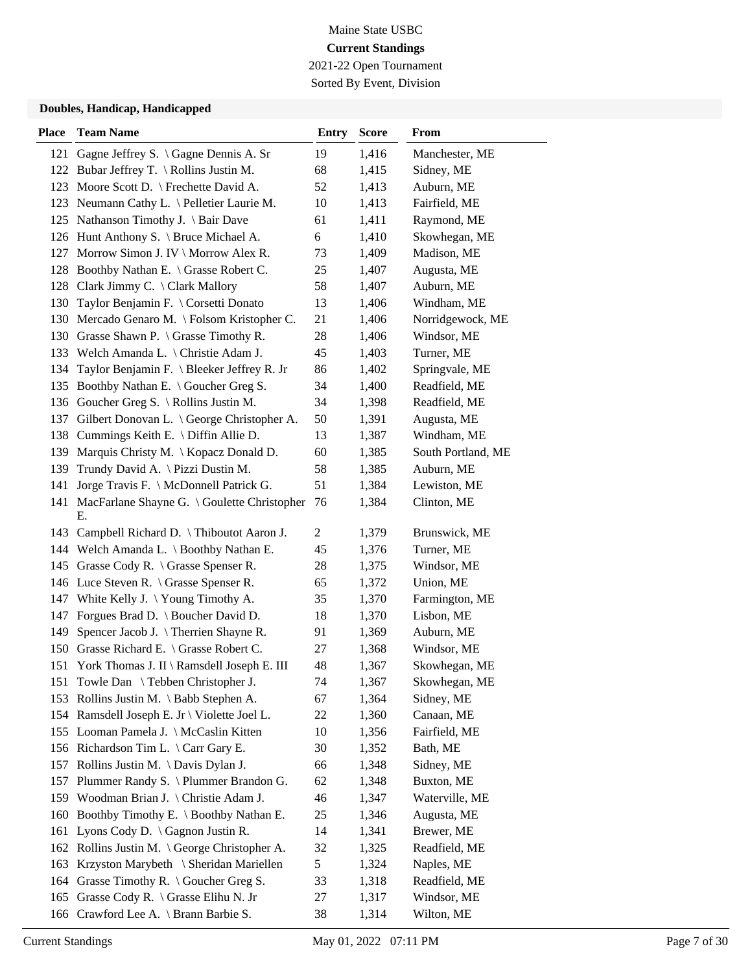2021-22 Open Tournament Sorted By Event, Division

| <b>Place</b> | <b>Team Name</b>                                      | <b>Entry</b>   | <b>Score</b> | From               |
|--------------|-------------------------------------------------------|----------------|--------------|--------------------|
|              | 121 Gagne Jeffrey S. \ Gagne Dennis A. Sr             | 19             | 1,416        | Manchester, ME     |
|              | 122 Bubar Jeffrey T. \ Rollins Justin M.              | 68             | 1,415        | Sidney, ME         |
| 123          | Moore Scott D. \ Frechette David A.                   | 52             | 1,413        | Auburn, ME         |
|              | 123 Neumann Cathy L. \ Pelletier Laurie M.            | 10             | 1,413        | Fairfield, ME      |
|              | 125 Nathanson Timothy J. \ Bair Dave                  | 61             | 1,411        | Raymond, ME        |
|              | 126 Hunt Anthony S. \ Bruce Michael A.                | 6              | 1,410        | Skowhegan, ME      |
|              | 127 Morrow Simon J. IV \ Morrow Alex R.               | 73             | 1,409        | Madison, ME        |
|              | 128 Boothby Nathan E. \ Grasse Robert C.              | 25             | 1,407        | Augusta, ME        |
|              | 128 Clark Jimmy C. \ Clark Mallory                    | 58             | 1,407        | Auburn, ME         |
| 130          | Taylor Benjamin F. \ Corsetti Donato                  | 13             | 1,406        | Windham, ME        |
|              | 130 Mercado Genaro M. \ Folsom Kristopher C.          | 21             | 1,406        | Norridgewock, ME   |
|              | 130 Grasse Shawn P. \ Grasse Timothy R.               | 28             | 1,406        | Windsor, ME        |
|              | 133 Welch Amanda L. \ Christie Adam J.                | 45             | 1,403        | Turner, ME         |
| 134          | Taylor Benjamin F. \ Bleeker Jeffrey R. Jr            | 86             | 1,402        | Springvale, ME     |
| 135          | Boothby Nathan E. \ Goucher Greg S.                   | 34             | 1,400        | Readfield, ME      |
|              | 136 Goucher Greg S. \ Rollins Justin M.               | 34             | 1,398        | Readfield, ME      |
| 137          | Gilbert Donovan L. \ George Christopher A.            | 50             | 1,391        | Augusta, ME        |
| 138          | Cummings Keith E. $\Delta$ Diffin Allie D.            | 13             | 1,387        | Windham, ME        |
| 139          | Marquis Christy M. \ Kopacz Donald D.                 | 60             | 1,385        | South Portland, ME |
| 139          | Trundy David A. \ Pizzi Dustin M.                     | 58             | 1,385        | Auburn, ME         |
| 141          | Jorge Travis F. \ McDonnell Patrick G.                | 51             | 1,384        | Lewiston, ME       |
|              | 141 MacFarlane Shayne G. \ Goulette Christopher<br>Е. | 76             | 1,384        | Clinton, ME        |
| 143          | Campbell Richard D. \Thiboutot Aaron J.               | $\overline{c}$ | 1,379        | Brunswick, ME      |
|              | 144 Welch Amanda L. \ Boothby Nathan E.               | 45             | 1,376        | Turner, ME         |
| 145          | Grasse Cody R. $\setminus$ Grasse Spenser R.          | 28             | 1,375        | Windsor, ME        |
|              | 146 Luce Steven R. \ Grasse Spenser R.                | 65             | 1,372        | Union, ME          |
|              | 147 White Kelly J. \Young Timothy A.                  | 35             | 1,370        | Farmington, ME     |
| 147          | Forgues Brad D. \ Boucher David D.                    | 18             | 1,370        | Lisbon, ME         |
| 149          | Spencer Jacob J. \ Therrien Shayne R.                 | 91             | 1,369        | Auburn, ME         |
| 150          | Grasse Richard E. \ Grasse Robert C.                  | 27             | 1,368        | Windsor, ME        |
|              | 151 York Thomas J. II \ Ramsdell Joseph E. III        | 48             | 1,367        | Skowhegan, ME      |
|              | 151 Towle Dan \ Tebben Christopher J.                 | 74             | 1,367        | Skowhegan, ME      |
|              | 153 Rollins Justin M. \ Babb Stephen A.               | 67             | 1,364        | Sidney, ME         |
|              | 154 Ramsdell Joseph E. Jr \ Violette Joel L.          | 22             | 1,360        | Canaan, ME         |
|              | 155 Looman Pamela J. \ McCaslin Kitten                | 10             | 1,356        | Fairfield, ME      |
|              | 156 Richardson Tim L. \ Carr Gary E.                  | 30             | 1,352        | Bath, ME           |
|              | 157 Rollins Justin M. \Davis Dylan J.                 | 66             | 1,348        | Sidney, ME         |
| 157          | Plummer Randy S. \ Plummer Brandon G.                 | 62             | 1,348        | Buxton, ME         |
|              | 159 Woodman Brian J. \ Christie Adam J.               | 46             | 1,347        | Waterville, ME     |
| 160          | Boothby Timothy E. \ Boothby Nathan E.                | 25             | 1,346        | Augusta, ME        |
| 161          | Lyons Cody D. $\langle$ Gagnon Justin R.              | 14             | 1,341        | Brewer, ME         |
| 162          | Rollins Justin M. \ George Christopher A.             | 32             | 1,325        | Readfield, ME      |
| 163          | Krzyston Marybeth \ Sheridan Mariellen                | 5              | 1,324        | Naples, ME         |
| 164          | Grasse Timothy R. $\setminus$ Goucher Greg S.         | 33             | 1,318        | Readfield, ME      |
| 165          | Grasse Cody R. \ Grasse Elihu N. Jr                   | 27             | 1,317        | Windsor, ME        |
| 166          | Crawford Lee A. \ Brann Barbie S.                     | 38             | 1,314        | Wilton, ME         |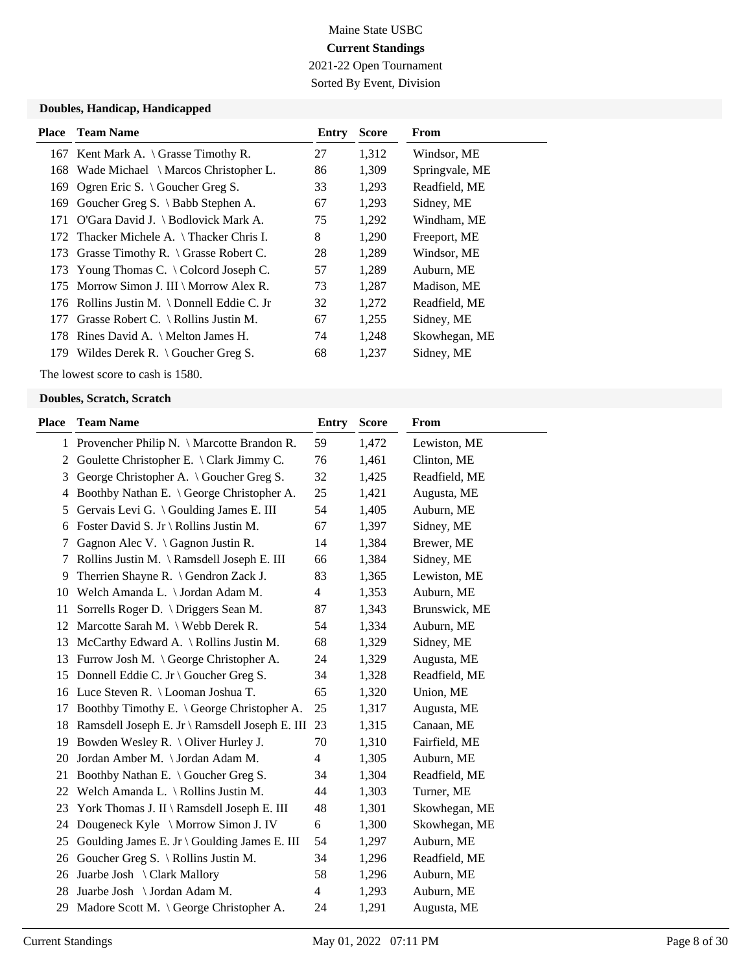2021-22 Open Tournament Sorted By Event, Division

#### **Doubles, Handicap, Handicapped**

| <b>Place</b> | <b>Team Name</b>                            | Entry | <b>Score</b> | From           |
|--------------|---------------------------------------------|-------|--------------|----------------|
|              | 167 Kent Mark A. \ Grasse Timothy R.        | 27    | 1,312        | Windsor, ME    |
|              | 168 Wade Michael \ Marcos Christopher L.    | 86    | 1,309        | Springvale, ME |
| 169          | Ogren Eric S. $\setminus$ Goucher Greg S.   | 33    | 1,293        | Readfield, ME  |
| 169          | Goucher Greg S. $\setminus$ Babb Stephen A. | 67    | 1,293        | Sidney, ME     |
| 171          | O'Gara David J. \ Bodlovick Mark A.         | 75    | 1,292        | Windham, ME    |
|              | 172 Thacker Michele A. \Thacker Chris I.    | 8     | 1,290        | Freeport, ME   |
|              | 173 Grasse Timothy R. \ Grasse Robert C.    | 28    | 1,289        | Windsor, ME    |
|              | 173 Young Thomas C. \ Colcord Joseph C.     | 57    | 1,289        | Auburn, ME     |
|              | 175 Morrow Simon J. III \ Morrow Alex R.    | 73    | 1,287        | Madison, ME    |
|              | 176 Rollins Justin M. \Donnell Eddie C. Jr  | 32    | 1,272        | Readfield, ME  |
| 177          | Grasse Robert C. \ Rollins Justin M.        | 67    | 1,255        | Sidney, ME     |
|              | 178 Rines David A. \ Melton James H.        | 74    | 1,248        | Skowhegan, ME  |
| 179          | Wildes Derek R. $\setminus$ Goucher Greg S. | 68    | 1,237        | Sidney, ME     |

The lowest score to cash is 1580.

| <b>Place</b> | <b>Team Name</b>                               | <b>Entry</b> | <b>Score</b> | From          |
|--------------|------------------------------------------------|--------------|--------------|---------------|
|              | 1 Provencher Philip N. \ Marcotte Brandon R.   | 59           | 1,472        | Lewiston, ME  |
| 2            | Goulette Christopher E. \ Clark Jimmy C.       | 76           | 1,461        | Clinton, ME   |
| 3            | George Christopher A. \ Goucher Greg S.        | 32           | 1,425        | Readfield, ME |
| 4            | Boothby Nathan E. \ George Christopher A.      | 25           | 1,421        | Augusta, ME   |
| 5            | Gervais Levi G. \ Goulding James E. III        | 54           | 1,405        | Auburn, ME    |
| 6            | Foster David S. Jr \ Rollins Justin M.         | 67           | 1,397        | Sidney, ME    |
| 7            | Gagnon Alec V. $\setminus$ Gagnon Justin R.    | 14           | 1,384        | Brewer, ME    |
| 7            | Rollins Justin M. \Ramsdell Joseph E. III      | 66           | 1,384        | Sidney, ME    |
| 9            | Therrien Shayne R. \ Gendron Zack J.           | 83           | 1,365        | Lewiston, ME  |
| 10           | Welch Amanda L. \ Jordan Adam M.               | 4            | 1,353        | Auburn, ME    |
| 11           | Sorrells Roger D. \ Driggers Sean M.           | 87           | 1,343        | Brunswick, ME |
| 12           | Marcotte Sarah M. \ Webb Derek R.              | 54           | 1,334        | Auburn, ME    |
| 13           | McCarthy Edward A. \ Rollins Justin M.         | 68           | 1,329        | Sidney, ME    |
| 13           | Furrow Josh M. \ George Christopher A.         | 24           | 1,329        | Augusta, ME   |
| 15           | Donnell Eddie C. Jr \ Goucher Greg S.          | 34           | 1,328        | Readfield, ME |
|              | 16 Luce Steven R. \ Looman Joshua T.           | 65           | 1,320        | Union, ME     |
| 17           | Boothby Timothy E. \ George Christopher A.     | 25           | 1,317        | Augusta, ME   |
| 18           | Ramsdell Joseph E. Jr \ Ramsdell Joseph E. III | 23           | 1,315        | Canaan, ME    |
| 19           | Bowden Wesley R. \ Oliver Hurley J.            | 70           | 1,310        | Fairfield, ME |
| 20           | Jordan Amber M. \ Jordan Adam M.               | 4            | 1,305        | Auburn, ME    |
| 21           | Boothby Nathan E. \ Goucher Greg S.            | 34           | 1,304        | Readfield, ME |
| 22           | Welch Amanda L. \ Rollins Justin M.            | 44           | 1,303        | Turner, ME    |
| 23           | York Thomas J. II \ Ramsdell Joseph E. III     | 48           | 1,301        | Skowhegan, ME |
| 24           | Dougeneck Kyle \ Morrow Simon J. IV            | 6            | 1,300        | Skowhegan, ME |
| 25           | Goulding James E. Jr \ Goulding James E. III   | 54           | 1,297        | Auburn, ME    |
| 26           | Goucher Greg S. $\setminus$ Rollins Justin M.  | 34           | 1,296        | Readfield, ME |
| 26           | Juarbe Josh \ Clark Mallory                    | 58           | 1,296        | Auburn, ME    |
| 28           | Juarbe Josh \ Jordan Adam M.                   | 4            | 1,293        | Auburn, ME    |
| 29           | Madore Scott M. \ George Christopher A.        | 24           | 1,291        | Augusta, ME   |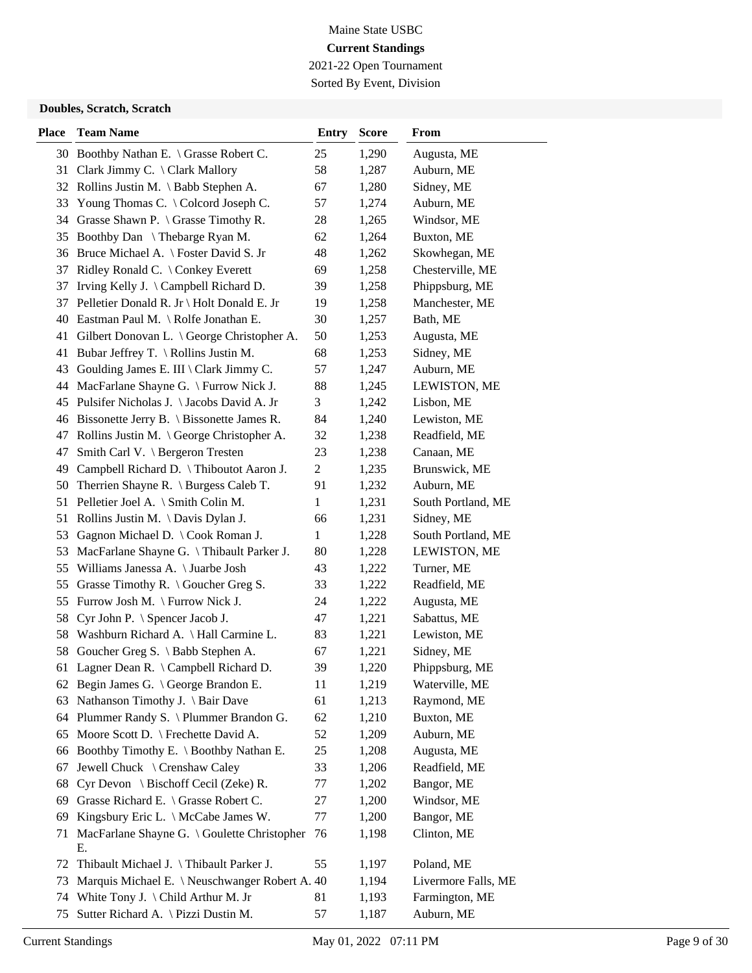2021-22 Open Tournament Sorted By Event, Division

| <b>Place</b> | <b>Team Name</b>                                  | <b>Entry</b>   | <b>Score</b> | From                |
|--------------|---------------------------------------------------|----------------|--------------|---------------------|
|              | 30 Boothby Nathan E. \ Grasse Robert C.           | 25             | 1,290        | Augusta, ME         |
|              | 31 Clark Jimmy C. \ Clark Mallory                 | 58             | 1,287        | Auburn, ME          |
|              | 32 Rollins Justin M. \ Babb Stephen A.            | 67             | 1,280        | Sidney, ME          |
| 33           | Young Thomas C. \ Colcord Joseph C.               | 57             | 1,274        | Auburn, ME          |
|              | 34 Grasse Shawn P. \ Grasse Timothy R.            | 28             | 1,265        | Windsor, ME         |
|              | 35 Boothby Dan \ Thebarge Ryan M.                 | 62             | 1,264        | Buxton, ME          |
|              | 36 Bruce Michael A. \ Foster David S. Jr          | 48             | 1,262        | Skowhegan, ME       |
|              | 37 Ridley Ronald C. \ Conkey Everett              | 69             | 1,258        | Chesterville, ME    |
| 37           | Irving Kelly J. \ Campbell Richard D.             | 39             | 1,258        | Phippsburg, ME      |
| 37           | Pelletier Donald R. Jr \ Holt Donald E. Jr        | 19             | 1,258        | Manchester, ME      |
| 40           | Eastman Paul M. \ Rolfe Jonathan E.               | 30             | 1,257        | Bath, ME            |
| 41           | Gilbert Donovan L. \ George Christopher A.        | 50             | 1,253        | Augusta, ME         |
| 41           | Bubar Jeffrey T. \ Rollins Justin M.              | 68             | 1,253        | Sidney, ME          |
| 43           | Goulding James E. III \ Clark Jimmy C.            | 57             | 1,247        | Auburn, ME          |
| 44           | MacFarlane Shayne G. \ Furrow Nick J.             | 88             | 1,245        | LEWISTON, ME        |
|              | 45 Pulsifer Nicholas J. \Jacobs David A. Jr       | 3              | 1,242        | Lisbon, ME          |
|              | 46 Bissonette Jerry B. \ Bissonette James R.      | 84             | 1,240        | Lewiston, ME        |
| 47           | Rollins Justin M. $\big\}$ George Christopher A.  | 32             | 1,238        | Readfield, ME       |
| 47           | Smith Carl V. \ Bergeron Tresten                  | 23             | 1,238        | Canaan, ME          |
|              | 49 Campbell Richard D. \Thiboutot Aaron J.        | $\overline{c}$ | 1,235        | Brunswick, ME       |
| 50           | Therrien Shayne R. $\setminus$ Burgess Caleb T.   | 91             | 1,232        | Auburn, ME          |
| 51           | Pelletier Joel A. \ Smith Colin M.                | 1              | 1,231        | South Portland, ME  |
| 51           | Rollins Justin M. $\Delta$ Davis Dylan J.         | 66             | 1,231        | Sidney, ME          |
| 53           | Gagnon Michael D. \ Cook Roman J.                 | $\mathbf{1}$   | 1,228        | South Portland, ME  |
| 53           | MacFarlane Shayne G. \Thibault Parker J.          | 80             | 1,228        | LEWISTON, ME        |
| 55           | Williams Janessa A. \ Juarbe Josh                 | 43             | 1,222        | Turner, ME          |
| 55           | Grasse Timothy R. $\setminus$ Goucher Greg S.     | 33             | 1,222        | Readfield, ME       |
| 55           | Furrow Josh M. \ Furrow Nick J.                   | 24             | 1,222        | Augusta, ME         |
| 58           | Cyr John P. \ Spencer Jacob J.                    | 47             | 1,221        | Sabattus, ME        |
| 58           | Washburn Richard A. \Hall Carmine L.              | 83             | 1,221        | Lewiston, ME        |
| 58           | Goucher Greg S. \ Babb Stephen A.                 | 67             | 1,221        | Sidney, ME          |
|              | 61 Lagner Dean R. \ Campbell Richard D.           | 39             | 1,220        | Phippsburg, ME      |
|              | 62 Begin James G. \ George Brandon E.             | 11             | 1,219        | Waterville, ME      |
|              | 63 Nathanson Timothy J. \ Bair Dave               | 61             | 1,213        | Raymond, ME         |
| 64           | Plummer Randy S. \ Plummer Brandon G.             | 62             | 1,210        | Buxton, ME          |
|              | 65 Moore Scott D. \ Frechette David A.            | 52             | 1,209        | Auburn, ME          |
|              | 66 Boothby Timothy E. \ Boothby Nathan E.         | 25             | 1,208        | Augusta, ME         |
| 67           | Jewell Chuck \ Crenshaw Caley                     | 33             | 1,206        | Readfield, ME       |
| 68           | Cyr Devon \ Bischoff Cecil (Zeke) R.              | 77             | 1,202        | Bangor, ME          |
| 69           | Grasse Richard E. \ Grasse Robert C.              | 27             | 1,200        | Windsor, ME         |
| 69           | Kingsbury Eric L. \ McCabe James W.               | 77             | 1,200        | Bangor, ME          |
| 71           | MacFarlane Shayne G. \ Goulette Christopher<br>Е. | 76             | 1,198        | Clinton, ME         |
| 72           | Thibault Michael J. \Thibault Parker J.           | 55             | 1,197        | Poland, ME          |
| 73           | Marquis Michael E. \ Neuschwanger Robert A. 40    |                | 1,194        | Livermore Falls, ME |
| 74           | White Tony J. $\langle$ Child Arthur M. Jr        | 81             | 1,193        | Farmington, ME      |
| 75           | Sutter Richard A. \ Pizzi Dustin M.               | 57             | 1,187        | Auburn, ME          |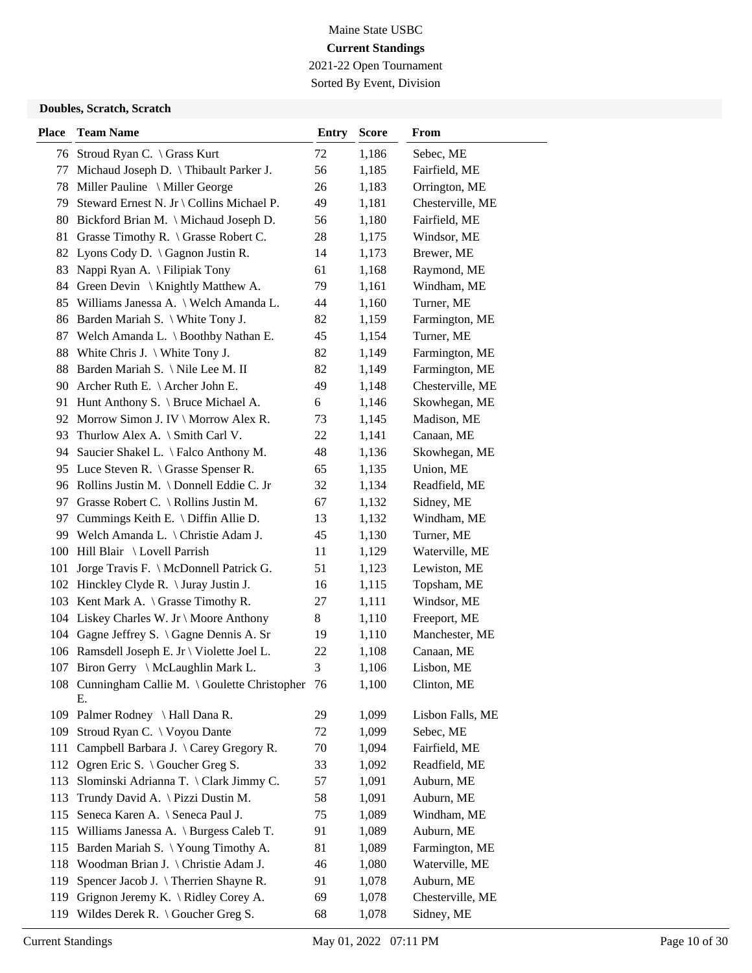2021-22 Open Tournament Sorted By Event, Division

| <b>Place</b> | <b>Team Name</b>                                   | <b>Entry</b> | <b>Score</b> | From             |
|--------------|----------------------------------------------------|--------------|--------------|------------------|
|              | 76 Stroud Ryan C. \ Grass Kurt                     | 72           | 1,186        | Sebec, ME        |
| 77           | Michaud Joseph D. \ Thibault Parker J.             | 56           | 1,185        | Fairfield, ME    |
| 78           | Miller Pauline \ Miller George                     | 26           | 1,183        | Orrington, ME    |
| 79           | Steward Ernest N. Jr \ Collins Michael P.          | 49           | 1,181        | Chesterville, ME |
|              | 80 Bickford Brian M. \ Michaud Joseph D.           | 56           | 1,180        | Fairfield, ME    |
|              | 81 Grasse Timothy R. \ Grasse Robert C.            | 28           | 1,175        | Windsor, ME      |
|              | 82 Lyons Cody D. \ Gagnon Justin R.                | 14           | 1,173        | Brewer, ME       |
| 83           | Nappi Ryan A. \ Filipiak Tony                      | 61           | 1,168        | Raymond, ME      |
| 84           | Green Devin $\setminus$ Knightly Matthew A.        | 79           | 1,161        | Windham, ME      |
|              | 85 Williams Janessa A. \ Welch Amanda L.           | 44           | 1,160        | Turner, ME       |
| 86           | Barden Mariah S. \ White Tony J.                   | 82           | 1,159        | Farmington, ME   |
|              | 87 Welch Amanda L. \ Boothby Nathan E.             | 45           | 1,154        | Turner, ME       |
| 88           | White Chris J. $\setminus$ White Tony J.           | 82           | 1,149        | Farmington, ME   |
|              | 88 Barden Mariah S. \Nile Lee M. II                | 82           | 1,149        | Farmington, ME   |
|              | 90 Archer Ruth E. \ Archer John E.                 | 49           | 1,148        | Chesterville, ME |
|              | 91 Hunt Anthony S. \ Bruce Michael A.              | 6            | 1,146        | Skowhegan, ME    |
|              | 92 Morrow Simon J. IV \ Morrow Alex R.             | 73           | 1,145        | Madison, ME      |
| 93           | Thurlow Alex A. \ Smith Carl V.                    | 22           | 1,141        | Canaan, ME       |
| 94           | Saucier Shakel L. \ Falco Anthony M.               | 48           | 1,136        | Skowhegan, ME    |
|              | 95 Luce Steven R. \ Grasse Spenser R.              | 65           | 1,135        | Union, ME        |
|              | 96 Rollins Justin M. \Donnell Eddie C. Jr          | 32           | 1,134        | Readfield, ME    |
|              | 97 Grasse Robert C. \ Rollins Justin M.            | 67           | 1,132        | Sidney, ME       |
|              | 97 Cummings Keith E. \ Diffin Allie D.             | 13           | 1,132        | Windham, ME      |
|              | 99 Welch Amanda L. \ Christie Adam J.              | 45           | 1,130        | Turner, ME       |
|              | 100 Hill Blair \ Lovell Parrish                    | 11           | 1,129        | Waterville, ME   |
| 101          | Jorge Travis F. \ McDonnell Patrick G.             | 51           | 1,123        | Lewiston, ME     |
|              | 102 Hinckley Clyde R. \ Juray Justin J.            | 16           | 1,115        | Topsham, ME      |
|              | 103 Kent Mark A. \ Grasse Timothy R.               | 27           | 1,111        | Windsor, ME      |
|              | 104 Liskey Charles W. Jr \ Moore Anthony           | 8            | 1,110        | Freeport, ME     |
|              | 104 Gagne Jeffrey S. \ Gagne Dennis A. Sr          | 19           | 1,110        | Manchester, ME   |
|              | 106 Ramsdell Joseph E. Jr \ Violette Joel L.       | 22           | 1,108        | Canaan, ME       |
|              | 107 Biron Gerry \ McLaughlin Mark L.               | 3            | 1,106        | Lisbon, ME       |
|              | 108 Cunningham Callie M. \ Goulette Christopher 76 |              | 1,100        | Clinton, ME      |
|              | Е.                                                 |              |              |                  |
| 109          | Palmer Rodney \ Hall Dana R.                       | 29           | 1,099        | Lisbon Falls, ME |
| 109          | Stroud Ryan C. \ Voyou Dante                       | 72           | 1,099        | Sebec, ME        |
| 111          | Campbell Barbara J. \ Carey Gregory R.             | 70           | 1,094        | Fairfield, ME    |
| 112          | Ogren Eric S. $\setminus$ Goucher Greg S.          | 33           | 1,092        | Readfield, ME    |
| 113          | Slominski Adrianna T. \ Clark Jimmy C.             | 57           | 1,091        | Auburn, ME       |
| 113          | Trundy David A. \ Pizzi Dustin M.                  | 58           | 1,091        | Auburn, ME       |
| 115          | Seneca Karen A. \ Seneca Paul J.                   | 75           | 1,089        | Windham, ME      |
| 115          | Williams Janessa A. \ Burgess Caleb T.             | 91           | 1,089        | Auburn, ME       |
| 115          | Barden Mariah S. \ Young Timothy A.                | 81           | 1,089        | Farmington, ME   |
| 118          | Woodman Brian J. \ Christie Adam J.                | 46           | 1,080        | Waterville, ME   |
| 119          | Spencer Jacob J. \ Therrien Shayne R.              | 91           | 1,078        | Auburn, ME       |
| 119          | Grignon Jeremy K. \ Ridley Corey A.                | 69           | 1,078        | Chesterville, ME |
| 119          | Wildes Derek R. \ Goucher Greg S.                  | 68           | 1,078        | Sidney, ME       |
|              |                                                    |              |              |                  |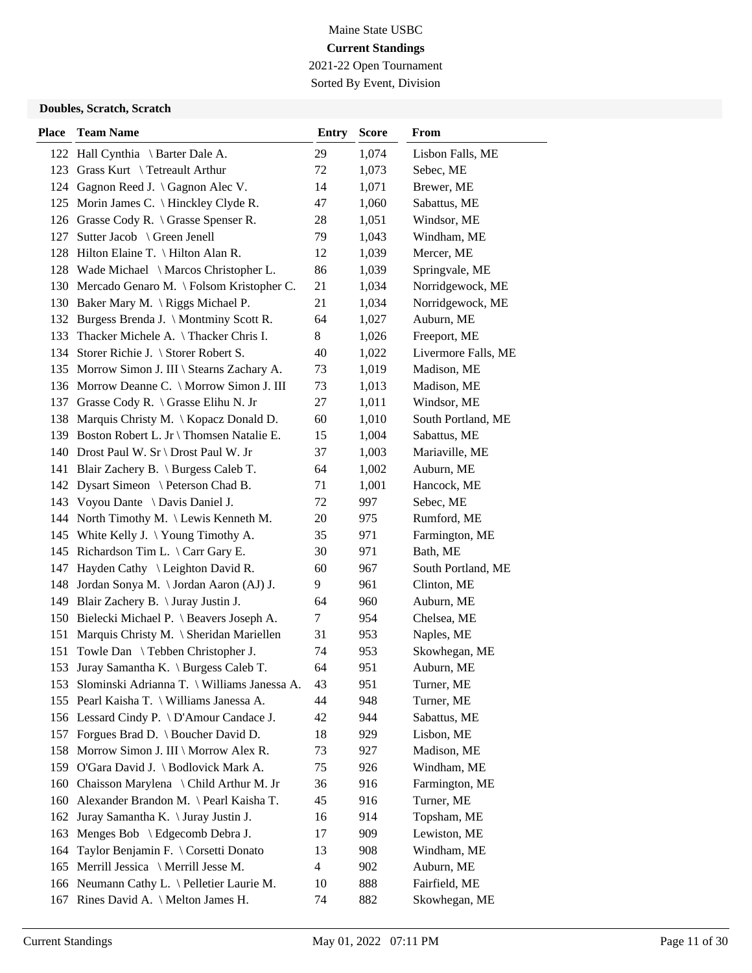2021-22 Open Tournament Sorted By Event, Division

| <b>Place</b> | <b>Team Name</b>                             | <b>Entry</b>   | <b>Score</b> | From                |
|--------------|----------------------------------------------|----------------|--------------|---------------------|
|              | 122 Hall Cynthia \ Barter Dale A.            | 29             | 1,074        | Lisbon Falls, ME    |
| 123          | Grass Kurt \ Tetreault Arthur                | 72             | 1,073        | Sebec, ME           |
|              | 124 Gagnon Reed J. \ Gagnon Alec V.          | 14             | 1,071        | Brewer, ME          |
|              | 125 Morin James C. \ Hinckley Clyde R.       | 47             | 1,060        | Sabattus, ME        |
|              | 126 Grasse Cody R. \ Grasse Spenser R.       | 28             | 1,051        | Windsor, ME         |
|              | 127 Sutter Jacob \ Green Jenell              | 79             | 1,043        | Windham, ME         |
|              | 128 Hilton Elaine T. \ Hilton Alan R.        | 12             | 1,039        | Mercer, ME          |
|              | 128 Wade Michael \ Marcos Christopher L.     | 86             | 1,039        | Springvale, ME      |
|              | 130 Mercado Genaro M. \ Folsom Kristopher C. | 21             | 1,034        | Norridgewock, ME    |
|              | 130 Baker Mary M. \ Riggs Michael P.         | 21             | 1,034        | Norridgewock, ME    |
|              | 132 Burgess Brenda J. \ Montminy Scott R.    | 64             | 1,027        | Auburn, ME          |
| 133          | Thacker Michele A. \Thacker Chris I.         | 8              | 1,026        | Freeport, ME        |
|              | 134 Storer Richie J. \ Storer Robert S.      | 40             | 1,022        | Livermore Falls, ME |
|              | 135 Morrow Simon J. III \ Stearns Zachary A. | 73             | 1,019        | Madison, ME         |
|              | 136 Morrow Deanne C. \ Morrow Simon J. III   | 73             | 1,013        | Madison, ME         |
|              | 137 Grasse Cody R. \ Grasse Elihu N. Jr      | 27             | 1,011        | Windsor, ME         |
|              | 138 Marquis Christy M. \ Kopacz Donald D.    | 60             | 1,010        | South Portland, ME  |
|              | 139 Boston Robert L. Jr \ Thomsen Natalie E. | 15             | 1,004        | Sabattus, ME        |
|              | 140 Drost Paul W. Sr \ Drost Paul W. Jr      | 37             | 1,003        | Mariaville, ME      |
|              | 141 Blair Zachery B. \ Burgess Caleb T.      | 64             | 1,002        | Auburn, ME          |
|              | 142 Dysart Simeon \ Peterson Chad B.         | 71             | 1,001        | Hancock, ME         |
|              | 143 Voyou Dante \ Davis Daniel J.            | 72             | 997          | Sebec, ME           |
|              | 144 North Timothy M. \Lewis Kenneth M.       | 20             | 975          | Rumford, ME         |
|              | 145 White Kelly J. \Young Timothy A.         | 35             | 971          | Farmington, ME      |
|              | 145 Richardson Tim L. \ Carr Gary E.         | 30             | 971          | Bath, ME            |
| 147          | Hayden Cathy $\leq$ Leighton David R.        | 60             | 967          | South Portland, ME  |
|              | 148 Jordan Sonya M. \Jordan Aaron (AJ) J.    | 9              | 961          | Clinton, ME         |
|              | 149 Blair Zachery B. \ Juray Justin J.       | 64             | 960          | Auburn, ME          |
|              | 150 Bielecki Michael P. \ Beavers Joseph A.  | 7              | 954          | Chelsea, ME         |
|              | 151 Marquis Christy M. \ Sheridan Mariellen  | 31             | 953          | Naples, ME          |
| 151          | Towle Dan \ Tebben Christopher J.            | 74             | 953          | Skowhegan, ME       |
| 153          | Juray Samantha K. \ Burgess Caleb T.         | 64             | 951          | Auburn, ME          |
| 153          | Slominski Adrianna T. \ Williams Janessa A.  | 43             | 951          | Turner, ME          |
|              | 155 Pearl Kaisha T. \ Williams Janessa A.    | 44             | 948          | Turner, ME          |
|              | 156 Lessard Cindy P. \ D'Amour Candace J.    | 42             | 944          | Sabattus, ME        |
|              | 157 Forgues Brad D. \ Boucher David D.       | 18             | 929          | Lisbon, ME          |
|              | 158 Morrow Simon J. III \ Morrow Alex R.     | 73             | 927          | Madison, ME         |
|              | 159 O'Gara David J. \ Bodlovick Mark A.      | 75             | 926          | Windham, ME         |
| 160          | Chaisson Marylena \ Child Arthur M. Jr       | 36             | 916          | Farmington, ME      |
|              | 160 Alexander Brandon M. \ Pearl Kaisha T.   | 45             | 916          | Turner, ME          |
| 162          | Juray Samantha K. \ Juray Justin J.          | 16             | 914          | Topsham, ME         |
| 163          | Menges Bob \ Edgecomb Debra J.               | 17             | 909          | Lewiston, ME        |
| 164          | Taylor Benjamin F. \ Corsetti Donato         | 13             | 908          | Windham, ME         |
|              | 165 Merrill Jessica \ Merrill Jesse M.       | $\overline{4}$ | 902          | Auburn, ME          |
|              | 166 Neumann Cathy L. \ Pelletier Laurie M.   | 10             | 888          | Fairfield, ME       |
|              | 167 Rines David A. \ Melton James H.         | 74             | 882          | Skowhegan, ME       |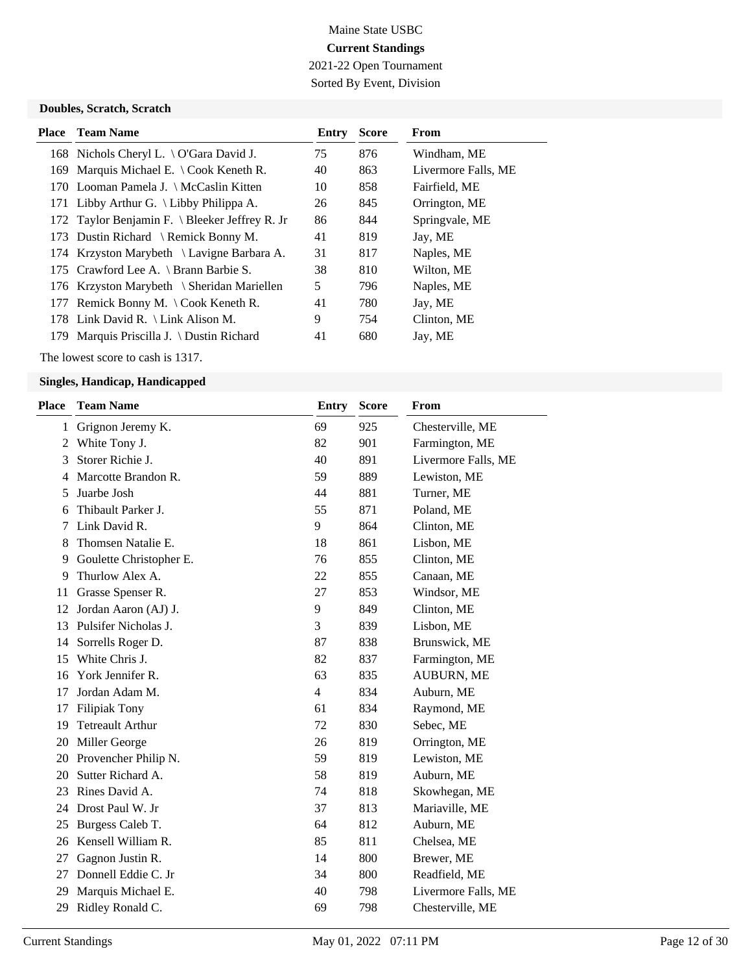2021-22 Open Tournament Sorted By Event, Division

### **Doubles, Scratch, Scratch**

| <b>Place</b> Team Name                         | Entry | <b>Score</b> | From                |
|------------------------------------------------|-------|--------------|---------------------|
| 168 Nichols Cheryl L. \ O'Gara David J.        | 75    | 876          | Windham, ME         |
| 169 Marquis Michael E. \ Cook Keneth R.        | 40    | 863          | Livermore Falls, ME |
| 170 Looman Pamela J. \ McCaslin Kitten         | 10    | 858          | Fairfield, ME       |
| 171 Libby Arthur G. \ Libby Philippa A.        | 26    | 845          | Orrington, ME       |
| 172 Taylor Benjamin F. \ Bleeker Jeffrey R. Jr | 86    | 844          | Springvale, ME      |
| 173 Dustin Richard \ Remick Bonny M.           | 41    | 819          | Jay, ME             |
| 174 Krzyston Marybeth \ Lavigne Barbara A.     | 31    | 817          | Naples, ME          |
| 175 Crawford Lee A. \ Brann Barbie S.          | 38    | 810          | Wilton, ME          |
| 176 Krzyston Marybeth \ Sheridan Mariellen     | 5     | 796          | Naples, ME          |
| 177 Remick Bonny M. \ Cook Keneth R.           | 41    | 780          | Jay, ME             |
| 178 Link David R. \ Link Alison M.             | 9     | 754          | Clinton, ME         |
| 179 Marquis Priscilla J. \ Dustin Richard      | 41    | 680          | Jay, ME             |

The lowest score to cash is 1317.

| <b>Place</b> | <b>Team Name</b>        | <b>Entry</b>   | <b>Score</b> | <b>From</b>         |
|--------------|-------------------------|----------------|--------------|---------------------|
| $\mathbf{1}$ | Grignon Jeremy K.       | 69             | 925          | Chesterville, ME    |
| 2            | White Tony J.           | 82             | 901          | Farmington, ME      |
| 3            | Storer Richie J.        | 40             | 891          | Livermore Falls, ME |
| 4            | Marcotte Brandon R.     | 59             | 889          | Lewiston, ME        |
| 5            | Juarbe Josh             | 44             | 881          | Turner, ME          |
| 6            | Thibault Parker J.      | 55             | 871          | Poland, ME          |
| 7            | Link David R.           | 9              | 864          | Clinton, ME         |
| 8            | Thomsen Natalie E.      | 18             | 861          | Lisbon, ME          |
| 9            | Goulette Christopher E. | 76             | 855          | Clinton, ME         |
| 9            | Thurlow Alex A.         | 22             | 855          | Canaan, ME          |
| 11           | Grasse Spenser R.       | 27             | 853          | Windsor, ME         |
| 12           | Jordan Aaron (AJ) J.    | 9              | 849          | Clinton, ME         |
| 13           | Pulsifer Nicholas J.    | 3              | 839          | Lisbon, ME          |
| 14           | Sorrells Roger D.       | 87             | 838          | Brunswick, ME       |
| 15           | White Chris J.          | 82             | 837          | Farmington, ME      |
| 16           | York Jennifer R.        | 63             | 835          | <b>AUBURN, ME</b>   |
| 17           | Jordan Adam M.          | $\overline{4}$ | 834          | Auburn, ME          |
| 17           | <b>Filipiak Tony</b>    | 61             | 834          | Raymond, ME         |
| 19           | <b>Tetreault Arthur</b> | 72             | 830          | Sebec, ME           |
| 20           | Miller George           | 26             | 819          | Orrington, ME       |
| 20           | Provencher Philip N.    | 59             | 819          | Lewiston, ME        |
| 20           | Sutter Richard A.       | 58             | 819          | Auburn, ME          |
| 23           | Rines David A.          | 74             | 818          | Skowhegan, ME       |
| 24           | Drost Paul W. Jr        | 37             | 813          | Mariaville, ME      |
| 25           | Burgess Caleb T.        | 64             | 812          | Auburn, ME          |
| 26           | Kensell William R.      | 85             | 811          | Chelsea, ME         |
| 27           | Gagnon Justin R.        | 14             | 800          | Brewer, ME          |
| 27           | Donnell Eddie C. Jr     | 34             | 800          | Readfield, ME       |
| 29           | Marquis Michael E.      | 40             | 798          | Livermore Falls, ME |
| 29           | Ridley Ronald C.        | 69             | 798          | Chesterville, ME    |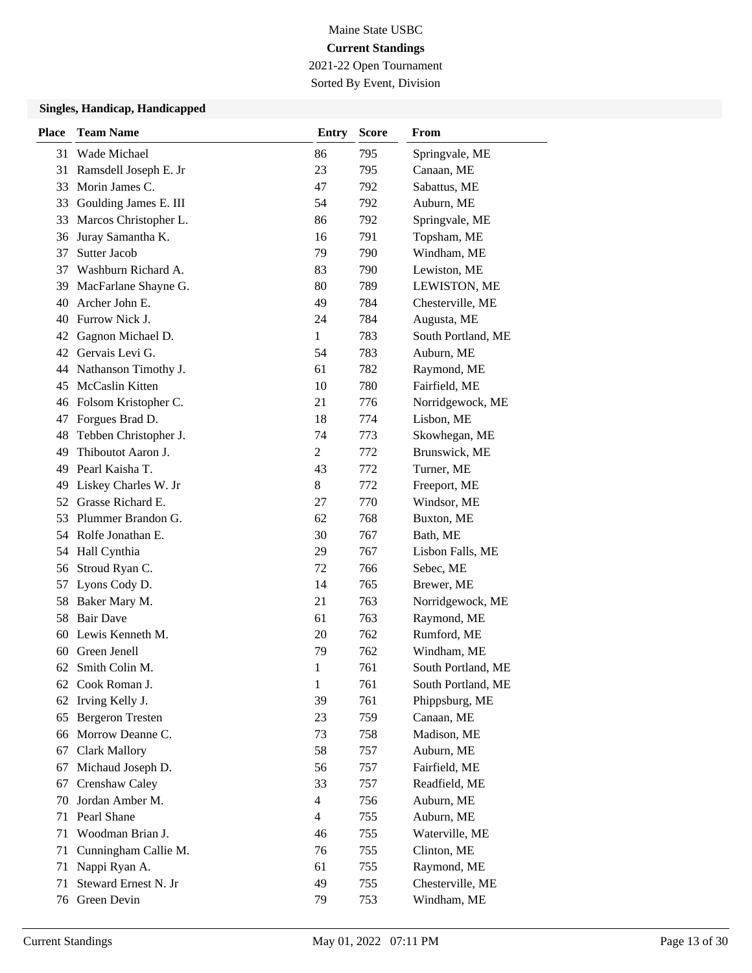2021-22 Open Tournament Sorted By Event, Division

| <b>Place</b> | <b>Team Name</b>        | <b>Entry</b>            | <b>Score</b> | From               |
|--------------|-------------------------|-------------------------|--------------|--------------------|
| 31           | Wade Michael            | 86                      | 795          | Springvale, ME     |
| 31           | Ramsdell Joseph E. Jr   | 23                      | 795          | Canaan, ME         |
| 33           | Morin James C.          | 47                      | 792          | Sabattus, ME       |
| 33           | Goulding James E. III   | 54                      | 792          | Auburn, ME         |
| 33           | Marcos Christopher L.   | 86                      | 792          | Springvale, ME     |
| 36           | Juray Samantha K.       | 16                      | 791          | Topsham, ME        |
| 37           | <b>Sutter Jacob</b>     | 79                      | 790          | Windham, ME        |
| 37           | Washburn Richard A.     | 83                      | 790          | Lewiston, ME       |
| 39           | MacFarlane Shayne G.    | 80                      | 789          | LEWISTON, ME       |
| 40           | Archer John E.          | 49                      | 784          | Chesterville, ME   |
| 40           | Furrow Nick J.          | 24                      | 784          | Augusta, ME        |
| 42           | Gagnon Michael D.       | 1                       | 783          | South Portland, ME |
| 42           | Gervais Levi G.         | 54                      | 783          | Auburn, ME         |
| 44           | Nathanson Timothy J.    | 61                      | 782          | Raymond, ME        |
| 45           | McCaslin Kitten         | 10                      | 780          | Fairfield, ME      |
| 46           | Folsom Kristopher C.    | 21                      | 776          | Norridgewock, ME   |
| 47           | Forgues Brad D.         | 18                      | 774          | Lisbon, ME         |
| 48           | Tebben Christopher J.   | 74                      | 773          | Skowhegan, ME      |
| 49           | Thiboutot Aaron J.      | $\overline{2}$          | 772          | Brunswick, ME      |
| 49           | Pearl Kaisha T.         | 43                      | 772          | Turner, ME         |
| 49           | Liskey Charles W. Jr    | 8                       | 772          | Freeport, ME       |
| 52           | Grasse Richard E.       | 27                      | 770          | Windsor, ME        |
| 53           | Plummer Brandon G.      | 62                      | 768          | Buxton, ME         |
| 54           | Rolfe Jonathan E.       | 30                      | 767          | Bath, ME           |
| 54           | Hall Cynthia            | 29                      | 767          | Lisbon Falls, ME   |
| 56           | Stroud Ryan C.          | 72                      | 766          | Sebec, ME          |
| 57           | Lyons Cody D.           | 14                      | 765          | Brewer, ME         |
| 58           | Baker Mary M.           | 21                      | 763          | Norridgewock, ME   |
| 58           | <b>Bair Dave</b>        | 61                      | 763          | Raymond, ME        |
| 60           | Lewis Kenneth M.        | 20                      | 762          | Rumford, ME        |
| 60           | Green Jenell            | 79                      | 762          | Windham, ME        |
| 62           | Smith Colin M.          | $\mathbf{1}$            | 761          | South Portland, ME |
|              | 62 Cook Roman J.        | $\mathbf{1}$            | 761          | South Portland, ME |
| 62           | Irving Kelly J.         | 39                      | 761          | Phippsburg, ME     |
| 65           | <b>Bergeron Tresten</b> | 23                      | 759          | Canaan, ME         |
| 66           | Morrow Deanne C.        | 73                      | 758          | Madison, ME        |
| 67           | <b>Clark Mallory</b>    | 58                      | 757          | Auburn, ME         |
| 67           | Michaud Joseph D.       | 56                      | 757          | Fairfield, ME      |
| 67           | Crenshaw Caley          | 33                      | 757          | Readfield, ME      |
| 70           | Jordan Amber M.         | $\overline{\mathbf{4}}$ | 756          | Auburn, ME         |
| 71           | Pearl Shane             | $\overline{4}$          | 755          | Auburn, ME         |
| 71           | Woodman Brian J.        | 46                      | 755          | Waterville, ME     |
| 71           | Cunningham Callie M.    | 76                      | 755          | Clinton, ME        |
| 71           | Nappi Ryan A.           | 61                      | 755          | Raymond, ME        |
| 71           | Steward Ernest N. Jr    | 49                      | 755          | Chesterville, ME   |
| 76           | Green Devin             | 79                      | 753          | Windham, ME        |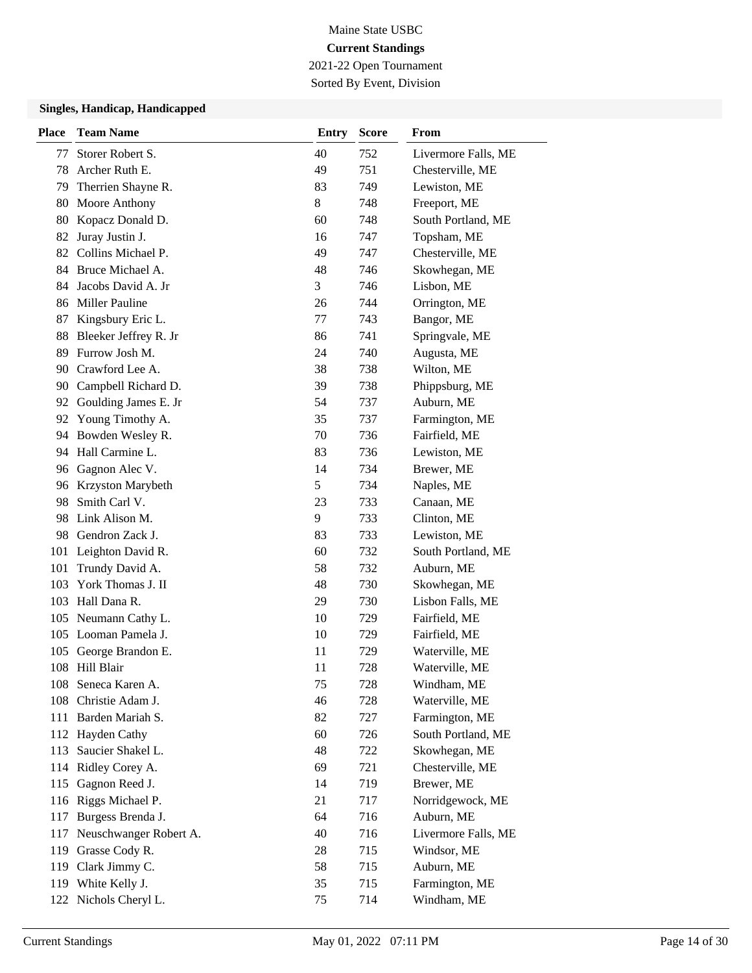2021-22 Open Tournament Sorted By Event, Division

| <b>Place</b> | <b>Team Name</b>        | <b>Entry</b> | <b>Score</b> | From                |
|--------------|-------------------------|--------------|--------------|---------------------|
| 77           | Storer Robert S.        | 40           | 752          | Livermore Falls, ME |
| 78           | Archer Ruth E.          | 49           | 751          | Chesterville, ME    |
| 79           | Therrien Shayne R.      | 83           | 749          | Lewiston, ME        |
| 80           | Moore Anthony           | 8            | 748          | Freeport, ME        |
| 80           | Kopacz Donald D.        | 60           | 748          | South Portland, ME  |
| 82           | Juray Justin J.         | 16           | 747          | Topsham, ME         |
| 82           | Collins Michael P.      | 49           | 747          | Chesterville, ME    |
|              | 84 Bruce Michael A.     | 48           | 746          | Skowhegan, ME       |
| 84           | Jacobs David A. Jr      | 3            | 746          | Lisbon, ME          |
|              | 86 Miller Pauline       | 26           | 744          | Orrington, ME       |
| 87           | Kingsbury Eric L.       | 77           | 743          | Bangor, ME          |
| 88           | Bleeker Jeffrey R. Jr   | 86           | 741          | Springvale, ME      |
| 89           | Furrow Josh M.          | 24           | 740          | Augusta, ME         |
| 90           | Crawford Lee A.         | 38           | 738          | Wilton, ME          |
| 90           | Campbell Richard D.     | 39           | 738          | Phippsburg, ME      |
|              | 92 Goulding James E. Jr | 54           | 737          | Auburn, ME          |
| 92           | Young Timothy A.        | 35           | 737          | Farmington, ME      |
| 94           | Bowden Wesley R.        | 70           | 736          | Fairfield, ME       |
| 94           | Hall Carmine L.         | 83           | 736          | Lewiston, ME        |
| 96           | Gagnon Alec V.          | 14           | 734          | Brewer, ME          |
| 96           | Krzyston Marybeth       | 5            | 734          | Naples, ME          |
| 98           | Smith Carl V.           | 23           | 733          | Canaan, ME          |
|              | 98 Link Alison M.       | 9            | 733          | Clinton, ME         |
|              | 98 Gendron Zack J.      | 83           | 733          | Lewiston, ME        |
| 101          | Leighton David R.       | 60           | 732          | South Portland, ME  |
| 101          | Trundy David A.         | 58           | 732          | Auburn, ME          |
| 103          | York Thomas J. II       | 48           | 730          | Skowhegan, ME       |
|              | 103 Hall Dana R.        | 29           | 730          | Lisbon Falls, ME    |
| 105          | Neumann Cathy L.        | 10           | 729          | Fairfield, ME       |
|              | 105 Looman Pamela J.    | 10           | 729          | Fairfield, ME       |
| 105          | George Brandon E.       | 11           | 729          | Waterville, ME      |
| 108          | Hill Blair              | 11           | 728          | Waterville, ME      |
|              | 108 Seneca Karen A.     | 75           | 728          | Windham, ME         |
|              | 108 Christie Adam J.    | 46           | 728          | Waterville, ME      |
|              | 111 Barden Mariah S.    | 82           | 727          | Farmington, ME      |
|              | 112 Hayden Cathy        | 60           | 726          | South Portland, ME  |
|              | 113 Saucier Shakel L.   | 48           | 722          | Skowhegan, ME       |
|              | 114 Ridley Corey A.     | 69           | 721          | Chesterville, ME    |
| 115          | Gagnon Reed J.          | 14           | 719          | Brewer, ME          |
|              | 116 Riggs Michael P.    | 21           | 717          | Norridgewock, ME    |
| 117          | Burgess Brenda J.       | 64           | 716          | Auburn, ME          |
| 117          | Neuschwanger Robert A.  | 40           | 716          | Livermore Falls, ME |
| 119          | Grasse Cody R.          | 28           | 715          | Windsor, ME         |
|              | 119 Clark Jimmy C.      | 58           | 715          | Auburn, ME          |
|              | 119 White Kelly J.      | 35           | 715          | Farmington, ME      |
|              | 122 Nichols Cheryl L.   | 75           | 714          | Windham, ME         |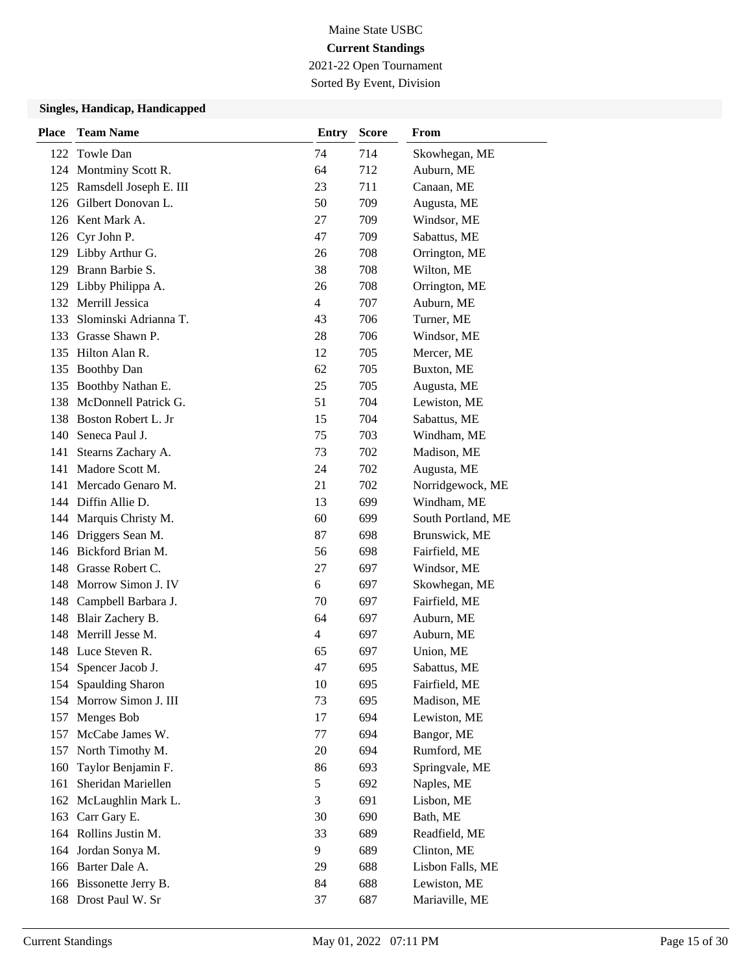2021-22 Open Tournament Sorted By Event, Division

| <b>Place</b> | <b>Team Name</b>         | <b>Entry</b> | <b>Score</b> | <b>From</b>        |
|--------------|--------------------------|--------------|--------------|--------------------|
|              | 122 Towle Dan            | 74           | 714          | Skowhegan, ME      |
|              | 124 Montminy Scott R.    | 64           | 712          | Auburn, ME         |
| 125          | Ramsdell Joseph E. III   | 23           | 711          | Canaan, ME         |
|              | 126 Gilbert Donovan L.   | 50           | 709          | Augusta, ME        |
|              | 126 Kent Mark A.         | 27           | 709          | Windsor, ME        |
|              | 126 Cyr John P.          | 47           | 709          | Sabattus, ME       |
|              | 129 Libby Arthur G.      | 26           | 708          | Orrington, ME      |
|              | 129 Brann Barbie S.      | 38           | 708          | Wilton, ME         |
|              | 129 Libby Philippa A.    | 26           | 708          | Orrington, ME      |
|              | 132 Merrill Jessica      | 4            | 707          | Auburn, ME         |
| 133          | Slominski Adrianna T.    | 43           | 706          | Turner, ME         |
|              | 133 Grasse Shawn P.      | 28           | 706          | Windsor, ME        |
|              | 135 Hilton Alan R.       | 12           | 705          | Mercer, ME         |
| 135          | <b>Boothby Dan</b>       | 62           | 705          | Buxton, ME         |
| 135          | Boothby Nathan E.        | 25           | 705          | Augusta, ME        |
|              | 138 McDonnell Patrick G. | 51           | 704          | Lewiston, ME       |
|              | 138 Boston Robert L. Jr  | 15           | 704          | Sabattus, ME       |
|              | 140 Seneca Paul J.       | 75           | 703          | Windham, ME        |
| 141          | Stearns Zachary A.       | 73           | 702          | Madison, ME        |
|              | 141 Madore Scott M.      | 24           | 702          | Augusta, ME        |
|              | 141 Mercado Genaro M.    | 21           | 702          | Norridgewock, ME   |
|              | 144 Diffin Allie D.      | 13           | 699          | Windham, ME        |
|              | 144 Marquis Christy M.   | 60           | 699          | South Portland, ME |
|              | 146 Driggers Sean M.     | 87           | 698          | Brunswick, ME      |
|              | 146 Bickford Brian M.    | 56           | 698          | Fairfield, ME      |
|              | 148 Grasse Robert C.     | 27           | 697          | Windsor, ME        |
| 148          | Morrow Simon J. IV       | 6            | 697          | Skowhegan, ME      |
|              | 148 Campbell Barbara J.  | 70           | 697          | Fairfield, ME      |
| 148          | Blair Zachery B.         | 64           | 697          | Auburn, ME         |
| 148          | Merrill Jesse M.         | 4            | 697          | Auburn, ME         |
|              | 148 Luce Steven R.       | 65           | 697          | Union, ME          |
|              | 154 Spencer Jacob J.     | 47           | 695          | Sabattus, ME       |
|              | 154 Spaulding Sharon     | 10           | 695          | Fairfield, ME      |
| 154          | Morrow Simon J. III      | 73           | 695          | Madison, ME        |
| 157          | Menges Bob               | 17           | 694          | Lewiston, ME       |
| 157          | McCabe James W.          | 77           | 694          | Bangor, ME         |
| 157          | North Timothy M.         | 20           | 694          | Rumford, ME        |
| 160          | Taylor Benjamin F.       | 86           | 693          | Springvale, ME     |
| 161          | Sheridan Mariellen       | 5            | 692          | Naples, ME         |
| 162          | McLaughlin Mark L.       | 3            | 691          | Lisbon, ME         |
| 163          | Carr Gary E.             | 30           | 690          | Bath, ME           |
|              | 164 Rollins Justin M.    | 33           | 689          | Readfield, ME      |
| 164          | Jordan Sonya M.          | 9            | 689          | Clinton, ME        |
|              | 166 Barter Dale A.       | 29           | 688          | Lisbon Falls, ME   |
|              | 166 Bissonette Jerry B.  | 84           | 688          | Lewiston, ME       |
|              | 168 Drost Paul W. Sr     | 37           | 687          | Mariaville, ME     |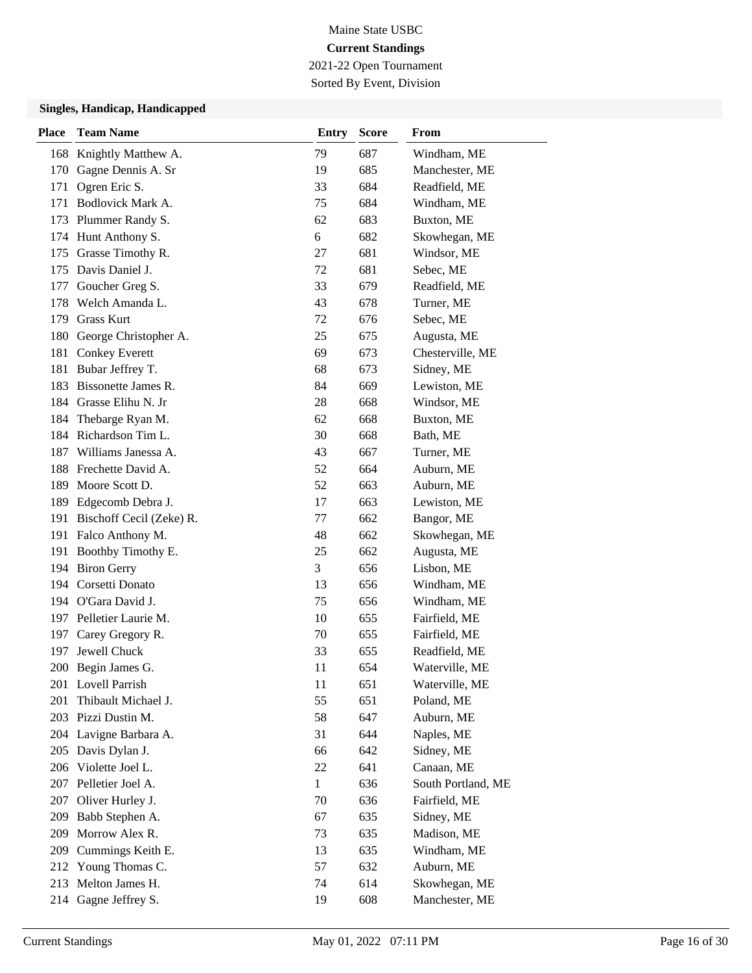2021-22 Open Tournament

## Sorted By Event, Division

| <b>Place</b> | <b>Team Name</b>             | <b>Entry</b> | <b>Score</b> | <b>From</b>        |
|--------------|------------------------------|--------------|--------------|--------------------|
| 168          | Knightly Matthew A.          | 79           | 687          | Windham, ME        |
| 170          | Gagne Dennis A. Sr           | 19           | 685          | Manchester, ME     |
| 171          | Ogren Eric S.                | 33           | 684          | Readfield, ME      |
| 171          | Bodlovick Mark A.            | 75           | 684          | Windham, ME        |
|              | 173 Plummer Randy S.         | 62           | 683          | Buxton, ME         |
|              | 174 Hunt Anthony S.          | 6            | 682          | Skowhegan, ME      |
|              | 175 Grasse Timothy R.        | 27           | 681          | Windsor, ME        |
|              | 175 Davis Daniel J.          | 72           | 681          | Sebec, ME          |
| 177          | Goucher Greg S.              | 33           | 679          | Readfield, ME      |
|              | 178 Welch Amanda L.          | 43           | 678          | Turner, ME         |
|              | 179 Grass Kurt               | 72           | 676          | Sebec, ME          |
|              | 180 George Christopher A.    | 25           | 675          | Augusta, ME        |
| 181          | <b>Conkey Everett</b>        | 69           | 673          | Chesterville, ME   |
| 181          | Bubar Jeffrey T.             | 68           | 673          | Sidney, ME         |
|              | 183 Bissonette James R.      | 84           | 669          | Lewiston, ME       |
|              | 184 Grasse Elihu N. Jr       | 28           | 668          | Windsor, ME        |
|              | 184 Thebarge Ryan M.         | 62           | 668          | Buxton, ME         |
|              | 184 Richardson Tim L.        | 30           | 668          | Bath, ME           |
| 187          | Williams Janessa A.          | 43           | 667          | Turner, ME         |
|              | 188 Frechette David A.       | 52           | 664          | Auburn, ME         |
| 189          | Moore Scott D.               | 52           | 663          | Auburn, ME         |
| 189          | Edgecomb Debra J.            | 17           | 663          | Lewiston, ME       |
|              | 191 Bischoff Cecil (Zeke) R. | 77           | 662          | Bangor, ME         |
|              | 191 Falco Anthony M.         | 48           | 662          | Skowhegan, ME      |
|              | 191 Boothby Timothy E.       | 25           | 662          | Augusta, ME        |
| 194          | <b>Biron Gerry</b>           | 3            | 656          | Lisbon, ME         |
|              | 194 Corsetti Donato          | 13           | 656          | Windham, ME        |
|              | 194 O'Gara David J.          | 75           | 656          | Windham, ME        |
|              | 197 Pelletier Laurie M.      | 10           | 655          | Fairfield, ME      |
| 197          | Carey Gregory R.             | 70           | 655          | Fairfield, ME      |
| 197          | Jewell Chuck                 | 33           | 655          | Readfield, ME      |
|              | 200 Begin James G.           | 11           | 654          | Waterville, ME     |
|              | 201 Lovell Parrish           | 11           | 651          | Waterville, ME     |
| 201          | Thibault Michael J.          | 55           | 651          | Poland, ME         |
|              | 203 Pizzi Dustin M.          | 58           | 647          | Auburn, ME         |
|              | 204 Lavigne Barbara A.       | 31           | 644          | Naples, ME         |
| 205          | Davis Dylan J.               | 66           | 642          | Sidney, ME         |
|              | 206 Violette Joel L.         | 22           | 641          | Canaan, ME         |
| 207          | Pelletier Joel A.            | $\mathbf{1}$ | 636          | South Portland, ME |
| 207          | Oliver Hurley J.             | 70           | 636          | Fairfield, ME      |
| 209          | Babb Stephen A.              | 67           | 635          | Sidney, ME         |
| 209          | Morrow Alex R.               | 73           | 635          | Madison, ME        |
| 209          | Cummings Keith E.            | 13           | 635          | Windham, ME        |
| 212          | Young Thomas C.              | 57           | 632          | Auburn, ME         |
| 213          | Melton James H.              | 74           | 614          | Skowhegan, ME      |
| 214          | Gagne Jeffrey S.             | 19           | 608          | Manchester, ME     |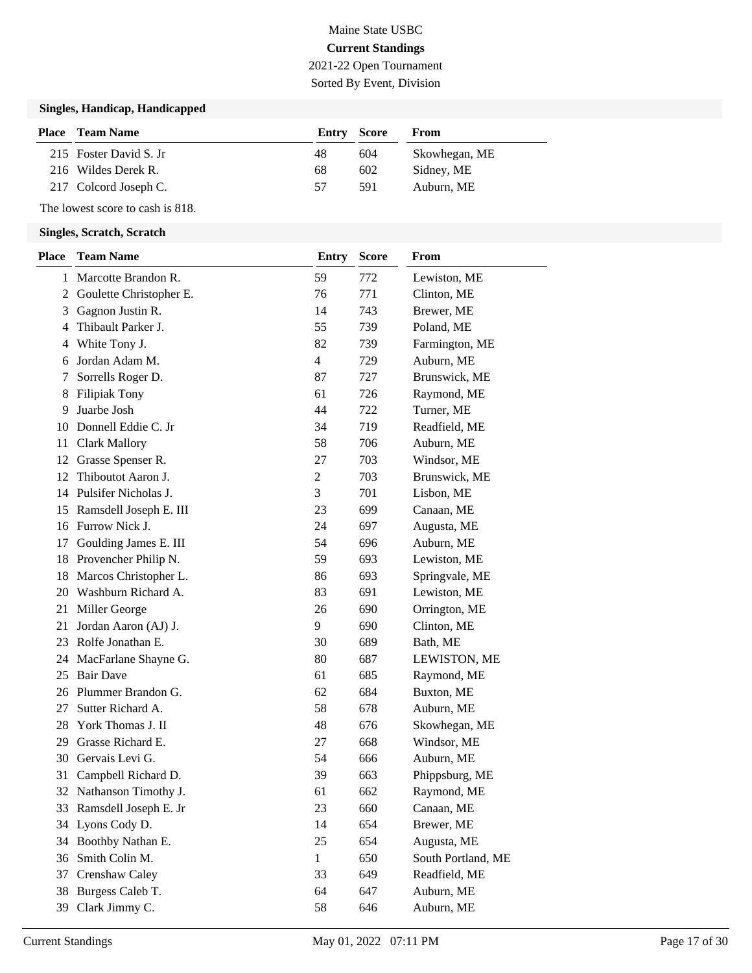## Maine State USBC **Current Standings** 2021-22 Open Tournament

Sorted By Event, Division

### **Singles, Handicap, Handicapped**

| <b>Place</b> Team Name | Entry Score |      | From          |
|------------------------|-------------|------|---------------|
| 215 Foster David S. Jr | 48          | 604  | Skowhegan, ME |
| 216 Wildes Derek R.    | 68          | 602  | Sidney, ME    |
| 217 Colcord Joseph C.  | 57          | -591 | Auburn, ME    |

The lowest score to cash is 818.

| <b>Place</b> | <b>Team Name</b>         | <b>Entry</b>   | <b>Score</b> | From               |
|--------------|--------------------------|----------------|--------------|--------------------|
|              | 1 Marcotte Brandon R.    | 59             | 772          | Lewiston, ME       |
| 2            | Goulette Christopher E.  | 76             | 771          | Clinton, ME        |
| 3            | Gagnon Justin R.         | 14             | 743          | Brewer, ME         |
| 4            | Thibault Parker J.       | 55             | 739          | Poland, ME         |
| 4            | White Tony J.            | 82             | 739          | Farmington, ME     |
| 6            | Jordan Adam M.           | $\overline{4}$ | 729          | Auburn, ME         |
| 7            | Sorrells Roger D.        | 87             | 727          | Brunswick, ME      |
| 8            | <b>Filipiak Tony</b>     | 61             | 726          | Raymond, ME        |
| 9            | Juarbe Josh              | 44             | 722          | Turner, ME         |
| 10           | Donnell Eddie C. Jr      | 34             | 719          | Readfield, ME      |
| 11           | <b>Clark Mallory</b>     | 58             | 706          | Auburn, ME         |
| 12           | Grasse Spenser R.        | 27             | 703          | Windsor, ME        |
| 12           | Thiboutot Aaron J.       | $\overline{c}$ | 703          | Brunswick, ME      |
|              | 14 Pulsifer Nicholas J.  | 3              | 701          | Lisbon, ME         |
| 15           | Ramsdell Joseph E. III   | 23             | 699          | Canaan, ME         |
| 16           | Furrow Nick J.           | 24             | 697          | Augusta, ME        |
| 17           | Goulding James E. III    | 54             | 696          | Auburn, ME         |
| 18           | Provencher Philip N.     | 59             | 693          | Lewiston, ME       |
| 18           | Marcos Christopher L.    | 86             | 693          | Springvale, ME     |
|              | 20 Washburn Richard A.   | 83             | 691          | Lewiston, ME       |
| 21           | Miller George            | 26             | 690          | Orrington, ME      |
| 21           | Jordan Aaron (AJ) J.     | 9              | 690          | Clinton, ME        |
|              | 23 Rolfe Jonathan E.     | 30             | 689          | Bath, ME           |
| 24           | MacFarlane Shayne G.     | 80             | 687          | LEWISTON, ME       |
| 25           | <b>Bair Dave</b>         | 61             | 685          | Raymond, ME        |
|              | 26 Plummer Brandon G.    | 62             | 684          | Buxton, ME         |
| 27           | Sutter Richard A.        | 58             | 678          | Auburn, ME         |
| 28           | York Thomas J. II        | 48             | 676          | Skowhegan, ME      |
| 29           | Grasse Richard E.        | 27             | 668          | Windsor, ME        |
|              | 30 Gervais Levi G.       | 54             | 666          | Auburn, ME         |
| 31           | Campbell Richard D.      | 39             | 663          | Phippsburg, ME     |
|              | 32 Nathanson Timothy J.  | 61             | 662          | Raymond, ME        |
|              | 33 Ramsdell Joseph E. Jr | 23             | 660          | Canaan, ME         |
|              | 34 Lyons Cody D.         | 14             | 654          | Brewer, ME         |
| 34           | Boothby Nathan E.        | 25             | 654          | Augusta, ME        |
|              | 36 Smith Colin M.        | $\mathbf{1}$   | 650          | South Portland, ME |
| 37           | Crenshaw Caley           | 33             | 649          | Readfield, ME      |
| 38           | Burgess Caleb T.         | 64             | 647          | Auburn, ME         |
|              | 39 Clark Jimmy C.        | 58             | 646          | Auburn, ME         |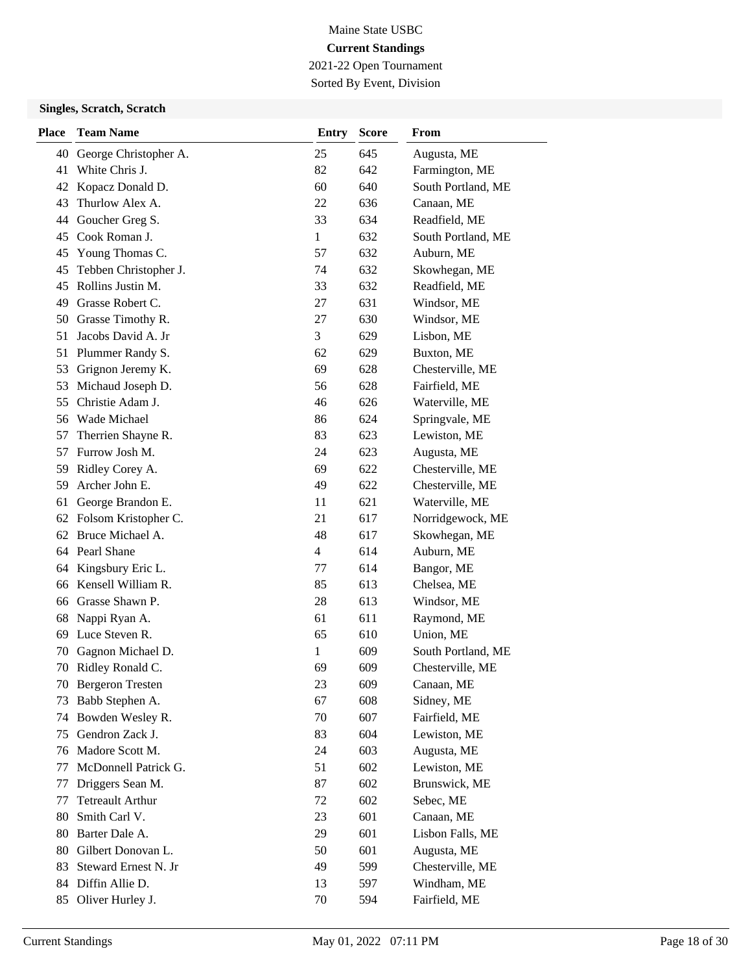2021-22 Open Tournament Sorted By Event, Division

| <b>Place</b> | <b>Team Name</b>        | <b>Entry</b>   | <b>Score</b> | From               |
|--------------|-------------------------|----------------|--------------|--------------------|
| 40           | George Christopher A.   | 25             | 645          | Augusta, ME        |
| 41           | White Chris J.          | 82             | 642          | Farmington, ME     |
| 42           | Kopacz Donald D.        | 60             | 640          | South Portland, ME |
| 43           | Thurlow Alex A.         | 22             | 636          | Canaan, ME         |
| 44           | Goucher Greg S.         | 33             | 634          | Readfield, ME      |
| 45           | Cook Roman J.           | $\mathbf{1}$   | 632          | South Portland, ME |
| 45           | Young Thomas C.         | 57             | 632          | Auburn, ME         |
| 45           | Tebben Christopher J.   | 74             | 632          | Skowhegan, ME      |
| 45           | Rollins Justin M.       | 33             | 632          | Readfield, ME      |
| 49           | Grasse Robert C.        | 27             | 631          | Windsor, ME        |
| 50           | Grasse Timothy R.       | 27             | 630          | Windsor, ME        |
| 51           | Jacobs David A. Jr      | 3              | 629          | Lisbon, ME         |
| 51           | Plummer Randy S.        | 62             | 629          | Buxton, ME         |
| 53           | Grignon Jeremy K.       | 69             | 628          | Chesterville, ME   |
| 53           | Michaud Joseph D.       | 56             | 628          | Fairfield, ME      |
| 55           | Christie Adam J.        | 46             | 626          | Waterville, ME     |
| 56           | Wade Michael            | 86             | 624          | Springvale, ME     |
| 57           | Therrien Shayne R.      | 83             | 623          | Lewiston, ME       |
| 57           | Furrow Josh M.          | 24             | 623          | Augusta, ME        |
| 59           | Ridley Corey A.         | 69             | 622          | Chesterville, ME   |
| 59           | Archer John E.          | 49             | 622          | Chesterville, ME   |
| 61           | George Brandon E.       | 11             | 621          | Waterville, ME     |
| 62           | Folsom Kristopher C.    | 21             | 617          | Norridgewock, ME   |
| 62           | Bruce Michael A.        | 48             | 617          | Skowhegan, ME      |
|              | 64 Pearl Shane          | $\overline{4}$ | 614          | Auburn, ME         |
| 64           | Kingsbury Eric L.       | 77             | 614          | Bangor, ME         |
| 66           | Kensell William R.      | 85             | 613          | Chelsea, ME        |
|              | 66 Grasse Shawn P.      | 28             | 613          | Windsor, ME        |
| 68           | Nappi Ryan A.           | 61             | 611          | Raymond, ME        |
| 69           | Luce Steven R.          | 65             | 610          | Union, ME          |
| 70           | Gagnon Michael D.       | 1              | 609          | South Portland, ME |
| 70           | Ridley Ronald C.        | 69             | 609          | Chesterville, ME   |
| 70           | <b>Bergeron Tresten</b> | 23             | 609          | Canaan, ME         |
| 73           | Babb Stephen A.         | 67             | 608          | Sidney, ME         |
| 74           | Bowden Wesley R.        | 70             | 607          | Fairfield, ME      |
| 75           | Gendron Zack J.         | 83             | 604          | Lewiston, ME       |
| 76           | Madore Scott M.         | 24             | 603          | Augusta, ME        |
| 77           | McDonnell Patrick G.    | 51             | 602          | Lewiston, ME       |
| 77           | Driggers Sean M.        | 87             | 602          | Brunswick, ME      |
| 77           | <b>Tetreault Arthur</b> | 72             | 602          | Sebec, ME          |
| 80           | Smith Carl V.           | 23             | 601          | Canaan, ME         |
| 80           | Barter Dale A.          | 29             | 601          | Lisbon Falls, ME   |
| 80           | Gilbert Donovan L.      | 50             | 601          | Augusta, ME        |
| 83           | Steward Ernest N. Jr    | 49             | 599          | Chesterville, ME   |
|              | 84 Diffin Allie D.      | 13             | 597          | Windham, ME        |
| 85           | Oliver Hurley J.        | 70             | 594          | Fairfield, ME      |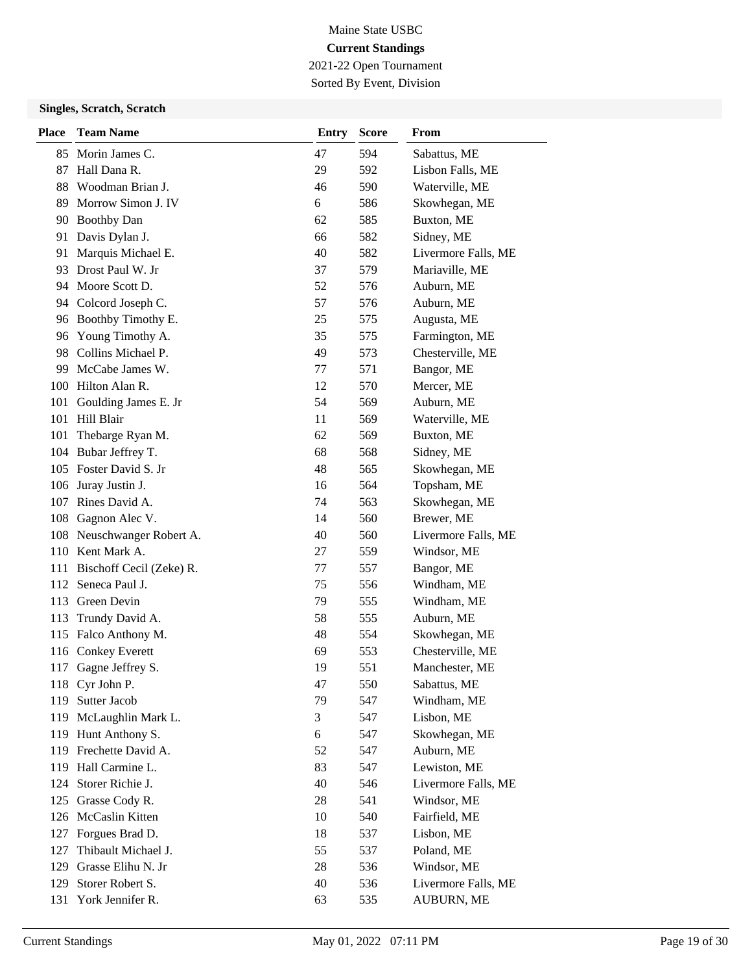2021-22 Open Tournament Sorted By Event, Division

| <b>Place</b> | <b>Team Name</b>         | <b>Entry</b> | <b>Score</b> | From                |
|--------------|--------------------------|--------------|--------------|---------------------|
| 85           | Morin James C.           | 47           | 594          | Sabattus, ME        |
| 87           | Hall Dana R.             | 29           | 592          | Lisbon Falls, ME    |
| 88           | Woodman Brian J.         | 46           | 590          | Waterville, ME      |
| 89           | Morrow Simon J. IV       | 6            | 586          | Skowhegan, ME       |
|              | 90 Boothby Dan           | 62           | 585          | Buxton, ME          |
| 91           | Davis Dylan J.           | 66           | 582          | Sidney, ME          |
| 91           | Marquis Michael E.       | 40           | 582          | Livermore Falls, ME |
| 93           | Drost Paul W. Jr         | 37           | 579          | Mariaville, ME      |
|              | 94 Moore Scott D.        | 52           | 576          | Auburn, ME          |
| 94           | Colcord Joseph C.        | 57           | 576          | Auburn, ME          |
| 96           | Boothby Timothy E.       | 25           | 575          | Augusta, ME         |
| 96           | Young Timothy A.         | 35           | 575          | Farmington, ME      |
|              | 98 Collins Michael P.    | 49           | 573          | Chesterville, ME    |
| 99           | McCabe James W.          | 77           | 571          | Bangor, ME          |
|              | 100 Hilton Alan R.       | 12           | 570          | Mercer, ME          |
| 101          | Goulding James E. Jr     | 54           | 569          | Auburn, ME          |
|              | 101 Hill Blair           | 11           | 569          | Waterville, ME      |
| 101          | Thebarge Ryan M.         | 62           | 569          | Buxton, ME          |
| 104          | Bubar Jeffrey T.         | 68           | 568          | Sidney, ME          |
|              | 105 Foster David S. Jr   | 48           | 565          | Skowhegan, ME       |
| 106          | Juray Justin J.          | 16           | 564          | Topsham, ME         |
| 107          | Rines David A.           | 74           | 563          | Skowhegan, ME       |
| 108          | Gagnon Alec V.           | 14           | 560          | Brewer, ME          |
| 108          | Neuschwanger Robert A.   | 40           | 560          | Livermore Falls, ME |
|              | 110 Kent Mark A.         | 27           | 559          | Windsor, ME         |
| 111          | Bischoff Cecil (Zeke) R. | 77           | 557          | Bangor, ME          |
| 112          | Seneca Paul J.           | 75           | 556          | Windham, ME         |
| 113          | Green Devin              | 79           | 555          | Windham, ME         |
| 113          | Trundy David A.          | 58           | 555          | Auburn, ME          |
| 115          | Falco Anthony M.         | 48           | 554          | Skowhegan, ME       |
| 116          | <b>Conkey Everett</b>    | 69           | 553          | Chesterville, ME    |
| 117          | Gagne Jeffrey S.         | 19           | 551          | Manchester, ME      |
|              | 118 Cyr John P.          | 47           | 550          | Sabattus, ME        |
| 119          | Sutter Jacob             | 79           | 547          | Windham, ME         |
| 119          | McLaughlin Mark L.       | 3            | 547          | Lisbon, ME          |
|              | 119 Hunt Anthony S.      | 6            | 547          | Skowhegan, ME       |
|              | 119 Frechette David A.   | 52           | 547          | Auburn, ME          |
| 119          | Hall Carmine L.          | 83           | 547          | Lewiston, ME        |
| 124          | Storer Richie J.         | 40           | 546          | Livermore Falls, ME |
| 125          | Grasse Cody R.           | 28           | 541          | Windsor, ME         |
| 126          | McCaslin Kitten          | 10           | 540          | Fairfield, ME       |
| 127          | Forgues Brad D.          | 18           | 537          | Lisbon, ME          |
| 127          | Thibault Michael J.      | 55           | 537          | Poland, ME          |
| 129          | Grasse Elihu N. Jr       | 28           | 536          | Windsor, ME         |
| 129          | Storer Robert S.         | 40           | 536          | Livermore Falls, ME |
| 131          | York Jennifer R.         | 63           | 535          | AUBURN, ME          |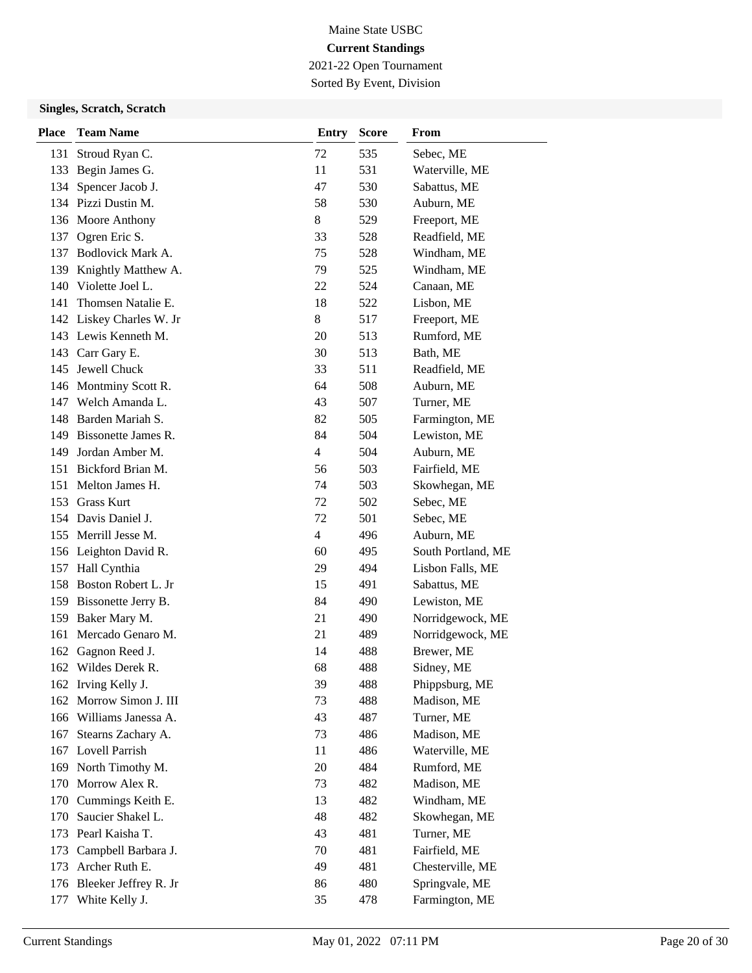2021-22 Open Tournament Sorted By Event, Division

| <b>Place</b> | <b>Team Name</b>          | <b>Entry</b>   | <b>Score</b> | From               |
|--------------|---------------------------|----------------|--------------|--------------------|
| 131          | Stroud Ryan C.            | 72             | 535          | Sebec, ME          |
| 133          | Begin James G.            | 11             | 531          | Waterville, ME     |
| 134          | Spencer Jacob J.          | 47             | 530          | Sabattus, ME       |
|              | 134 Pizzi Dustin M.       | 58             | 530          | Auburn, ME         |
|              | 136 Moore Anthony         | 8              | 529          | Freeport, ME       |
| 137          | Ogren Eric S.             | 33             | 528          | Readfield, ME      |
|              | 137 Bodlovick Mark A.     | 75             | 528          | Windham, ME        |
|              | 139 Knightly Matthew A.   | 79             | 525          | Windham, ME        |
|              | 140 Violette Joel L.      | 22             | 524          | Canaan, ME         |
| 141          | Thomsen Natalie E.        | 18             | 522          | Lisbon, ME         |
|              | 142 Liskey Charles W. Jr  | 8              | 517          | Freeport, ME       |
|              | 143 Lewis Kenneth M.      | 20             | 513          | Rumford, ME        |
|              | 143 Carr Gary E.          | 30             | 513          | Bath, ME           |
| 145          | Jewell Chuck              | 33             | 511          | Readfield, ME      |
|              | 146 Montminy Scott R.     | 64             | 508          | Auburn, ME         |
|              | 147 Welch Amanda L.       | 43             | 507          | Turner, ME         |
|              | 148 Barden Mariah S.      | 82             | 505          | Farmington, ME     |
| 149          | Bissonette James R.       | 84             | 504          | Lewiston, ME       |
| 149          | Jordan Amber M.           | $\overline{4}$ | 504          | Auburn, ME         |
|              | 151 Bickford Brian M.     | 56             | 503          | Fairfield, ME      |
| 151          | Melton James H.           | 74             | 503          | Skowhegan, ME      |
| 153          | <b>Grass Kurt</b>         | 72             | 502          | Sebec, ME          |
|              | 154 Davis Daniel J.       | 72             | 501          | Sebec, ME          |
|              | 155 Merrill Jesse M.      | $\overline{4}$ | 496          | Auburn, ME         |
|              | 156 Leighton David R.     | 60             | 495          | South Portland, ME |
| 157          | Hall Cynthia              | 29             | 494          | Lisbon Falls, ME   |
| 158          | Boston Robert L. Jr       | 15             | 491          | Sabattus, ME       |
|              | 159 Bissonette Jerry B.   | 84             | 490          | Lewiston, ME       |
| 159          | Baker Mary M.             | 21             | 490          | Norridgewock, ME   |
| 161          | Mercado Genaro M.         | 21             | 489          | Norridgewock, ME   |
| 162          | Gagnon Reed J.            | 14             | 488          | Brewer, ME         |
| 162          | Wildes Derek R.           | 68             | 488          | Sidney, ME         |
|              | 162 Irving Kelly J.       | 39             | 488          | Phippsburg, ME     |
| 162          | Morrow Simon J. III       | 73             | 488          | Madison, ME        |
|              | 166 Williams Janessa A.   | 43             | 487          | Turner, ME         |
| 167          | Stearns Zachary A.        | 73             | 486          | Madison, ME        |
|              | 167 Lovell Parrish        | 11             | 486          | Waterville, ME     |
|              | 169 North Timothy M.      | 20             | 484          | Rumford, ME        |
| 170          | Morrow Alex R.            | 73             | 482          | Madison, ME        |
|              | 170 Cummings Keith E.     | 13             | 482          | Windham, ME        |
| 170          | Saucier Shakel L.         | 48             | 482          | Skowhegan, ME      |
| 173          | Pearl Kaisha T.           | 43             | 481          | Turner, ME         |
| 173          | Campbell Barbara J.       | 70             | 481          | Fairfield, ME      |
| 173          | Archer Ruth E.            | 49             | 481          | Chesterville, ME   |
|              | 176 Bleeker Jeffrey R. Jr | 86             | 480          | Springvale, ME     |
| 177          | White Kelly J.            | 35             | 478          | Farmington, ME     |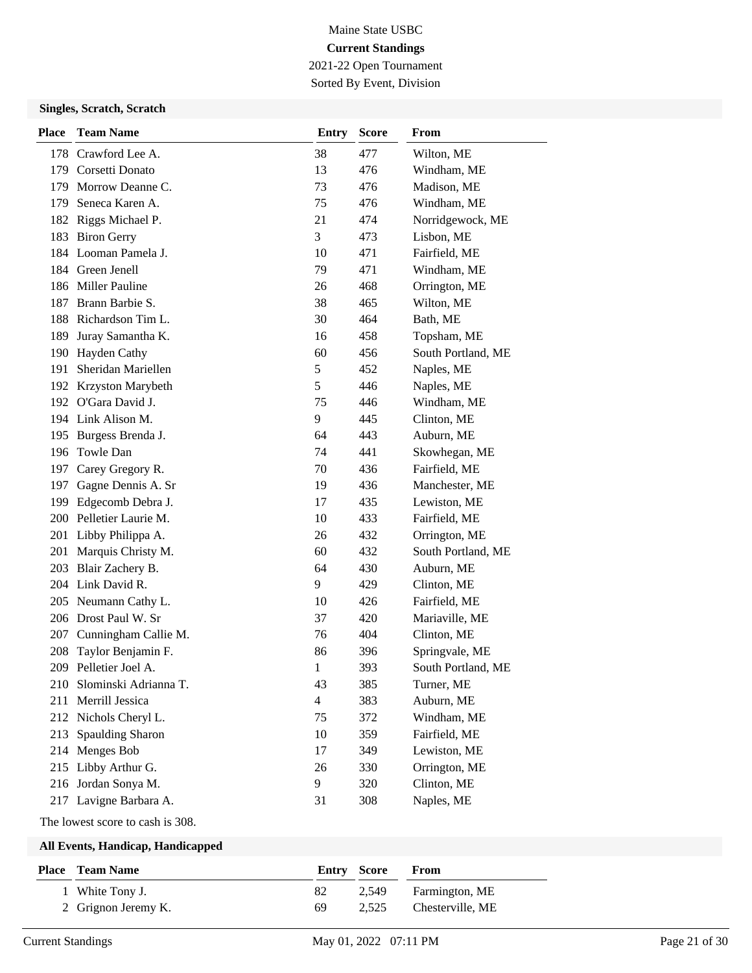2021-22 Open Tournament Sorted By Event, Division

### **Singles, Scratch, Scratch**

| <b>Place</b> | <b>Team Name</b>        | <b>Entry</b>   | <b>Score</b> | From               |
|--------------|-------------------------|----------------|--------------|--------------------|
| 178          | Crawford Lee A.         | 38             | 477          | Wilton, ME         |
|              | 179 Corsetti Donato     | 13             | 476          | Windham, ME        |
| 179          | Morrow Deanne C.        | 73             | 476          | Madison, ME        |
| 179          | Seneca Karen A.         | 75             | 476          | Windham, ME        |
|              | 182 Riggs Michael P.    | 21             | 474          | Norridgewock, ME   |
|              | 183 Biron Gerry         | 3              | 473          | Lisbon, ME         |
|              | 184 Looman Pamela J.    | 10             | 471          | Fairfield, ME      |
|              | 184 Green Jenell        | 79             | 471          | Windham, ME        |
|              | 186 Miller Pauline      | 26             | 468          | Orrington, ME      |
| 187          | Brann Barbie S.         | 38             | 465          | Wilton, ME         |
|              | 188 Richardson Tim L.   | 30             | 464          | Bath, ME           |
| 189          | Juray Samantha K.       | 16             | 458          | Topsham, ME        |
| 190          | Hayden Cathy            | 60             | 456          | South Portland, ME |
| 191          | Sheridan Mariellen      | $\mathfrak s$  | 452          | Naples, ME         |
|              | 192 Krzyston Marybeth   | 5              | 446          | Naples, ME         |
|              | 192 O'Gara David J.     | 75             | 446          | Windham, ME        |
|              | 194 Link Alison M.      | 9              | 445          | Clinton, ME        |
| 195          | Burgess Brenda J.       | 64             | 443          | Auburn, ME         |
|              | 196 Towle Dan           | 74             | 441          | Skowhegan, ME      |
|              | 197 Carey Gregory R.    | 70             | 436          | Fairfield, ME      |
| 197          | Gagne Dennis A. Sr      | 19             | 436          | Manchester, ME     |
| 199          | Edgecomb Debra J.       | 17             | 435          | Lewiston, ME       |
|              | 200 Pelletier Laurie M. | 10             | 433          | Fairfield, ME      |
|              | 201 Libby Philippa A.   | 26             | 432          | Orrington, ME      |
| 201          | Marquis Christy M.      | 60             | 432          | South Portland, ME |
| 203          | Blair Zachery B.        | 64             | 430          | Auburn, ME         |
|              | 204 Link David R.       | 9              | 429          | Clinton, ME        |
|              | 205 Neumann Cathy L.    | 10             | 426          | Fairfield, ME      |
|              | 206 Drost Paul W. Sr    | 37             | 420          | Mariaville, ME     |
| 207          | Cunningham Callie M.    | 76             | 404          | Clinton, ME        |
| 208          | Taylor Benjamin F.      | 86             | 396          | Springvale, ME     |
| 209          | Pelletier Joel A.       | $\mathbf{1}$   | 393          | South Portland, ME |
| 210          | Slominski Adrianna T.   | 43             | 385          | Turner, ME         |
| 211          | Merrill Jessica         | $\overline{4}$ | 383          | Auburn, ME         |
| 212          | Nichols Cheryl L.       | 75             | 372          | Windham, ME        |
| 213          | Spaulding Sharon        | 10             | 359          | Fairfield, ME      |
| 214          | Menges Bob              | 17             | 349          | Lewiston, ME       |
| 215          | Libby Arthur G.         | 26             | 330          | Orrington, ME      |
| 216          | Jordan Sonya M.         | 9              | 320          | Clinton, ME        |
|              | 217 Lavigne Barbara A.  | 31             | 308          | Naples, ME         |

The lowest score to cash is 308.

| <b>Place – Team Name</b> | Entry Score |       | From             |
|--------------------------|-------------|-------|------------------|
| 1 White Tony J.          | 82          | 2.549 | Farmington, ME   |
| 2 Grignon Jeremy K.      | 69          | 2.525 | Chesterville, ME |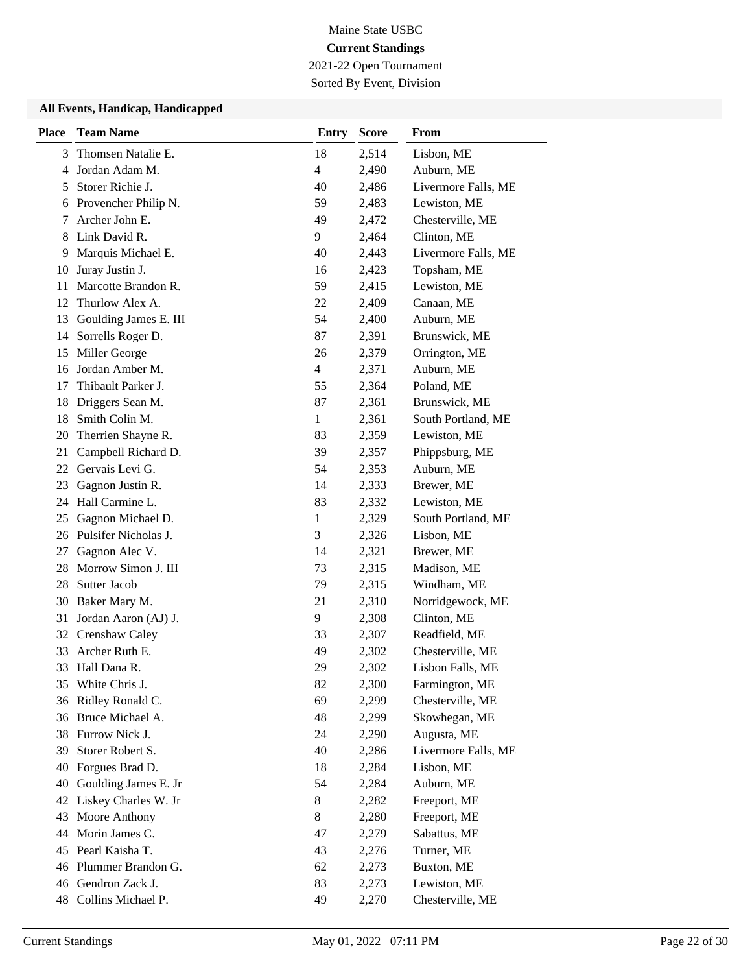2021-22 Open Tournament

Sorted By Event, Division

| <b>Place</b> | <b>Team Name</b>        | <b>Entry</b> | <b>Score</b> | From                |
|--------------|-------------------------|--------------|--------------|---------------------|
| 3            | Thomsen Natalie E.      | 18           | 2,514        | Lisbon, ME          |
| 4            | Jordan Adam M.          | 4            | 2,490        | Auburn, ME          |
| 5            | Storer Richie J.        | 40           | 2,486        | Livermore Falls, ME |
| 6            | Provencher Philip N.    | 59           | 2,483        | Lewiston, ME        |
| 7            | Archer John E.          | 49           | 2,472        | Chesterville, ME    |
| 8            | Link David R.           | 9            | 2,464        | Clinton, ME         |
| 9            | Marquis Michael E.      | 40           | 2,443        | Livermore Falls, ME |
| 10           | Juray Justin J.         | 16           | 2,423        | Topsham, ME         |
| 11           | Marcotte Brandon R.     | 59           | 2,415        | Lewiston, ME        |
| 12           | Thurlow Alex A.         | 22           | 2,409        | Canaan, ME          |
| 13           | Goulding James E. III   | 54           | 2,400        | Auburn, ME          |
| 14           | Sorrells Roger D.       | 87           | 2,391        | Brunswick, ME       |
| 15           | Miller George           | 26           | 2,379        | Orrington, ME       |
| 16           | Jordan Amber M.         | 4            | 2,371        | Auburn, ME          |
| 17           | Thibault Parker J.      | 55           | 2,364        | Poland, ME          |
| 18           | Driggers Sean M.        | 87           | 2,361        | Brunswick, ME       |
| 18           | Smith Colin M.          | 1            | 2,361        | South Portland, ME  |
| 20           | Therrien Shayne R.      | 83           | 2,359        | Lewiston, ME        |
| 21           | Campbell Richard D.     | 39           | 2,357        | Phippsburg, ME      |
|              | 22 Gervais Levi G.      | 54           | 2,353        | Auburn, ME          |
| 23           | Gagnon Justin R.        | 14           | 2,333        | Brewer, ME          |
| 24           | Hall Carmine L.         | 83           | 2,332        | Lewiston, ME        |
| 25           | Gagnon Michael D.       | 1            | 2,329        | South Portland, ME  |
|              | 26 Pulsifer Nicholas J. | 3            | 2,326        | Lisbon, ME          |
| 27           | Gagnon Alec V.          | 14           | 2,321        | Brewer, ME          |
| 28           | Morrow Simon J. III     | 73           | 2,315        | Madison, ME         |
| 28           | Sutter Jacob            | 79           | 2,315        | Windham, ME         |
| 30           | Baker Mary M.           | 21           | 2,310        | Norridgewock, ME    |
| 31           | Jordan Aaron (AJ) J.    | 9            | 2,308        | Clinton, ME         |
| 32           | Crenshaw Caley          | 33           | 2,307        | Readfield, ME       |
| 33           | Archer Ruth E.          | 49           | 2,302        | Chesterville, ME    |
| 33           | Hall Dana R.            | 29           | 2,302        | Lisbon Falls, ME    |
|              | 35 White Chris J.       | 82           | 2,300        | Farmington, ME      |
|              | 36 Ridley Ronald C.     | 69           | 2,299        | Chesterville, ME    |
|              | 36 Bruce Michael A.     | 48           | 2,299        | Skowhegan, ME       |
|              | 38 Furrow Nick J.       | 24           | 2,290        | Augusta, ME         |
| 39           | Storer Robert S.        | 40           | 2,286        | Livermore Falls, ME |
| 40           | Forgues Brad D.         | 18           | 2,284        | Lisbon, ME          |
| 40           | Goulding James E. Jr    | 54           | 2,284        | Auburn, ME          |
|              | 42 Liskey Charles W. Jr | $8\,$        | 2,282        | Freeport, ME        |
| 43           | Moore Anthony           | $8\,$        | 2,280        | Freeport, ME        |
| 44           | Morin James C.          | 47           | 2,279        | Sabattus, ME        |
|              | 45 Pearl Kaisha T.      | 43           | 2,276        | Turner, ME          |
|              | 46 Plummer Brandon G.   | 62           | 2,273        | Buxton, ME          |
| 46           | Gendron Zack J.         | 83           | 2,273        | Lewiston, ME        |
| 48           | Collins Michael P.      | 49           | 2,270        | Chesterville, ME    |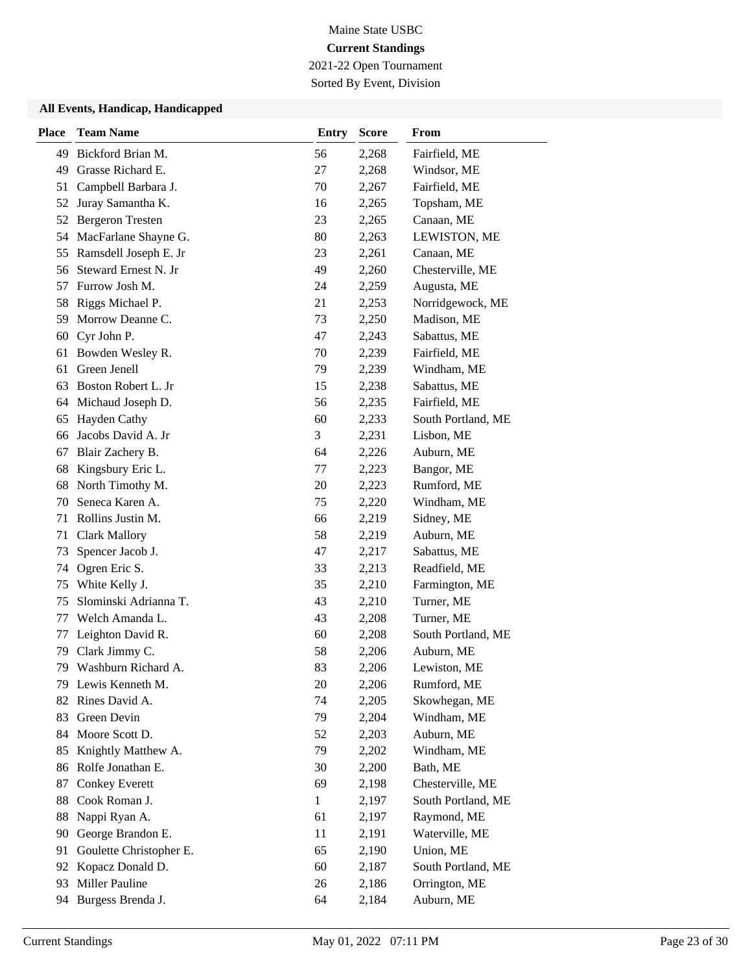2021-22 Open Tournament

Sorted By Event, Division

| <b>Place</b> | <b>Team Name</b>        | <b>Entry</b> | <b>Score</b> | From               |
|--------------|-------------------------|--------------|--------------|--------------------|
| 49           | Bickford Brian M.       | 56           | 2,268        | Fairfield, ME      |
| 49           | Grasse Richard E.       | 27           | 2,268        | Windsor, ME        |
| 51           | Campbell Barbara J.     | 70           | 2,267        | Fairfield, ME      |
| 52           | Juray Samantha K.       | 16           | 2,265        | Topsham, ME        |
| 52           | <b>Bergeron Tresten</b> | 23           | 2,265        | Canaan, ME         |
| 54           | MacFarlane Shayne G.    | 80           | 2,263        | LEWISTON, ME       |
| 55           | Ramsdell Joseph E. Jr   | 23           | 2,261        | Canaan, ME         |
| 56           | Steward Ernest N. Jr    | 49           | 2,260        | Chesterville, ME   |
| 57           | Furrow Josh M.          | 24           | 2,259        | Augusta, ME        |
| 58           | Riggs Michael P.        | 21           | 2,253        | Norridgewock, ME   |
| 59           | Morrow Deanne C.        | 73           | 2,250        | Madison, ME        |
| 60           | Cyr John P.             | 47           | 2,243        | Sabattus, ME       |
| 61           | Bowden Wesley R.        | 70           | 2,239        | Fairfield, ME      |
| 61           | Green Jenell            | 79           | 2,239        | Windham, ME        |
| 63           | Boston Robert L. Jr     | 15           | 2,238        | Sabattus, ME       |
| 64           | Michaud Joseph D.       | 56           | 2,235        | Fairfield, ME      |
| 65           | Hayden Cathy            | 60           | 2,233        | South Portland, ME |
| 66           | Jacobs David A. Jr      | 3            | 2,231        | Lisbon, ME         |
| 67           | Blair Zachery B.        | 64           | 2,226        | Auburn, ME         |
| 68           | Kingsbury Eric L.       | 77           | 2,223        | Bangor, ME         |
| 68           | North Timothy M.        | 20           | 2,223        | Rumford, ME        |
| 70           | Seneca Karen A.         | 75           | 2,220        | Windham, ME        |
| 71           | Rollins Justin M.       | 66           | 2,219        | Sidney, ME         |
| 71           | <b>Clark Mallory</b>    | 58           | 2,219        | Auburn, ME         |
| 73           | Spencer Jacob J.        | 47           | 2,217        | Sabattus, ME       |
| 74           | Ogren Eric S.           | 33           | 2,213        | Readfield, ME      |
| 75           | White Kelly J.          | 35           | 2,210        | Farmington, ME     |
| 75           | Slominski Adrianna T.   | 43           | 2,210        | Turner, ME         |
| 77           | Welch Amanda L.         | 43           | 2,208        | Turner, ME         |
| 77           | Leighton David R.       | 60           | 2,208        | South Portland, ME |
| 79           | Clark Jimmy C.          | 58           | 2,206        | Auburn, ME         |
| 79           | Washburn Richard A.     | 83           | 2,206        | Lewiston, ME       |
| 79           | Lewis Kenneth M.        | 20           | 2,206        | Rumford, ME        |
| 82           | Rines David A.          | 74           | 2,205        | Skowhegan, ME      |
| 83           | Green Devin             | 79           | 2,204        | Windham, ME        |
| 84           | Moore Scott D.          | 52           | 2,203        | Auburn, ME         |
| 85           | Knightly Matthew A.     | 79           | 2,202        | Windham, ME        |
| 86           | Rolfe Jonathan E.       | 30           | 2,200        | Bath, ME           |
| 87           | <b>Conkey Everett</b>   | 69           | 2,198        | Chesterville, ME   |
| 88           | Cook Roman J.           | $\mathbf{1}$ | 2,197        | South Portland, ME |
| 88           | Nappi Ryan A.           | 61           | 2,197        | Raymond, ME        |
| 90           | George Brandon E.       | 11           | 2,191        | Waterville, ME     |
| 91           | Goulette Christopher E. | 65           | 2,190        | Union, ME          |
| 92           | Kopacz Donald D.        | 60           | 2,187        | South Portland, ME |
| 93           | Miller Pauline          | 26           | 2,186        | Orrington, ME      |
| 94           | Burgess Brenda J.       | 64           | 2,184        | Auburn, ME         |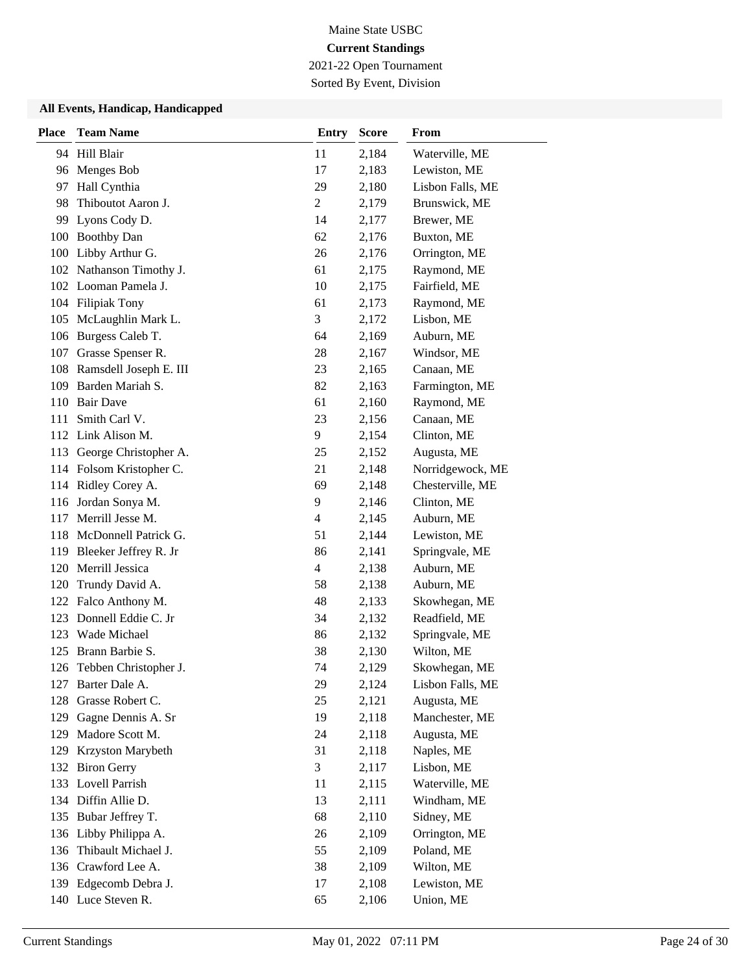2021-22 Open Tournament

Sorted By Event, Division

| <b>Place</b> | <b>Team Name</b>          | <b>Entry</b>   | <b>Score</b> | From             |
|--------------|---------------------------|----------------|--------------|------------------|
|              | 94 Hill Blair             | 11             | 2,184        | Waterville, ME   |
| 96           | Menges Bob                | 17             | 2,183        | Lewiston, ME     |
| 97           | Hall Cynthia              | 29             | 2,180        | Lisbon Falls, ME |
| 98           | Thiboutot Aaron J.        | $\overline{c}$ | 2,179        | Brunswick, ME    |
| 99           | Lyons Cody D.             | 14             | 2,177        | Brewer, ME       |
| 100          | <b>Boothby Dan</b>        | 62             | 2,176        | Buxton, ME       |
| 100          | Libby Arthur G.           | 26             | 2,176        | Orrington, ME    |
|              | 102 Nathanson Timothy J.  | 61             | 2,175        | Raymond, ME      |
|              | 102 Looman Pamela J.      | 10             | 2,175        | Fairfield, ME    |
| 104          | <b>Filipiak Tony</b>      | 61             | 2,173        | Raymond, ME      |
| 105          | McLaughlin Mark L.        | 3              | 2,172        | Lisbon, ME       |
|              | 106 Burgess Caleb T.      | 64             | 2,169        | Auburn, ME       |
| 107          | Grasse Spenser R.         | 28             | 2,167        | Windsor, ME      |
| 108          | Ramsdell Joseph E. III    | 23             | 2,165        | Canaan, ME       |
| 109          | Barden Mariah S.          | 82             | 2,163        | Farmington, ME   |
|              | 110 Bair Dave             | 61             | 2,160        | Raymond, ME      |
| 111          | Smith Carl V.             | 23             | 2,156        | Canaan, ME       |
|              | 112 Link Alison M.        | 9              | 2,154        | Clinton, ME      |
| 113          | George Christopher A.     | 25             | 2,152        | Augusta, ME      |
|              | 114 Folsom Kristopher C.  | 21             | 2,148        | Norridgewock, ME |
| 114          | Ridley Corey A.           | 69             | 2,148        | Chesterville, ME |
|              | 116 Jordan Sonya M.       | 9              | 2,146        | Clinton, ME      |
| 117          | Merrill Jesse M.          | 4              | 2,145        | Auburn, ME       |
|              | 118 McDonnell Patrick G.  | 51             | 2,144        | Lewiston, ME     |
| 119          | Bleeker Jeffrey R. Jr     | 86             | 2,141        | Springvale, ME   |
| 120          | Merrill Jessica           | 4              | 2,138        | Auburn, ME       |
| 120          | Trundy David A.           | 58             | 2,138        | Auburn, ME       |
| 122          | Falco Anthony M.          | 48             | 2,133        | Skowhegan, ME    |
| 123          | Donnell Eddie C. Jr       | 34             | 2,132        | Readfield, ME    |
|              | 123 Wade Michael          | 86             | 2,132        | Springvale, ME   |
| 125          | Brann Barbie S.           | 38             | 2,130        | Wilton, ME       |
|              | 126 Tebben Christopher J. | 74             | 2,129        | Skowhegan, ME    |
|              | 127 Barter Dale A.        | 29             | 2,124        | Lisbon Falls, ME |
| 128          | Grasse Robert C.          | 25             | 2,121        | Augusta, ME      |
| 129          | Gagne Dennis A. Sr        | 19             | 2,118        | Manchester, ME   |
| 129          | Madore Scott M.           | 24             | 2,118        | Augusta, ME      |
| 129          | Krzyston Marybeth         | 31             | 2,118        | Naples, ME       |
| 132          | <b>Biron Gerry</b>        | 3              | 2,117        | Lisbon, ME       |
| 133          | Lovell Parrish            | 11             | 2,115        | Waterville, ME   |
|              | 134 Diffin Allie D.       | 13             | 2,111        | Windham, ME      |
| 135          | Bubar Jeffrey T.          | 68             | 2,110        | Sidney, ME       |
| 136          | Libby Philippa A.         | 26             | 2,109        | Orrington, ME    |
| 136          | Thibault Michael J.       | 55             | 2,109        | Poland, ME       |
|              | 136 Crawford Lee A.       | 38             | 2,109        | Wilton, ME       |
|              | 139 Edgecomb Debra J.     | 17             | 2,108        | Lewiston, ME     |
|              | 140 Luce Steven R.        | 65             | 2,106        | Union, ME        |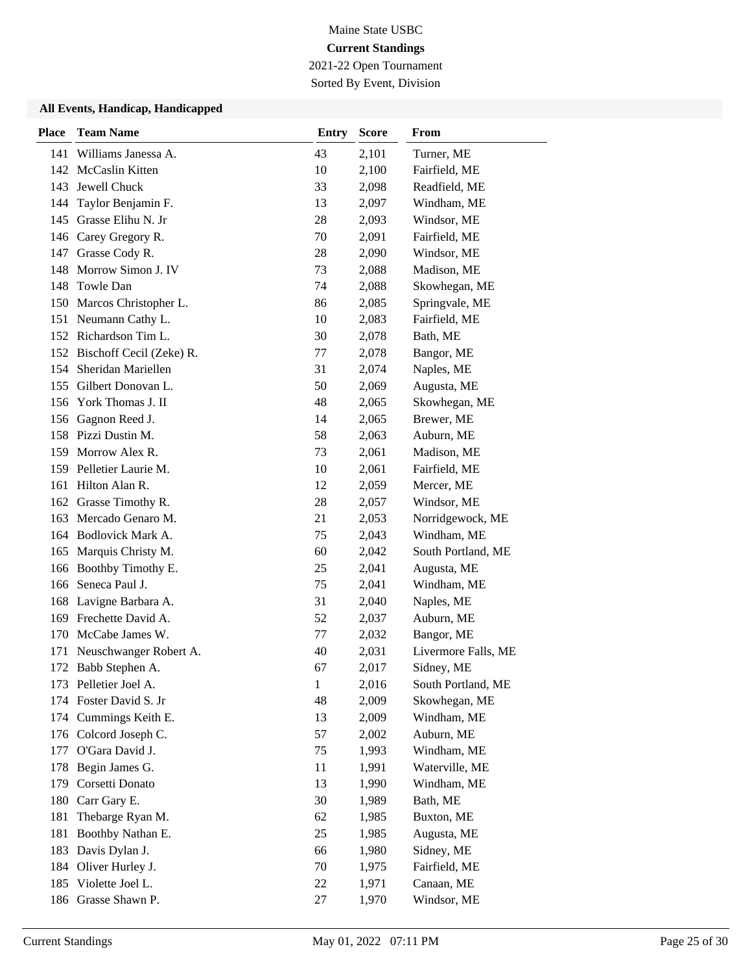2021-22 Open Tournament Sorted By Event, Division

| <b>Place</b> | <b>Team Name</b>             | <b>Entry</b> | <b>Score</b> | From                |
|--------------|------------------------------|--------------|--------------|---------------------|
| 141          | Williams Janessa A.          | 43           | 2,101        | Turner, ME          |
| 142          | <b>McCaslin Kitten</b>       | 10           | 2,100        | Fairfield, ME       |
| 143          | Jewell Chuck                 | 33           | 2,098        | Readfield, ME       |
| 144          | Taylor Benjamin F.           | 13           | 2,097        | Windham, ME         |
| 145          | Grasse Elihu N. Jr           | 28           | 2,093        | Windsor, ME         |
|              | 146 Carey Gregory R.         | 70           | 2,091        | Fairfield, ME       |
| 147          | Grasse Cody R.               | 28           | 2,090        | Windsor, ME         |
|              | 148 Morrow Simon J. IV       | 73           | 2,088        | Madison, ME         |
| 148          | Towle Dan                    | 74           | 2,088        | Skowhegan, ME       |
|              | 150 Marcos Christopher L.    | 86           | 2,085        | Springvale, ME      |
|              | 151 Neumann Cathy L.         | 10           | 2,083        | Fairfield, ME       |
|              | 152 Richardson Tim L.        | 30           | 2,078        | Bath, ME            |
|              | 152 Bischoff Cecil (Zeke) R. | 77           | 2,078        | Bangor, ME          |
| 154          | Sheridan Mariellen           | 31           | 2,074        | Naples, ME          |
| 155          | Gilbert Donovan L.           | 50           | 2,069        | Augusta, ME         |
|              | 156 York Thomas J. II        | 48           | 2,065        | Skowhegan, ME       |
| 156          | Gagnon Reed J.               | 14           | 2,065        | Brewer, ME          |
|              | 158 Pizzi Dustin M.          | 58           | 2,063        | Auburn, ME          |
|              | 159 Morrow Alex R.           | 73           | 2,061        | Madison, ME         |
|              | 159 Pelletier Laurie M.      | 10           | 2,061        | Fairfield, ME       |
|              | 161 Hilton Alan R.           | 12           | 2,059        | Mercer, ME          |
| 162          | Grasse Timothy R.            | 28           | 2,057        | Windsor, ME         |
|              | 163 Mercado Genaro M.        | 21           | 2,053        | Norridgewock, ME    |
|              | 164 Bodlovick Mark A.        | 75           | 2,043        | Windham, ME         |
| 165          | Marquis Christy M.           | 60           | 2,042        | South Portland, ME  |
|              | 166 Boothby Timothy E.       | 25           | 2,041        | Augusta, ME         |
| 166          | Seneca Paul J.               | 75           | 2,041        | Windham, ME         |
|              | 168 Lavigne Barbara A.       | 31           | 2,040        | Naples, ME          |
|              | 169 Frechette David A.       | 52           | 2,037        | Auburn, ME          |
|              | 170 McCabe James W.          | 77           | 2,032        | Bangor, ME          |
| 171          | Neuschwanger Robert A.       | 40           | 2,031        | Livermore Falls, ME |
|              | 172 Babb Stephen A.          | 67           | 2,017        | Sidney, ME          |
|              | 173 Pelletier Joel A.        | $1\,$        | 2,016        | South Portland, ME  |
|              | 174 Foster David S. Jr       | 48           | 2,009        | Skowhegan, ME       |
| 174          | Cummings Keith E.            | 13           | 2,009        | Windham, ME         |
|              | 176 Colcord Joseph C.        | 57           | 2,002        | Auburn, ME          |
| 177          | O'Gara David J.              | 75           | 1,993        | Windham, ME         |
| 178          | Begin James G.               | 11           | 1,991        | Waterville, ME      |
| 179          | Corsetti Donato              | 13           | 1,990        | Windham, ME         |
|              | 180 Carr Gary E.             | 30           | 1,989        | Bath, ME            |
| 181          | Thebarge Ryan M.             | 62           | 1,985        | Buxton, ME          |
| 181          | Boothby Nathan E.            | 25           | 1,985        | Augusta, ME         |
| 183          | Davis Dylan J.               | 66           | 1,980        | Sidney, ME          |
|              | 184 Oliver Hurley J.         | 70           | 1,975        | Fairfield, ME       |
| 185          | Violette Joel L.             | 22           | 1,971        | Canaan, ME          |
|              | 186 Grasse Shawn P.          | 27           | 1,970        | Windsor, ME         |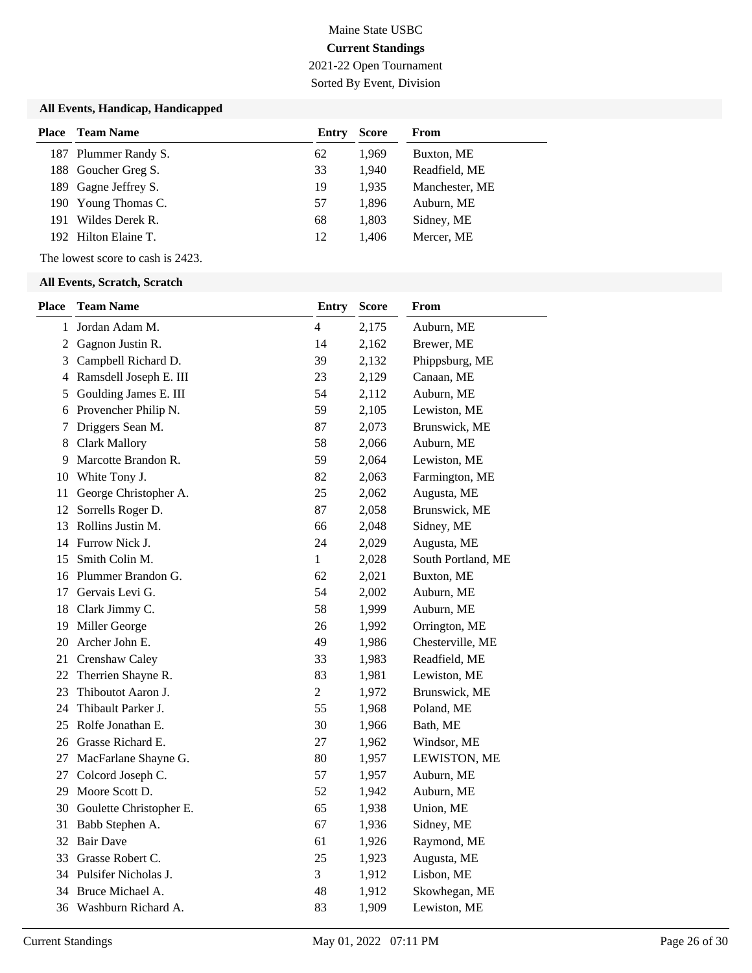## Maine State USBC **Current Standings** 2021-22 Open Tournament

Sorted By Event, Division

#### **All Events, Handicap, Handicapped**

| Place | <b>Team Name</b>     | Entry | <b>Score</b> | From           |
|-------|----------------------|-------|--------------|----------------|
|       | 187 Plummer Randy S. | 62    | 1.969        | Buxton, ME     |
|       | 188 Goucher Greg S.  | 33    | 1.940        | Readfield, ME  |
|       | 189 Gagne Jeffrey S. | 19    | 1.935        | Manchester, ME |
|       | 190 Young Thomas C.  | 57    | 1,896        | Auburn, ME     |
| 191   | Wildes Derek R.      | 68    | 1,803        | Sidney, ME     |
|       | 192 Hilton Elaine T. | 12    | 1.406        | Mercer, ME     |

The lowest score to cash is 2423.

| <b>Place</b>   | <b>Team Name</b>           | <b>Entry</b>   | <b>Score</b> | From               |
|----------------|----------------------------|----------------|--------------|--------------------|
| $\mathbf 1$    | Jordan Adam M.             | $\overline{4}$ | 2,175        | Auburn, ME         |
| $\overline{2}$ | Gagnon Justin R.           | 14             | 2,162        | Brewer, ME         |
| 3              | Campbell Richard D.        | 39             | 2,132        | Phippsburg, ME     |
| 4              | Ramsdell Joseph E. III     | 23             | 2,129        | Canaan, ME         |
| 5              | Goulding James E. III      | 54             | 2,112        | Auburn, ME         |
| 6              | Provencher Philip N.       | 59             | 2,105        | Lewiston, ME       |
| 7              | Driggers Sean M.           | 87             | 2,073        | Brunswick, ME      |
| 8              | <b>Clark Mallory</b>       | 58             | 2,066        | Auburn, ME         |
| 9              | Marcotte Brandon R.        | 59             | 2,064        | Lewiston, ME       |
| 10             | White Tony J.              | 82             | 2,063        | Farmington, ME     |
| 11             | George Christopher A.      | 25             | 2,062        | Augusta, ME        |
| 12             | Sorrells Roger D.          | 87             | 2,058        | Brunswick, ME      |
| 13             | Rollins Justin M.          | 66             | 2,048        | Sidney, ME         |
|                | 14 Furrow Nick J.          | 24             | 2,029        | Augusta, ME        |
|                | 15 Smith Colin M.          | $\mathbf{1}$   | 2,028        | South Portland, ME |
|                | 16 Plummer Brandon G.      | 62             | 2,021        | Buxton, ME         |
|                | 17 Gervais Levi G.         | 54             | 2,002        | Auburn, ME         |
| 18             | Clark Jimmy C.             | 58             | 1,999        | Auburn, ME         |
| 19             | Miller George              | 26             | 1,992        | Orrington, ME      |
| 20             | Archer John E.             | 49             | 1,986        | Chesterville, ME   |
|                | 21 Crenshaw Caley          | 33             | 1,983        | Readfield, ME      |
|                | 22 Therrien Shayne R.      | 83             | 1,981        | Lewiston, ME       |
| 23             | Thiboutot Aaron J.         | $\overline{c}$ | 1,972        | Brunswick, ME      |
|                | 24 Thibault Parker J.      | 55             | 1,968        | Poland, ME         |
|                | 25 Rolfe Jonathan E.       | 30             | 1,966        | Bath, ME           |
|                | 26 Grasse Richard E.       | 27             | 1,962        | Windsor, ME        |
|                | 27 MacFarlane Shayne G.    | 80             | 1,957        | LEWISTON, ME       |
|                | 27 Colcord Joseph C.       | 57             | 1,957        | Auburn, ME         |
|                | 29 Moore Scott D.          | 52             | 1,942        | Auburn, ME         |
|                | 30 Goulette Christopher E. | 65             | 1,938        | Union, ME          |
| 31             | Babb Stephen A.            | 67             | 1,936        | Sidney, ME         |
|                | 32 Bair Dave               | 61             | 1,926        | Raymond, ME        |
|                | 33 Grasse Robert C.        | 25             | 1,923        | Augusta, ME        |
|                | 34 Pulsifer Nicholas J.    | 3              | 1,912        | Lisbon, ME         |
|                | 34 Bruce Michael A.        | 48             | 1,912        | Skowhegan, ME      |
|                | 36 Washburn Richard A.     | 83             | 1,909        | Lewiston, ME       |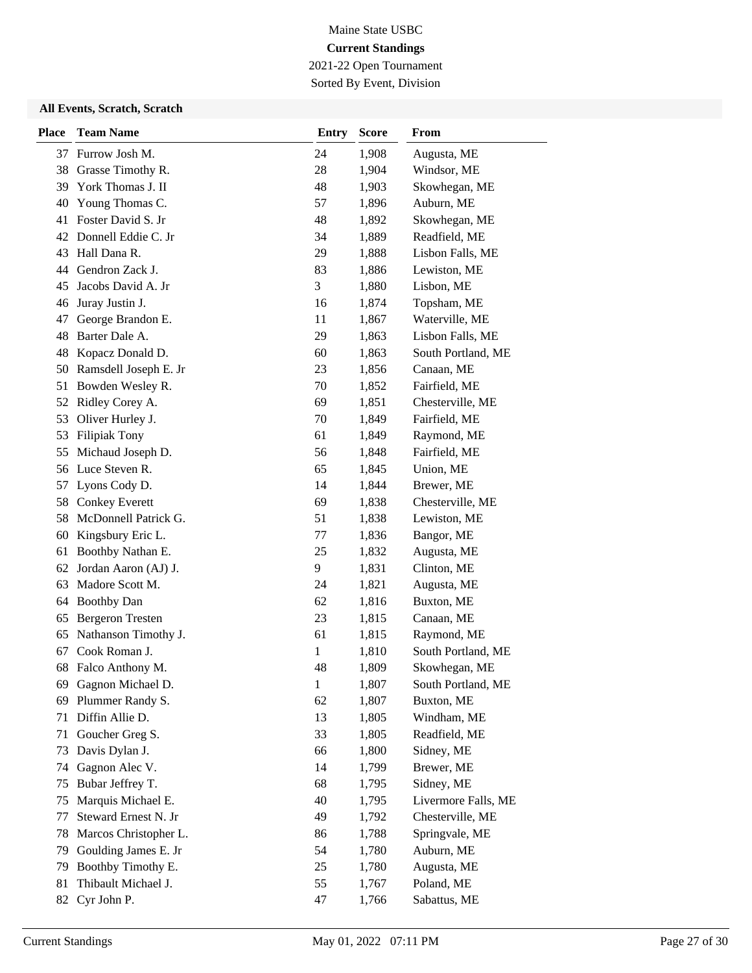2021-22 Open Tournament Sorted By Event, Division

| <b>Place</b> | <b>Team Name</b>        | <b>Entry</b> | <b>Score</b> | From                |
|--------------|-------------------------|--------------|--------------|---------------------|
|              | 37 Furrow Josh M.       | 24           | 1,908        | Augusta, ME         |
| 38           | Grasse Timothy R.       | 28           | 1,904        | Windsor, ME         |
| 39           | York Thomas J. II       | 48           | 1,903        | Skowhegan, ME       |
| 40           | Young Thomas C.         | 57           | 1,896        | Auburn, ME          |
| 41           | Foster David S. Jr      | 48           | 1,892        | Skowhegan, ME       |
| 42           | Donnell Eddie C. Jr     | 34           | 1,889        | Readfield, ME       |
| 43           | Hall Dana R.            | 29           | 1,888        | Lisbon Falls, ME    |
| 44           | Gendron Zack J.         | 83           | 1,886        | Lewiston, ME        |
| 45           | Jacobs David A. Jr      | 3            | 1,880        | Lisbon, ME          |
| 46           | Juray Justin J.         | 16           | 1,874        | Topsham, ME         |
| 47           | George Brandon E.       | 11           | 1,867        | Waterville, ME      |
| 48           | Barter Dale A.          | 29           | 1,863        | Lisbon Falls, ME    |
| 48           | Kopacz Donald D.        | 60           | 1,863        | South Portland, ME  |
| 50           | Ramsdell Joseph E. Jr   | 23           | 1,856        | Canaan, ME          |
| 51           | Bowden Wesley R.        | 70           | 1,852        | Fairfield, ME       |
| 52           | Ridley Corey A.         | 69           | 1,851        | Chesterville, ME    |
| 53           | Oliver Hurley J.        | 70           | 1,849        | Fairfield, ME       |
| 53           | <b>Filipiak Tony</b>    | 61           | 1,849        | Raymond, ME         |
| 55           | Michaud Joseph D.       | 56           | 1,848        | Fairfield, ME       |
| 56           | Luce Steven R.          | 65           | 1,845        | Union, ME           |
| 57           | Lyons Cody D.           | 14           | 1,844        | Brewer, ME          |
| 58           | <b>Conkey Everett</b>   | 69           | 1,838        | Chesterville, ME    |
| 58           | McDonnell Patrick G.    | 51           | 1,838        | Lewiston, ME        |
| 60           | Kingsbury Eric L.       | 77           | 1,836        | Bangor, ME          |
| 61           | Boothby Nathan E.       | 25           | 1,832        | Augusta, ME         |
| 62           | Jordan Aaron (AJ) J.    | 9            | 1,831        | Clinton, ME         |
| 63           | Madore Scott M.         | 24           | 1,821        | Augusta, ME         |
| 64           | <b>Boothby Dan</b>      | 62           | 1,816        | Buxton, ME          |
| 65           | <b>Bergeron Tresten</b> | 23           | 1,815        | Canaan, ME          |
| 65           | Nathanson Timothy J.    | 61           | 1,815        | Raymond, ME         |
| 67           | Cook Roman J.           | 1            | 1,810        | South Portland, ME  |
|              | 68 Falco Anthony M.     | 48           | 1,809        | Skowhegan, ME       |
| 69           | Gagnon Michael D.       | $\mathbf{1}$ | 1,807        | South Portland, ME  |
| 69           | Plummer Randy S.        | 62           | 1,807        | Buxton, ME          |
| 71           | Diffin Allie D.         | 13           | 1,805        | Windham, ME         |
| 71           | Goucher Greg S.         | 33           | 1,805        | Readfield, ME       |
| 73           | Davis Dylan J.          | 66           | 1,800        | Sidney, ME          |
| 74           | Gagnon Alec V.          | 14           | 1,799        | Brewer, ME          |
| 75           | Bubar Jeffrey T.        | 68           | 1,795        | Sidney, ME          |
| 75           | Marquis Michael E.      | 40           | 1,795        | Livermore Falls, ME |
| 77           | Steward Ernest N. Jr    | 49           | 1,792        | Chesterville, ME    |
| 78           | Marcos Christopher L.   | 86           | 1,788        | Springvale, ME      |
| 79           | Goulding James E. Jr    | 54           | 1,780        | Auburn, ME          |
| 79           | Boothby Timothy E.      | 25           | 1,780        | Augusta, ME         |
| 81           | Thibault Michael J.     | 55           | 1,767        | Poland, ME          |
| 82           | Cyr John P.             | 47           | 1,766        | Sabattus, ME        |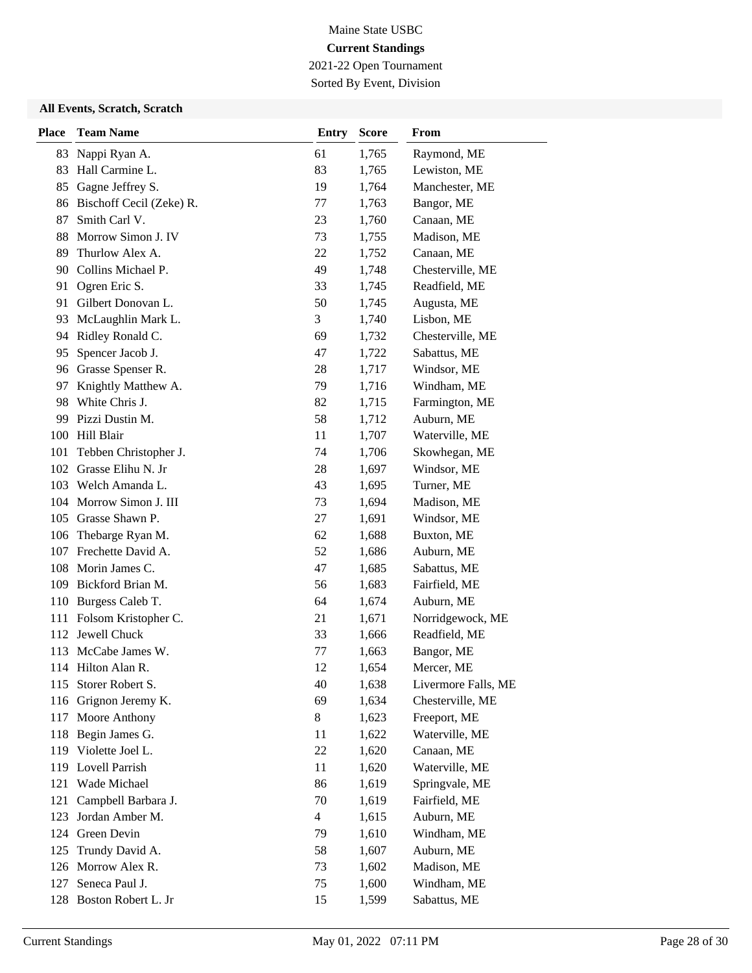2021-22 Open Tournament Sorted By Event, Division

| <b>Place</b> | <b>Team Name</b>         | <b>Entry</b>   | <b>Score</b> | From                |
|--------------|--------------------------|----------------|--------------|---------------------|
| 83           | Nappi Ryan A.            | 61             | 1,765        | Raymond, ME         |
| 83           | Hall Carmine L.          | 83             | 1,765        | Lewiston, ME        |
| 85           | Gagne Jeffrey S.         | 19             | 1,764        | Manchester, ME      |
| 86           | Bischoff Cecil (Zeke) R. | 77             | 1,763        | Bangor, ME          |
| 87           | Smith Carl V.            | 23             | 1,760        | Canaan, ME          |
| 88           | Morrow Simon J. IV       | 73             | 1,755        | Madison, ME         |
| 89           | Thurlow Alex A.          | 22             | 1,752        | Canaan, ME          |
| 90           | Collins Michael P.       | 49             | 1,748        | Chesterville, ME    |
| 91           | Ogren Eric S.            | 33             | 1,745        | Readfield, ME       |
| 91           | Gilbert Donovan L.       | 50             | 1,745        | Augusta, ME         |
| 93           | McLaughlin Mark L.       | 3              | 1,740        | Lisbon, ME          |
| 94           | Ridley Ronald C.         | 69             | 1,732        | Chesterville, ME    |
| 95           | Spencer Jacob J.         | 47             | 1,722        | Sabattus, ME        |
| 96           | Grasse Spenser R.        | 28             | 1,717        | Windsor, ME         |
| 97           | Knightly Matthew A.      | 79             | 1,716        | Windham, ME         |
| 98           | White Chris J.           | 82             | 1,715        | Farmington, ME      |
| 99           | Pizzi Dustin M.          | 58             | 1,712        | Auburn, ME          |
| 100          | Hill Blair               | 11             | 1,707        | Waterville, ME      |
| 101          | Tebben Christopher J.    | 74             | 1,706        | Skowhegan, ME       |
| 102          | Grasse Elihu N. Jr       | 28             | 1,697        | Windsor, ME         |
| 103          | Welch Amanda L.          | 43             | 1,695        | Turner, ME          |
| 104          | Morrow Simon J. III      | 73             | 1,694        | Madison, ME         |
| 105          | Grasse Shawn P.          | 27             | 1,691        | Windsor, ME         |
| 106          | Thebarge Ryan M.         | 62             | 1,688        | Buxton, ME          |
|              | 107 Frechette David A.   | 52             | 1,686        | Auburn, ME          |
| 108          | Morin James C.           | 47             | 1,685        | Sabattus, ME        |
| 109          | Bickford Brian M.        | 56             | 1,683        | Fairfield, ME       |
| 110          | Burgess Caleb T.         | 64             | 1,674        | Auburn, ME          |
| 111          | Folsom Kristopher C.     | 21             | 1,671        | Norridgewock, ME    |
|              | 112 Jewell Chuck         | 33             | 1,666        | Readfield, ME       |
| 113          | McCabe James W.          | 77             | 1,663        | Bangor, ME          |
|              | 114 Hilton Alan R.       | 12             | 1,654        | Mercer, ME          |
| 115          | Storer Robert S.         | 40             | 1,638        | Livermore Falls, ME |
| 116          | Grignon Jeremy K.        | 69             | 1,634        | Chesterville, ME    |
| 117          | Moore Anthony            | 8              | 1,623        | Freeport, ME        |
| 118          | Begin James G.           | 11             | 1,622        | Waterville, ME      |
| 119          | Violette Joel L.         | 22             | 1,620        | Canaan, ME          |
| 119          | Lovell Parrish           | 11             | 1,620        | Waterville, ME      |
| 121          | Wade Michael             | 86             | 1,619        | Springvale, ME      |
| 121          | Campbell Barbara J.      | 70             | 1,619        | Fairfield, ME       |
| 123          | Jordan Amber M.          | $\overline{4}$ | 1,615        | Auburn, ME          |
| 124          | Green Devin              | 79             | 1,610        | Windham, ME         |
| 125          | Trundy David A.          | 58             | 1,607        | Auburn, ME          |
| 126          | Morrow Alex R.           | 73             | 1,602        | Madison, ME         |
| 127          | Seneca Paul J.           | 75             | 1,600        | Windham, ME         |
| 128          | Boston Robert L. Jr      | 15             | 1,599        | Sabattus, ME        |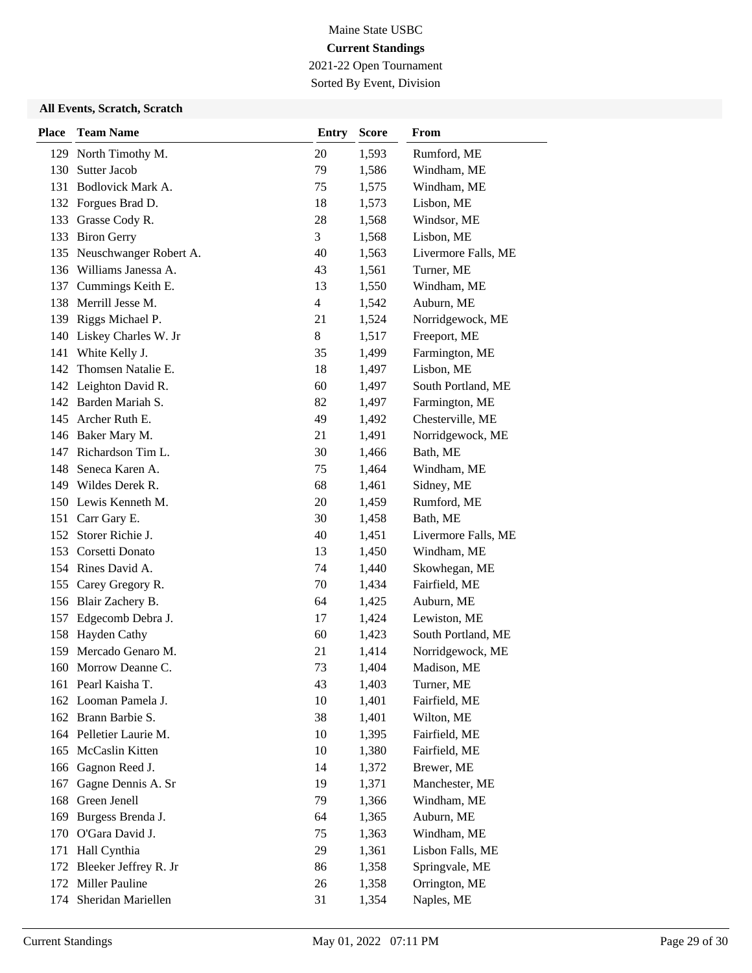2021-22 Open Tournament Sorted By Event, Division

| <b>Place</b> | <b>Team Name</b>         | <b>Entry</b>   | <b>Score</b> | From                |
|--------------|--------------------------|----------------|--------------|---------------------|
| 129          | North Timothy M.         | 20             | 1,593        | Rumford, ME         |
| 130          | Sutter Jacob             | 79             | 1,586        | Windham, ME         |
| 131          | Bodlovick Mark A.        | 75             | 1,575        | Windham, ME         |
| 132          | Forgues Brad D.          | 18             | 1,573        | Lisbon, ME          |
|              | 133 Grasse Cody R.       | 28             | 1,568        | Windsor, ME         |
| 133          | <b>Biron Gerry</b>       | 3              | 1,568        | Lisbon, ME          |
| 135          | Neuschwanger Robert A.   | 40             | 1,563        | Livermore Falls, ME |
|              | 136 Williams Janessa A.  | 43             | 1,561        | Turner, ME          |
|              | 137 Cummings Keith E.    | 13             | 1,550        | Windham, ME         |
| 138          | Merrill Jesse M.         | $\overline{4}$ | 1,542        | Auburn, ME          |
| 139          | Riggs Michael P.         | 21             | 1,524        | Norridgewock, ME    |
|              | 140 Liskey Charles W. Jr | 8              | 1,517        | Freeport, ME        |
| 141          | White Kelly J.           | 35             | 1,499        | Farmington, ME      |
| 142          | Thomsen Natalie E.       | 18             | 1,497        | Lisbon, ME          |
|              | 142 Leighton David R.    | 60             | 1,497        | South Portland, ME  |
| 142          | Barden Mariah S.         | 82             | 1,497        | Farmington, ME      |
| 145          | Archer Ruth E.           | 49             | 1,492        | Chesterville, ME    |
|              | 146 Baker Mary M.        | 21             | 1,491        | Norridgewock, ME    |
| 147          | Richardson Tim L.        | 30             | 1,466        | Bath, ME            |
| 148          | Seneca Karen A.          | 75             | 1,464        | Windham, ME         |
|              | 149 Wildes Derek R.      | 68             | 1,461        | Sidney, ME          |
|              | 150 Lewis Kenneth M.     | 20             | 1,459        | Rumford, ME         |
| 151          | Carr Gary E.             | 30             | 1,458        | Bath, ME            |
|              | 152 Storer Richie J.     | 40             | 1,451        | Livermore Falls, ME |
|              | 153 Corsetti Donato      | 13             | 1,450        | Windham, ME         |
| 154          | Rines David A.           | 74             | 1,440        | Skowhegan, ME       |
| 155          | Carey Gregory R.         | 70             | 1,434        | Fairfield, ME       |
|              | 156 Blair Zachery B.     | 64             | 1,425        | Auburn, ME          |
| 157          | Edgecomb Debra J.        | 17             | 1,424        | Lewiston, ME        |
| 158          | Hayden Cathy             | 60             | 1,423        | South Portland, ME  |
| 159          | Mercado Genaro M.        | 21             | 1,414        | Norridgewock, ME    |
| 160          | Morrow Deanne C.         | 73             | 1,404        | Madison, ME         |
|              | 161 Pearl Kaisha T.      | 43             | 1,403        | Turner, ME          |
|              | 162 Looman Pamela J.     | 10             | 1,401        | Fairfield, ME       |
|              | 162 Brann Barbie S.      | 38             | 1,401        | Wilton, ME          |
|              | 164 Pelletier Laurie M.  | 10             | 1,395        | Fairfield, ME       |
| 165          | McCaslin Kitten          | 10             | 1,380        | Fairfield, ME       |
| 166          | Gagnon Reed J.           | 14             | 1,372        | Brewer, ME          |
| 167          | Gagne Dennis A. Sr       | 19             | 1,371        | Manchester, ME      |
| 168          | Green Jenell             | 79             | 1,366        | Windham, ME         |
| 169          | Burgess Brenda J.        | 64             | 1,365        | Auburn, ME          |
| 170          | O'Gara David J.          | 75             | 1,363        | Windham, ME         |
| 171          | Hall Cynthia             | 29             | 1,361        | Lisbon Falls, ME    |
| 172          | Bleeker Jeffrey R. Jr    | 86             | 1,358        | Springvale, ME      |
|              | 172 Miller Pauline       | 26             | 1,358        | Orrington, ME       |
| 174          | Sheridan Mariellen       | 31             | 1,354        | Naples, ME          |